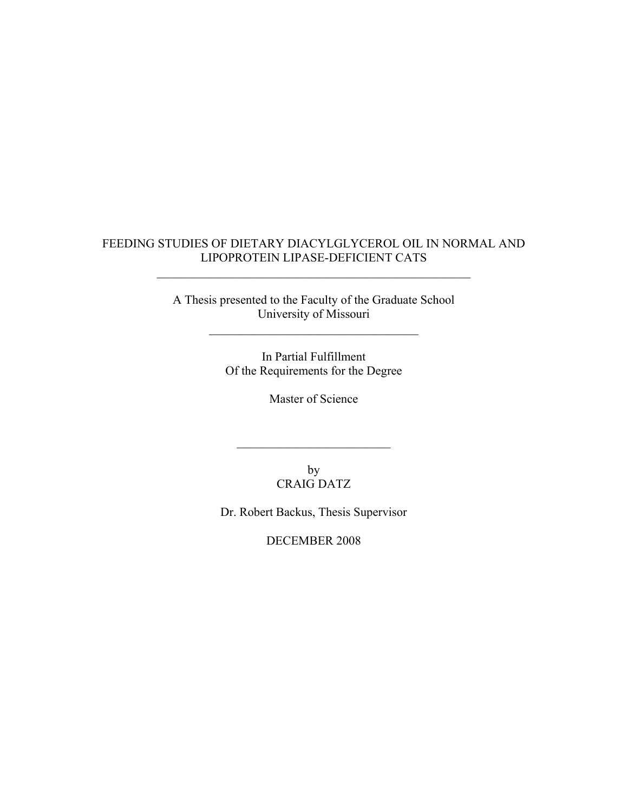# FEEDING STUDIES OF DIETARY DIACYLGLYCEROL OIL IN NORMAL AND LIPOPROTEIN LIPASE-DEFICIENT CATS

 $\mathcal{L}_\text{max}$  , and the contract of the contract of the contract of the contract of the contract of the contract of the contract of the contract of the contract of the contract of the contract of the contract of the contr

A Thesis presented to the Faculty of the Graduate School University of Missouri

 $\mathcal{L}_\text{max}$ 

In Partial Fulfillment Of the Requirements for the Degree

Master of Science

by CRAIG DATZ

 $\mathcal{L}_\text{max}$  , where  $\mathcal{L}_\text{max}$  , we are the set of the set of the set of the set of the set of the set of the set of the set of the set of the set of the set of the set of the set of the set of the set of the set of

Dr. Robert Backus, Thesis Supervisor

DECEMBER 2008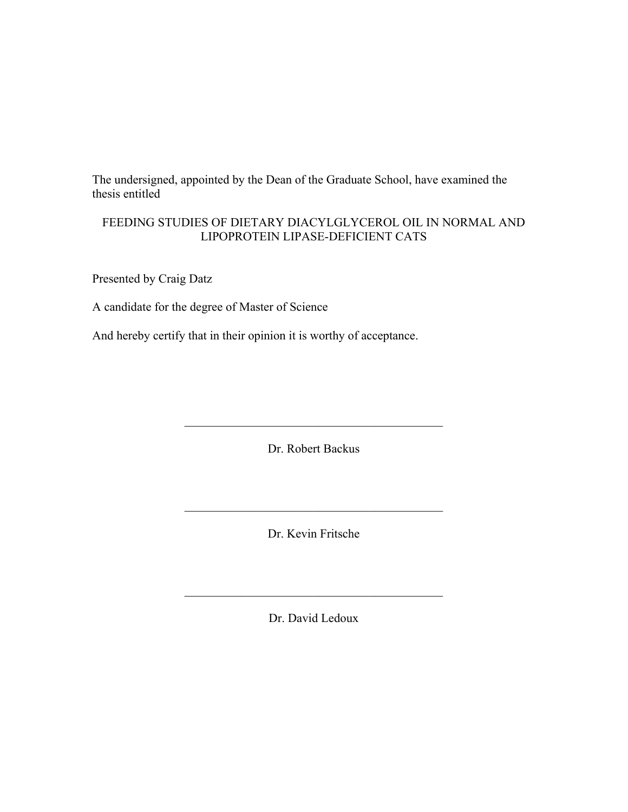The undersigned, appointed by the Dean of the Graduate School, have examined the thesis entitled

# FEEDING STUDIES OF DIETARY DIACYLGLYCEROL OIL IN NORMAL AND LIPOPROTEIN LIPASE-DEFICIENT CATS

Presented by Craig Datz

A candidate for the degree of Master of Science

And hereby certify that in their opinion it is worthy of acceptance.

Dr. Robert Backus

 $\mathcal{L}_\mathcal{L} = \mathcal{L}_\mathcal{L} = \mathcal{L}_\mathcal{L} = \mathcal{L}_\mathcal{L} = \mathcal{L}_\mathcal{L} = \mathcal{L}_\mathcal{L} = \mathcal{L}_\mathcal{L} = \mathcal{L}_\mathcal{L} = \mathcal{L}_\mathcal{L} = \mathcal{L}_\mathcal{L} = \mathcal{L}_\mathcal{L} = \mathcal{L}_\mathcal{L} = \mathcal{L}_\mathcal{L} = \mathcal{L}_\mathcal{L} = \mathcal{L}_\mathcal{L} = \mathcal{L}_\mathcal{L} = \mathcal{L}_\mathcal{L}$ 

Dr. Kevin Fritsche

 $\mathcal{L}_\text{max}$ 

Dr. David Ledoux

 $\mathcal{L}_\mathcal{L} = \mathcal{L}_\mathcal{L} = \mathcal{L}_\mathcal{L} = \mathcal{L}_\mathcal{L} = \mathcal{L}_\mathcal{L} = \mathcal{L}_\mathcal{L} = \mathcal{L}_\mathcal{L} = \mathcal{L}_\mathcal{L} = \mathcal{L}_\mathcal{L} = \mathcal{L}_\mathcal{L} = \mathcal{L}_\mathcal{L} = \mathcal{L}_\mathcal{L} = \mathcal{L}_\mathcal{L} = \mathcal{L}_\mathcal{L} = \mathcal{L}_\mathcal{L} = \mathcal{L}_\mathcal{L} = \mathcal{L}_\mathcal{L}$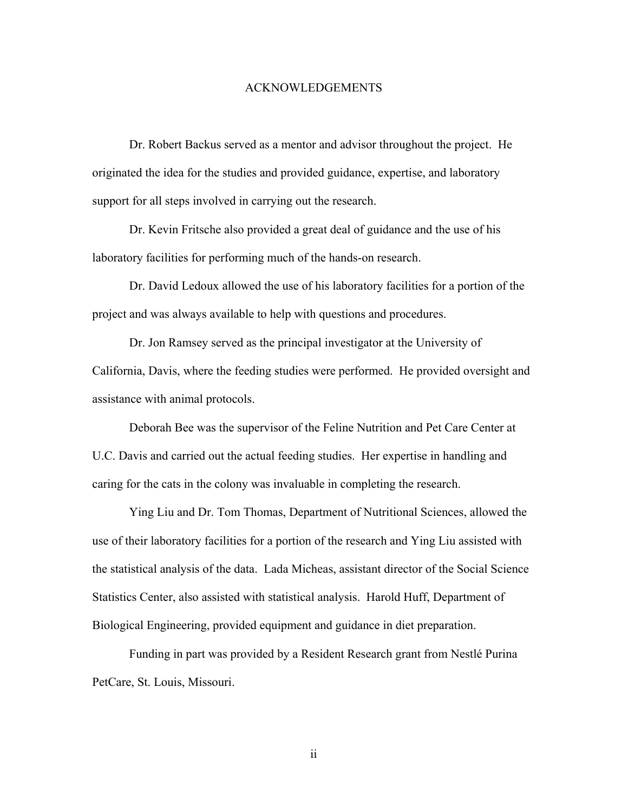#### ACKNOWLEDGEMENTS

 Dr. Robert Backus served as a mentor and advisor throughout the project. He originated the idea for the studies and provided guidance, expertise, and laboratory support for all steps involved in carrying out the research.

 Dr. Kevin Fritsche also provided a great deal of guidance and the use of his laboratory facilities for performing much of the hands-on research.

 Dr. David Ledoux allowed the use of his laboratory facilities for a portion of the project and was always available to help with questions and procedures.

 Dr. Jon Ramsey served as the principal investigator at the University of California, Davis, where the feeding studies were performed. He provided oversight and assistance with animal protocols.

 Deborah Bee was the supervisor of the Feline Nutrition and Pet Care Center at U.C. Davis and carried out the actual feeding studies. Her expertise in handling and caring for the cats in the colony was invaluable in completing the research.

 Ying Liu and Dr. Tom Thomas, Department of Nutritional Sciences, allowed the use of their laboratory facilities for a portion of the research and Ying Liu assisted with the statistical analysis of the data. Lada Micheas, assistant director of the Social Science Statistics Center, also assisted with statistical analysis. Harold Huff, Department of Biological Engineering, provided equipment and guidance in diet preparation.

 Funding in part was provided by a Resident Research grant from Nestlé Purina PetCare, St. Louis, Missouri.

ii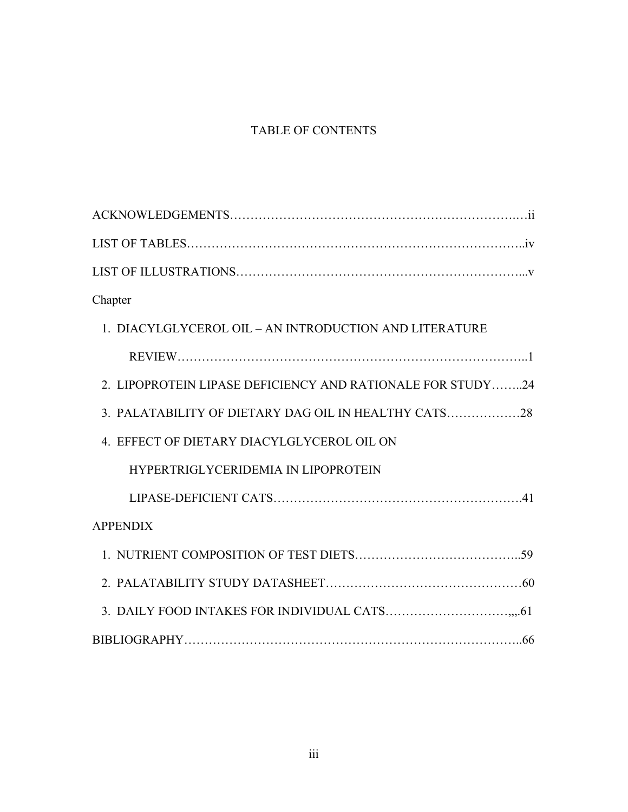# TABLE OF CONTENTS

| Chapter                                                    |
|------------------------------------------------------------|
| 1. DIACYLGLYCEROL OIL – AN INTRODUCTION AND LITERATURE     |
|                                                            |
| 2. LIPOPROTEIN LIPASE DEFICIENCY AND RATIONALE FOR STUDY24 |
| 3. PALATABILITY OF DIETARY DAG OIL IN HEALTHY CATS         |
| 4. EFFECT OF DIETARY DIACYLGLYCEROL OIL ON                 |
| HYPERTRIGLYCERIDEMIA IN LIPOPROTEIN                        |
|                                                            |
| <b>APPENDIX</b>                                            |
|                                                            |
|                                                            |
|                                                            |
|                                                            |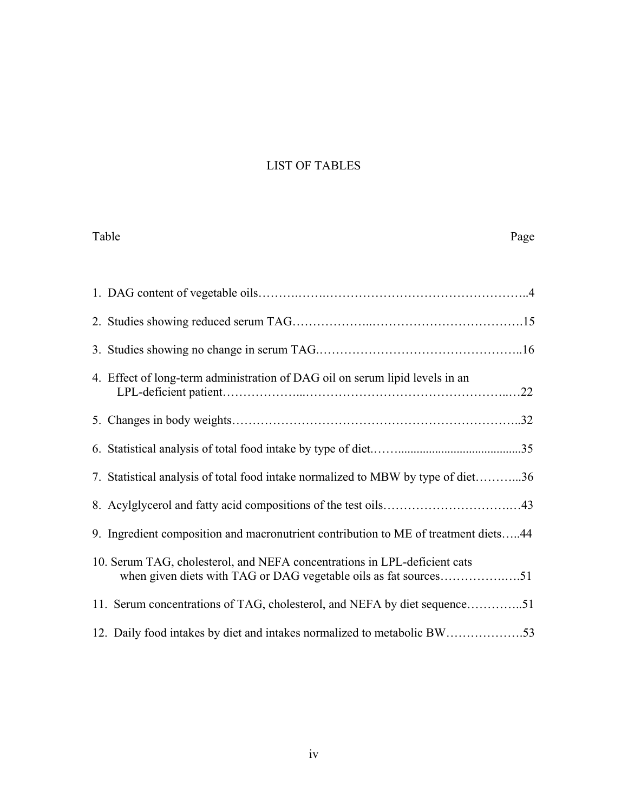# LIST OF TABLES

| Table<br>Page                                                                                                                                 |
|-----------------------------------------------------------------------------------------------------------------------------------------------|
|                                                                                                                                               |
|                                                                                                                                               |
|                                                                                                                                               |
| 4. Effect of long-term administration of DAG oil on serum lipid levels in an                                                                  |
|                                                                                                                                               |
|                                                                                                                                               |
| 7. Statistical analysis of total food intake normalized to MBW by type of diet36                                                              |
|                                                                                                                                               |
| 9. Ingredient composition and macronutrient contribution to ME of treatment diets44                                                           |
| 10. Serum TAG, cholesterol, and NEFA concentrations in LPL-deficient cats<br>when given diets with TAG or DAG vegetable oils as fat sources51 |
| 11. Serum concentrations of TAG, cholesterol, and NEFA by diet sequence51                                                                     |
|                                                                                                                                               |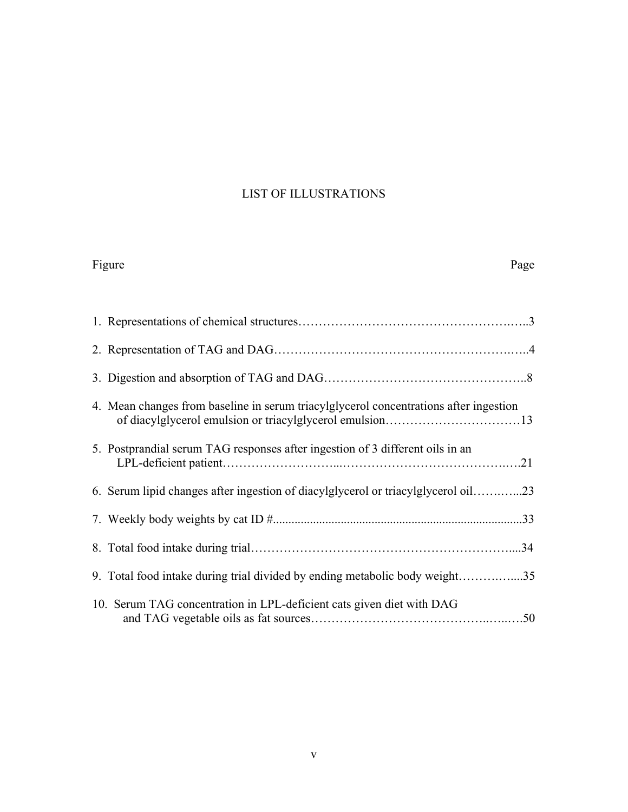# LIST OF ILLUSTRATIONS

|  | оuг |  |
|--|-----|--|
|  |     |  |

### Figure Page

| 4. Mean changes from baseline in serum triacylglycerol concentrations after ingestion |     |
|---------------------------------------------------------------------------------------|-----|
| 5. Postprandial serum TAG responses after ingestion of 3 different oils in an         |     |
| 6. Serum lipid changes after ingestion of diacylglycerol or triacylglycerol oil23     |     |
|                                                                                       |     |
|                                                                                       | .34 |
| 9. Total food intake during trial divided by ending metabolic body weight35           |     |
| 10. Serum TAG concentration in LPL-deficient cats given diet with DAG                 |     |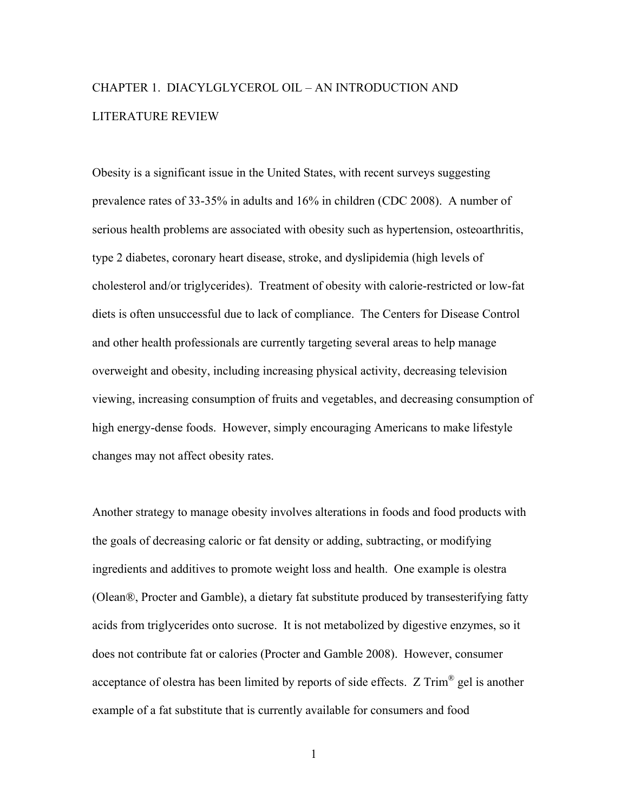# CHAPTER 1. DIACYLGLYCEROL OIL – AN INTRODUCTION AND LITERATURE REVIEW

Obesity is a significant issue in the United States, with recent surveys suggesting prevalence rates of 33-35% in adults and 16% in children (CDC 2008). A number of serious health problems are associated with obesity such as hypertension, osteoarthritis, type 2 diabetes, coronary heart disease, stroke, and dyslipidemia (high levels of cholesterol and/or triglycerides). Treatment of obesity with calorie-restricted or low-fat diets is often unsuccessful due to lack of compliance. The Centers for Disease Control and other health professionals are currently targeting several areas to help manage overweight and obesity, including increasing physical activity, decreasing television viewing, increasing consumption of fruits and vegetables, and decreasing consumption of high energy-dense foods. However, simply encouraging Americans to make lifestyle changes may not affect obesity rates.

Another strategy to manage obesity involves alterations in foods and food products with the goals of decreasing caloric or fat density or adding, subtracting, or modifying ingredients and additives to promote weight loss and health. One example is olestra (Olean®, Procter and Gamble), a dietary fat substitute produced by transesterifying fatty acids from triglycerides onto sucrose. It is not metabolized by digestive enzymes, so it does not contribute fat or calories (Procter and Gamble 2008). However, consumer acceptance of olestra has been limited by reports of side effects. Z Trim® gel is another example of a fat substitute that is currently available for consumers and food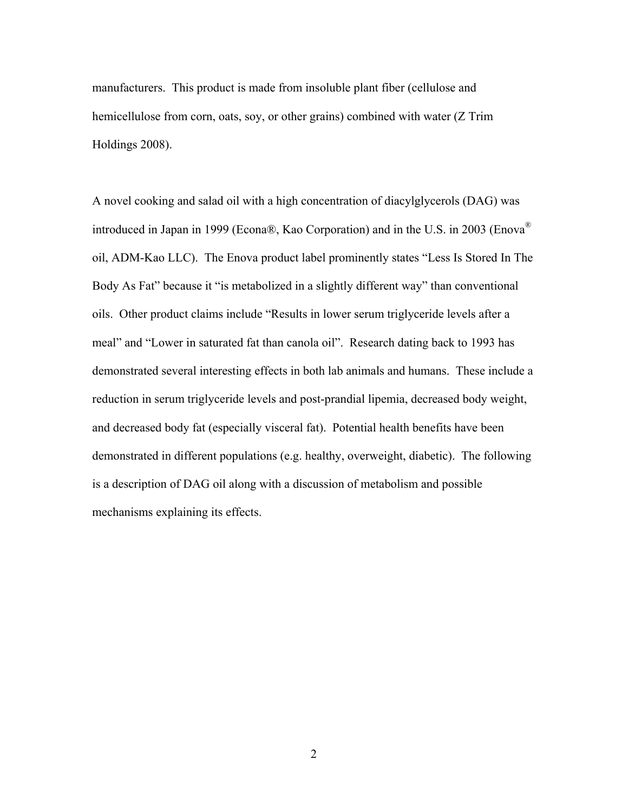manufacturers. This product is made from insoluble plant fiber (cellulose and hemicellulose from corn, oats, soy, or other grains) combined with water (Z Trim Holdings 2008).

A novel cooking and salad oil with a high concentration of diacylglycerols (DAG) was introduced in Japan in 1999 (Econa®, Kao Corporation) and in the U.S. in 2003 (Enova® oil, ADM-Kao LLC). The Enova product label prominently states "Less Is Stored In The Body As Fat" because it "is metabolized in a slightly different way" than conventional oils. Other product claims include "Results in lower serum triglyceride levels after a meal" and "Lower in saturated fat than canola oil". Research dating back to 1993 has demonstrated several interesting effects in both lab animals and humans. These include a reduction in serum triglyceride levels and post-prandial lipemia, decreased body weight, and decreased body fat (especially visceral fat). Potential health benefits have been demonstrated in different populations (e.g. healthy, overweight, diabetic). The following is a description of DAG oil along with a discussion of metabolism and possible mechanisms explaining its effects.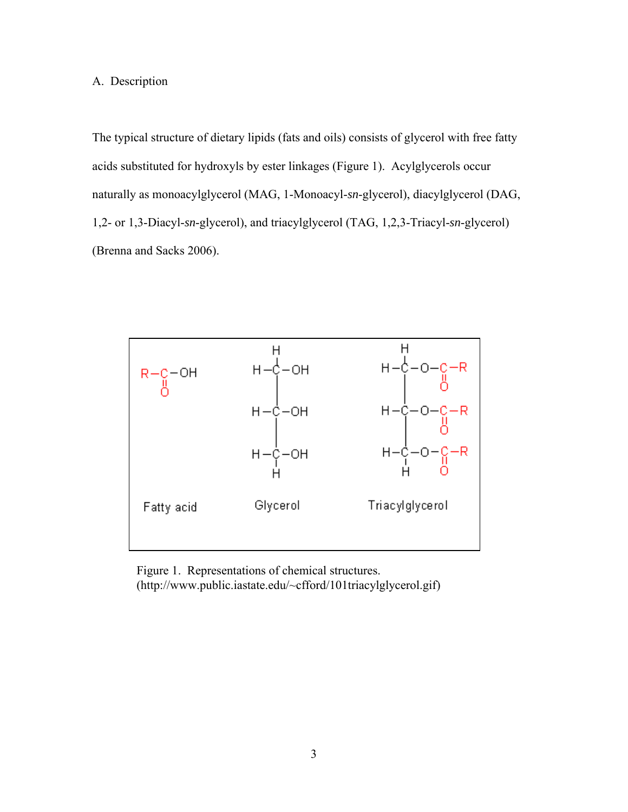## A. Description

The typical structure of dietary lipids (fats and oils) consists of glycerol with free fatty acids substituted for hydroxyls by ester linkages (Figure 1). Acylglycerols occur naturally as monoacylglycerol (MAG, 1-Monoacyl-*sn*-glycerol), diacylglycerol (DAG, 1,2- or 1,3-Diacyl-*sn*-glycerol), and triacylglycerol (TAG, 1,2,3-Triacyl-*sn*-glycerol) (Brenna and Sacks 2006).



Figure 1. Representations of chemical structures. (http://www.public.iastate.edu/~cfford/101triacylglycerol.gif)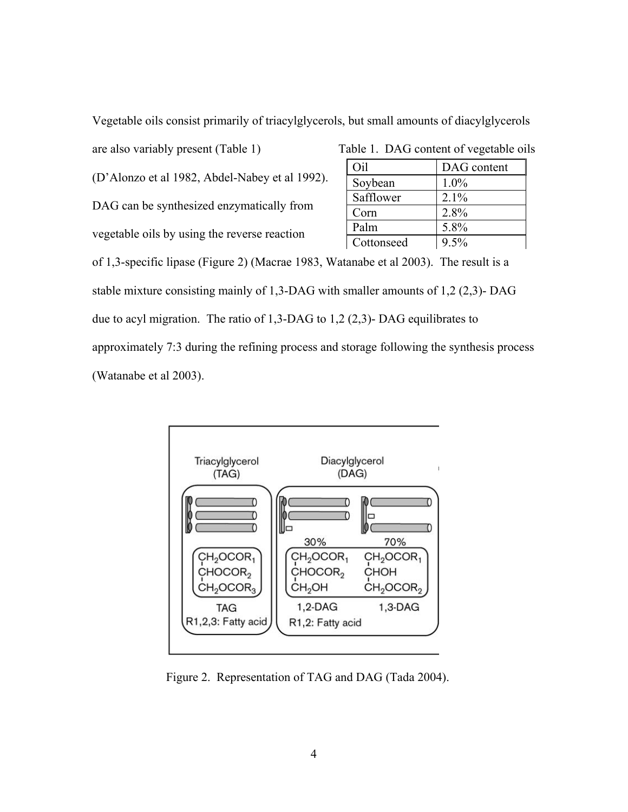Vegetable oils consist primarily of triacylglycerols, but small amounts of diacylglycerols

| (D'Alonzo et al 1982, Abdel-Nabey et al 1992). |
|------------------------------------------------|
| DAG can be synthesized enzymatically from      |
| vegetable oils by using the reverse reaction   |

| are also variably present (Table 1)            |            | Table 1. DAG content of vegetable oils |  |
|------------------------------------------------|------------|----------------------------------------|--|
|                                                | Oil        | DAG content                            |  |
| (D'Alonzo et al 1982, Abdel-Nabey et al 1992). | Soybean    | $1.0\%$                                |  |
|                                                | Safflower  | 2.1%                                   |  |
| DAG can be synthesized enzymatically from      | Corn       | 2.8%                                   |  |
| vegetable oils by using the reverse reaction   | Palm       | 5.8%                                   |  |
|                                                | Cottonseed | 9.5%                                   |  |

of 1,3-specific lipase (Figure 2) (Macrae 1983, Watanabe et al 2003). The result is a stable mixture consisting mainly of 1,3-DAG with smaller amounts of 1,2 (2,3)- DAG due to acyl migration. The ratio of 1,3-DAG to 1,2 (2,3)- DAG equilibrates to approximately 7:3 during the refining process and storage following the synthesis process (Watanabe et al 2003).



Figure 2. Representation of TAG and DAG (Tada 2004).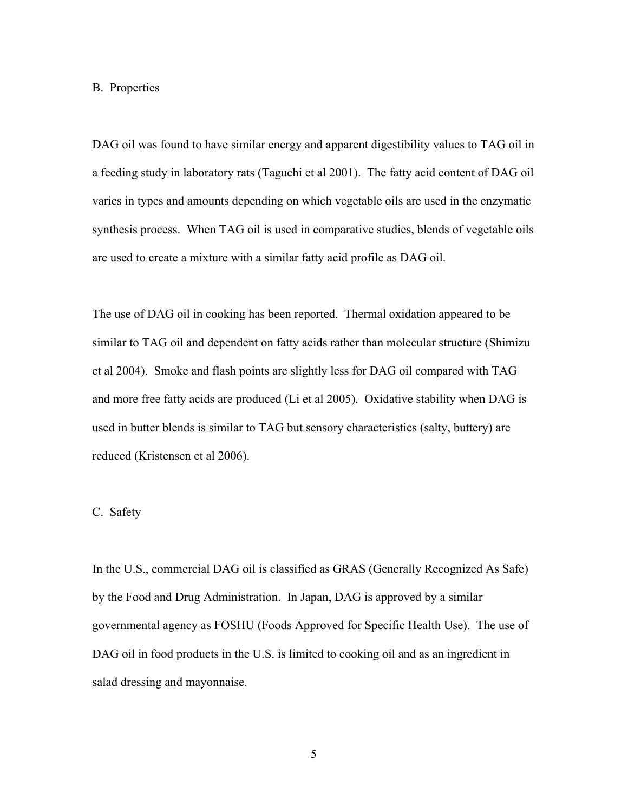#### B. Properties

DAG oil was found to have similar energy and apparent digestibility values to TAG oil in a feeding study in laboratory rats (Taguchi et al 2001). The fatty acid content of DAG oil varies in types and amounts depending on which vegetable oils are used in the enzymatic synthesis process. When TAG oil is used in comparative studies, blends of vegetable oils are used to create a mixture with a similar fatty acid profile as DAG oil.

The use of DAG oil in cooking has been reported. Thermal oxidation appeared to be similar to TAG oil and dependent on fatty acids rather than molecular structure (Shimizu et al 2004). Smoke and flash points are slightly less for DAG oil compared with TAG and more free fatty acids are produced (Li et al 2005). Oxidative stability when DAG is used in butter blends is similar to TAG but sensory characteristics (salty, buttery) are reduced (Kristensen et al 2006).

## C. Safety

In the U.S., commercial DAG oil is classified as GRAS (Generally Recognized As Safe) by the Food and Drug Administration. In Japan, DAG is approved by a similar governmental agency as FOSHU (Foods Approved for Specific Health Use). The use of DAG oil in food products in the U.S. is limited to cooking oil and as an ingredient in salad dressing and mayonnaise.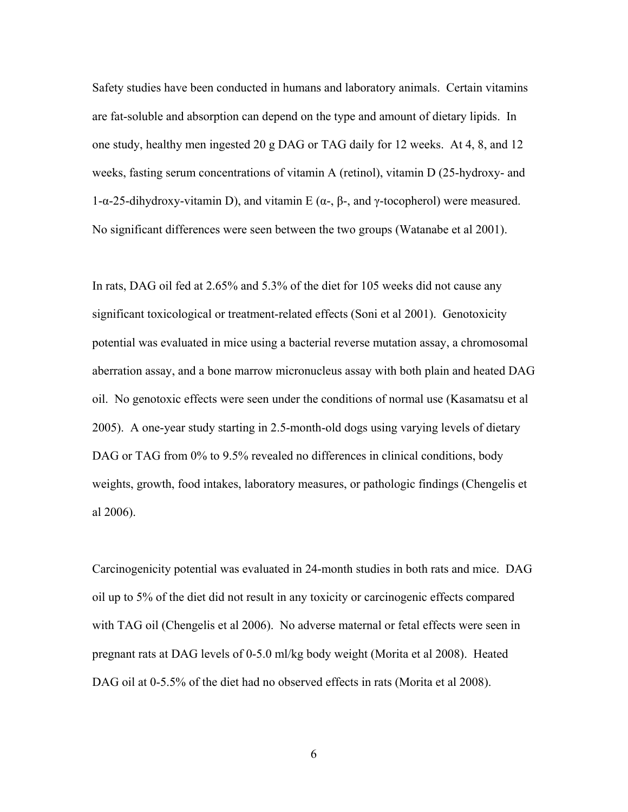Safety studies have been conducted in humans and laboratory animals. Certain vitamins are fat-soluble and absorption can depend on the type and amount of dietary lipids. In one study, healthy men ingested 20 g DAG or TAG daily for 12 weeks. At 4, 8, and 12 weeks, fasting serum concentrations of vitamin A (retinol), vitamin D (25-hydroxy- and 1-α-25-dihydroxy-vitamin D), and vitamin E ( $\alpha$ -,  $\beta$ -, and γ-tocopherol) were measured. No significant differences were seen between the two groups (Watanabe et al 2001).

In rats, DAG oil fed at 2.65% and 5.3% of the diet for 105 weeks did not cause any significant toxicological or treatment-related effects (Soni et al 2001). Genotoxicity potential was evaluated in mice using a bacterial reverse mutation assay, a chromosomal aberration assay, and a bone marrow micronucleus assay with both plain and heated DAG oil. No genotoxic effects were seen under the conditions of normal use (Kasamatsu et al 2005). A one-year study starting in 2.5-month-old dogs using varying levels of dietary DAG or TAG from 0% to 9.5% revealed no differences in clinical conditions, body weights, growth, food intakes, laboratory measures, or pathologic findings (Chengelis et al 2006).

Carcinogenicity potential was evaluated in 24-month studies in both rats and mice. DAG oil up to 5% of the diet did not result in any toxicity or carcinogenic effects compared with TAG oil (Chengelis et al 2006). No adverse maternal or fetal effects were seen in pregnant rats at DAG levels of 0-5.0 ml/kg body weight (Morita et al 2008). Heated DAG oil at 0-5.5% of the diet had no observed effects in rats (Morita et al 2008).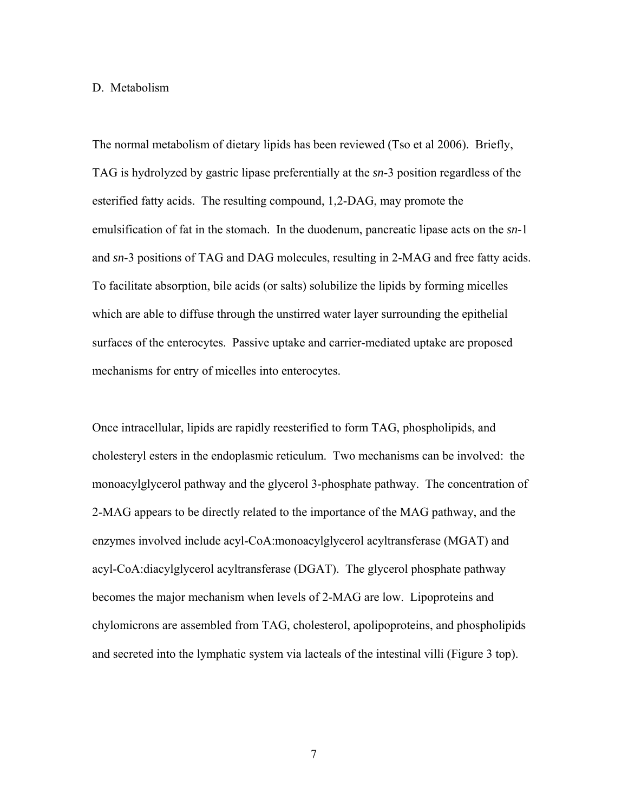#### D. Metabolism

The normal metabolism of dietary lipids has been reviewed (Tso et al 2006). Briefly, TAG is hydrolyzed by gastric lipase preferentially at the *sn*-3 position regardless of the esterified fatty acids. The resulting compound, 1,2-DAG, may promote the emulsification of fat in the stomach. In the duodenum, pancreatic lipase acts on the *sn*-1 and *sn*-3 positions of TAG and DAG molecules, resulting in 2-MAG and free fatty acids. To facilitate absorption, bile acids (or salts) solubilize the lipids by forming micelles which are able to diffuse through the unstirred water layer surrounding the epithelial surfaces of the enterocytes. Passive uptake and carrier-mediated uptake are proposed mechanisms for entry of micelles into enterocytes.

Once intracellular, lipids are rapidly reesterified to form TAG, phospholipids, and cholesteryl esters in the endoplasmic reticulum. Two mechanisms can be involved: the monoacylglycerol pathway and the glycerol 3-phosphate pathway. The concentration of 2-MAG appears to be directly related to the importance of the MAG pathway, and the enzymes involved include acyl-CoA:monoacylglycerol acyltransferase (MGAT) and acyl-CoA:diacylglycerol acyltransferase (DGAT). The glycerol phosphate pathway becomes the major mechanism when levels of 2-MAG are low. Lipoproteins and chylomicrons are assembled from TAG, cholesterol, apolipoproteins, and phospholipids and secreted into the lymphatic system via lacteals of the intestinal villi (Figure 3 top).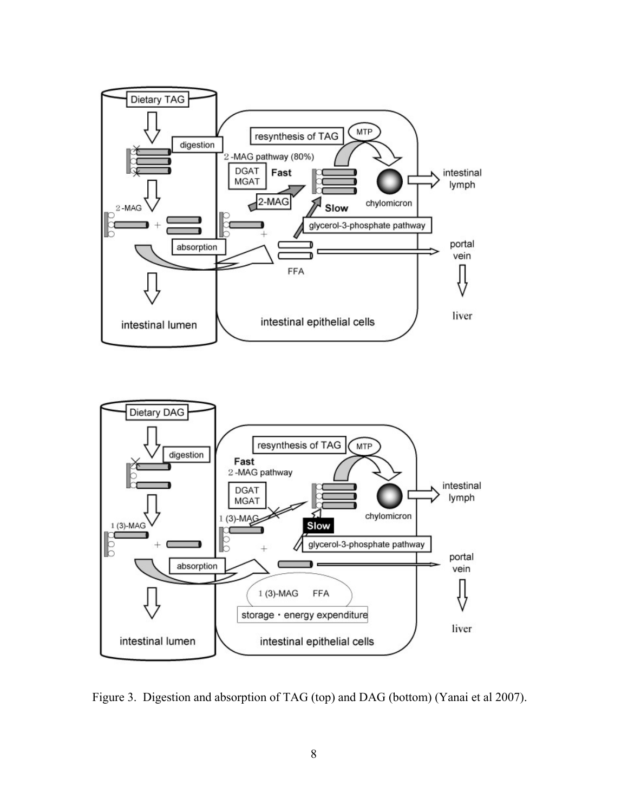



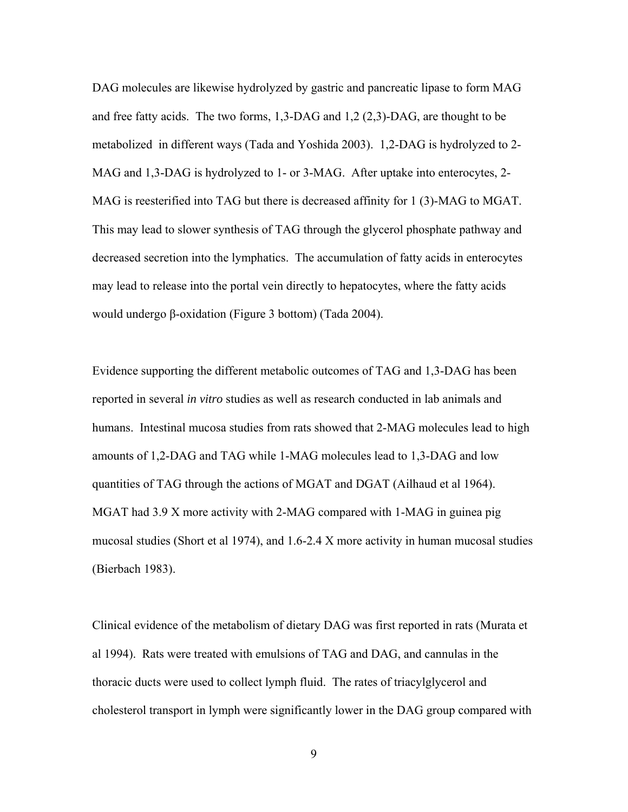DAG molecules are likewise hydrolyzed by gastric and pancreatic lipase to form MAG and free fatty acids. The two forms, 1,3-DAG and 1,2 (2,3)-DAG, are thought to be metabolized in different ways (Tada and Yoshida 2003). 1,2-DAG is hydrolyzed to 2- MAG and 1,3-DAG is hydrolyzed to 1- or 3-MAG. After uptake into enterocytes, 2- MAG is reesterified into TAG but there is decreased affinity for 1 (3)-MAG to MGAT. This may lead to slower synthesis of TAG through the glycerol phosphate pathway and decreased secretion into the lymphatics. The accumulation of fatty acids in enterocytes may lead to release into the portal vein directly to hepatocytes, where the fatty acids would undergo β-oxidation (Figure 3 bottom) (Tada 2004).

Evidence supporting the different metabolic outcomes of TAG and 1,3-DAG has been reported in several *in vitro* studies as well as research conducted in lab animals and humans. Intestinal mucosa studies from rats showed that 2-MAG molecules lead to high amounts of 1,2-DAG and TAG while 1-MAG molecules lead to 1,3-DAG and low quantities of TAG through the actions of MGAT and DGAT (Ailhaud et al 1964). MGAT had 3.9 X more activity with 2-MAG compared with 1-MAG in guinea pig mucosal studies (Short et al 1974), and 1.6-2.4 X more activity in human mucosal studies (Bierbach 1983).

Clinical evidence of the metabolism of dietary DAG was first reported in rats (Murata et al 1994). Rats were treated with emulsions of TAG and DAG, and cannulas in the thoracic ducts were used to collect lymph fluid. The rates of triacylglycerol and cholesterol transport in lymph were significantly lower in the DAG group compared with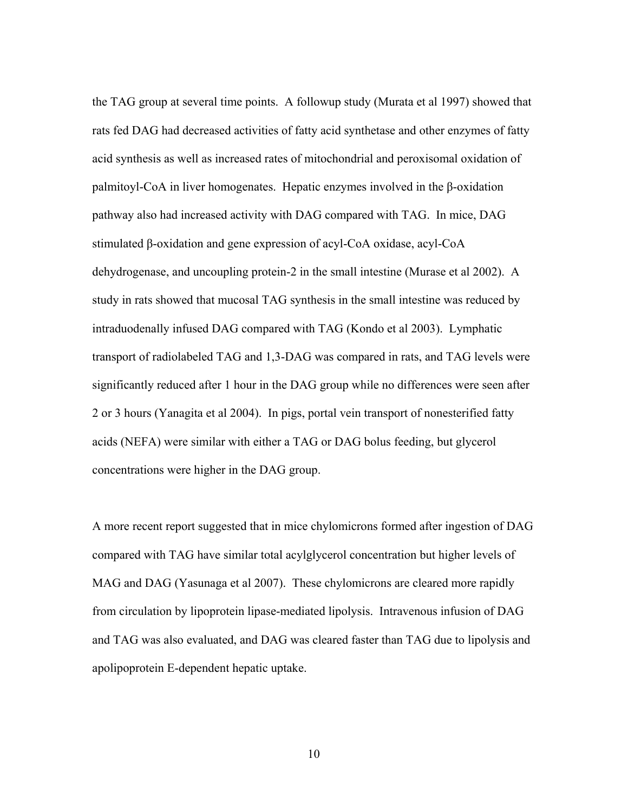the TAG group at several time points. A followup study (Murata et al 1997) showed that rats fed DAG had decreased activities of fatty acid synthetase and other enzymes of fatty acid synthesis as well as increased rates of mitochondrial and peroxisomal oxidation of palmitoyl-CoA in liver homogenates. Hepatic enzymes involved in the β-oxidation pathway also had increased activity with DAG compared with TAG. In mice, DAG stimulated β-oxidation and gene expression of acyl-CoA oxidase, acyl-CoA dehydrogenase, and uncoupling protein-2 in the small intestine (Murase et al 2002). A study in rats showed that mucosal TAG synthesis in the small intestine was reduced by intraduodenally infused DAG compared with TAG (Kondo et al 2003). Lymphatic transport of radiolabeled TAG and 1,3-DAG was compared in rats, and TAG levels were significantly reduced after 1 hour in the DAG group while no differences were seen after 2 or 3 hours (Yanagita et al 2004). In pigs, portal vein transport of nonesterified fatty acids (NEFA) were similar with either a TAG or DAG bolus feeding, but glycerol concentrations were higher in the DAG group.

A more recent report suggested that in mice chylomicrons formed after ingestion of DAG compared with TAG have similar total acylglycerol concentration but higher levels of MAG and DAG (Yasunaga et al 2007). These chylomicrons are cleared more rapidly from circulation by lipoprotein lipase-mediated lipolysis. Intravenous infusion of DAG and TAG was also evaluated, and DAG was cleared faster than TAG due to lipolysis and apolipoprotein E-dependent hepatic uptake.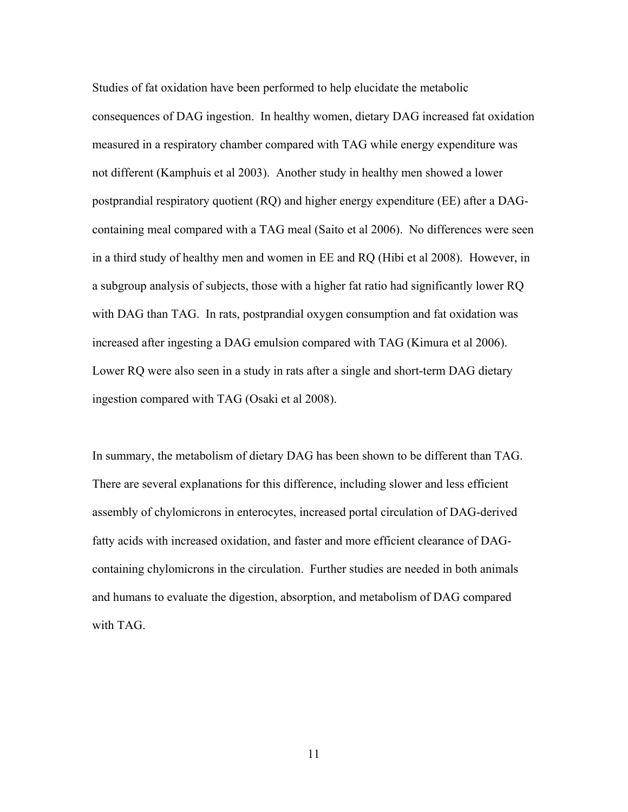Studies of fat oxidation have been performed to help elucidate the metabolic consequences of DAG ingestion. In healthy women, dietary DAG increased fat oxidation measured in a respiratory chamber compared with TAG while energy expenditure was not different (Kamphuis et al 2003). Another study in healthy men showed a lower postprandial respiratory quotient (RQ) and higher energy expenditure (EE) after a DAGcontaining meal compared with a TAG meal (Saito et al 2006). No differences were seen in a third study of healthy men and women in EE and RQ (Hibi et al 2008). However, in a subgroup analysis of subjects, those with a higher fat ratio had significantly lower RQ with DAG than TAG. In rats, postprandial oxygen consumption and fat oxidation was increased after ingesting a DAG emulsion compared with TAG (Kimura et al 2006). Lower RQ were also seen in a study in rats after a single and short-term DAG dietary ingestion compared with TAG (Osaki et al 2008).

In summary, the metabolism of dietary DAG has been shown to be different than TAG. There are several explanations for this difference, including slower and less efficient assembly of chylomicrons in enterocytes, increased portal circulation of DAG-derived fatty acids with increased oxidation, and faster and more efficient clearance of DAGcontaining chylomicrons in the circulation. Further studies are needed in both animals and humans to evaluate the digestion, absorption, and metabolism of DAG compared with TAG.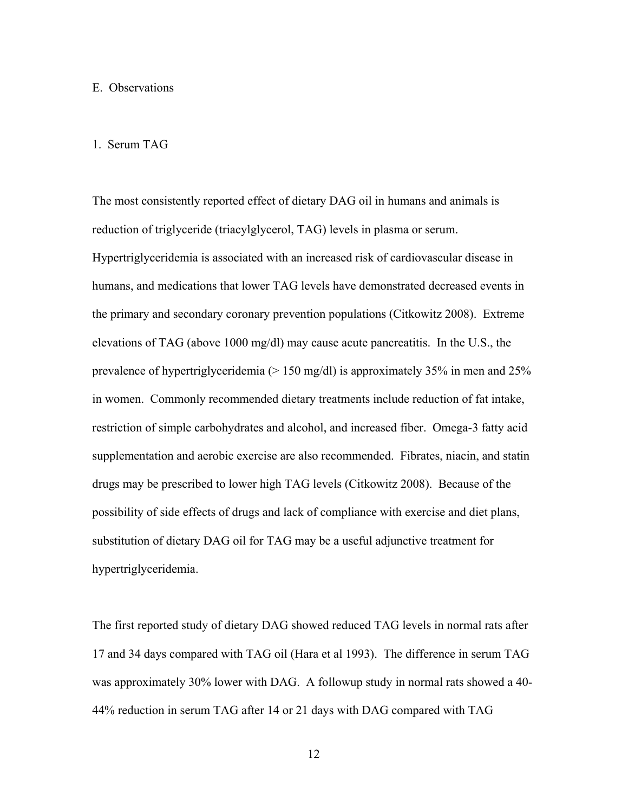#### E. Observations

#### 1. Serum TAG

The most consistently reported effect of dietary DAG oil in humans and animals is reduction of triglyceride (triacylglycerol, TAG) levels in plasma or serum. Hypertriglyceridemia is associated with an increased risk of cardiovascular disease in humans, and medications that lower TAG levels have demonstrated decreased events in the primary and secondary coronary prevention populations (Citkowitz 2008). Extreme elevations of TAG (above 1000 mg/dl) may cause acute pancreatitis. In the U.S., the prevalence of hypertriglyceridemia (> 150 mg/dl) is approximately 35% in men and 25% in women. Commonly recommended dietary treatments include reduction of fat intake, restriction of simple carbohydrates and alcohol, and increased fiber. Omega-3 fatty acid supplementation and aerobic exercise are also recommended. Fibrates, niacin, and statin drugs may be prescribed to lower high TAG levels (Citkowitz 2008). Because of the possibility of side effects of drugs and lack of compliance with exercise and diet plans, substitution of dietary DAG oil for TAG may be a useful adjunctive treatment for hypertriglyceridemia.

The first reported study of dietary DAG showed reduced TAG levels in normal rats after 17 and 34 days compared with TAG oil (Hara et al 1993). The difference in serum TAG was approximately 30% lower with DAG. A followup study in normal rats showed a 40- 44% reduction in serum TAG after 14 or 21 days with DAG compared with TAG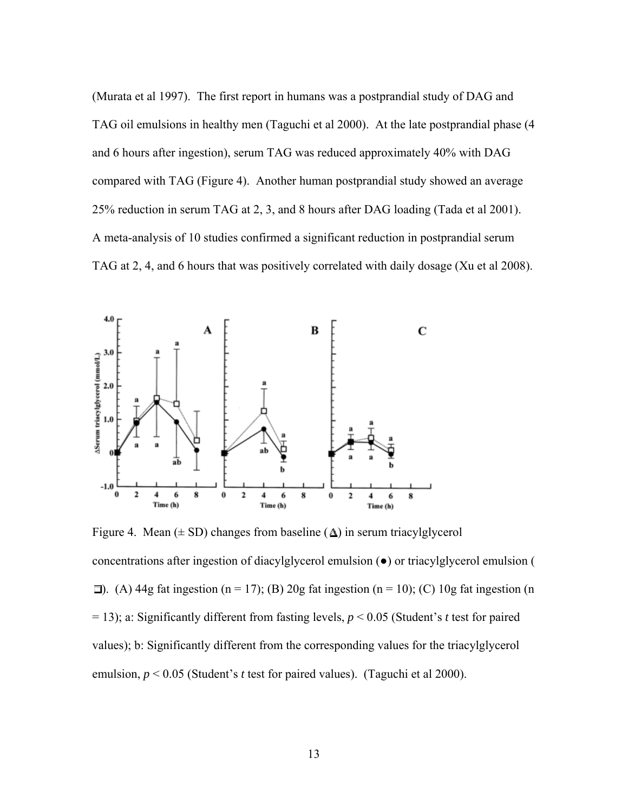(Murata et al 1997). The first report in humans was a postprandial study of DAG and TAG oil emulsions in healthy men (Taguchi et al 2000). At the late postprandial phase (4 and 6 hours after ingestion), serum TAG was reduced approximately 40% with DAG compared with TAG (Figure 4). Another human postprandial study showed an average 25% reduction in serum TAG at 2, 3, and 8 hours after DAG loading (Tada et al 2001). A meta-analysis of 10 studies confirmed a significant reduction in postprandial serum TAG at 2, 4, and 6 hours that was positively correlated with daily dosage (Xu et al 2008).



Figure 4. Mean  $(\pm SD)$  changes from baseline  $(\Delta)$  in serum triacylglycerol concentrations after ingestion of diacylglycerol emulsion (●) or triacylglycerol emulsion (  $\Box$ ). (A) 44g fat ingestion (n = 17); (B) 20g fat ingestion (n = 10); (C) 10g fat ingestion (n = 13); a: Significantly different from fasting levels, *p* < 0.05 (Student's *t* test for paired values); b: Significantly different from the corresponding values for the triacylglycerol emulsion, *p* < 0.05 (Student's *t* test for paired values). (Taguchi et al 2000).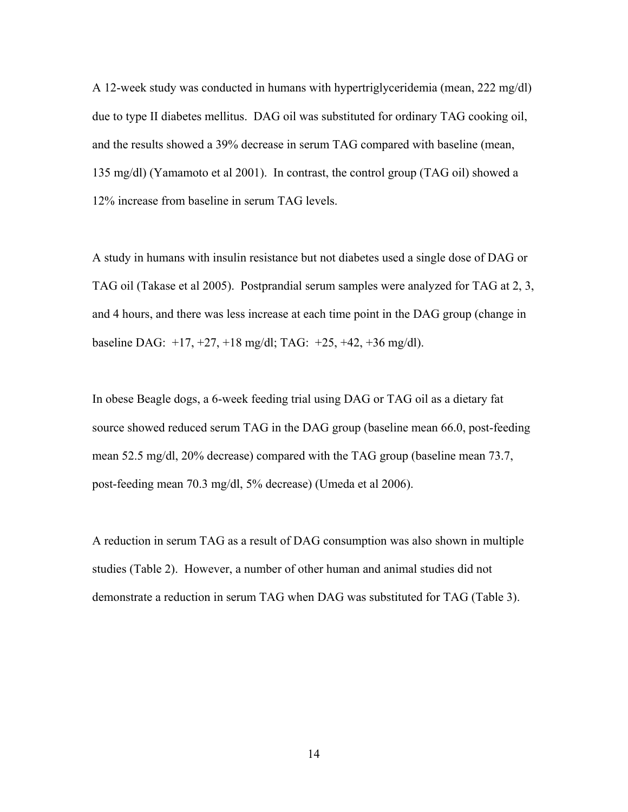A 12-week study was conducted in humans with hypertriglyceridemia (mean, 222 mg/dl) due to type II diabetes mellitus. DAG oil was substituted for ordinary TAG cooking oil, and the results showed a 39% decrease in serum TAG compared with baseline (mean, 135 mg/dl) (Yamamoto et al 2001). In contrast, the control group (TAG oil) showed a 12% increase from baseline in serum TAG levels.

A study in humans with insulin resistance but not diabetes used a single dose of DAG or TAG oil (Takase et al 2005). Postprandial serum samples were analyzed for TAG at 2, 3, and 4 hours, and there was less increase at each time point in the DAG group (change in baseline DAG: +17, +27, +18 mg/dl; TAG: +25, +42, +36 mg/dl).

In obese Beagle dogs, a 6-week feeding trial using DAG or TAG oil as a dietary fat source showed reduced serum TAG in the DAG group (baseline mean 66.0, post-feeding mean 52.5 mg/dl, 20% decrease) compared with the TAG group (baseline mean 73.7, post-feeding mean 70.3 mg/dl, 5% decrease) (Umeda et al 2006).

A reduction in serum TAG as a result of DAG consumption was also shown in multiple studies (Table 2). However, a number of other human and animal studies did not demonstrate a reduction in serum TAG when DAG was substituted for TAG (Table 3).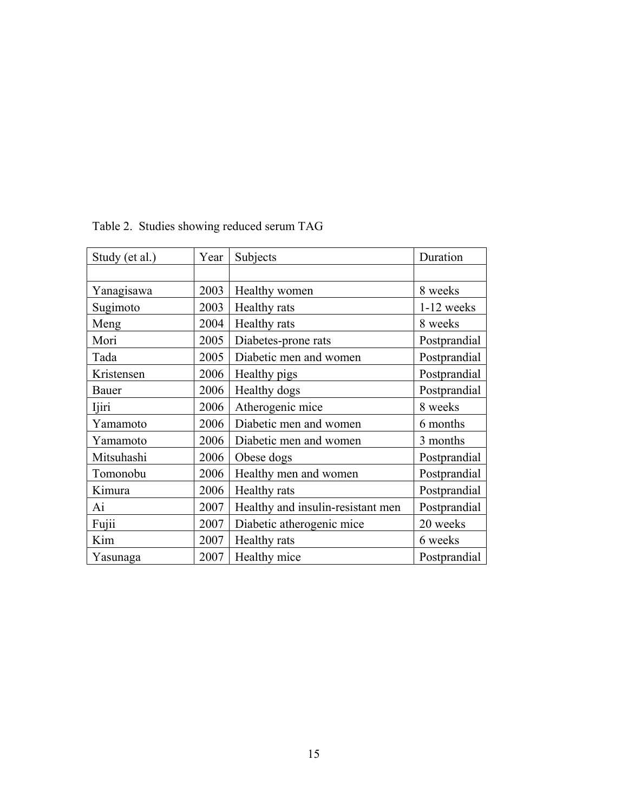| Study (et al.) | Year | Subjects                          | Duration     |
|----------------|------|-----------------------------------|--------------|
|                |      |                                   |              |
| Yanagisawa     | 2003 | Healthy women                     | 8 weeks      |
| Sugimoto       | 2003 | Healthy rats                      | 1-12 weeks   |
| Meng           | 2004 | Healthy rats                      | 8 weeks      |
| Mori           | 2005 | Diabetes-prone rats               | Postprandial |
| Tada           | 2005 | Diabetic men and women            | Postprandial |
| Kristensen     | 2006 | Healthy pigs                      | Postprandial |
| Bauer          | 2006 | Healthy dogs                      | Postprandial |
| Ijiri          | 2006 | Atherogenic mice                  | 8 weeks      |
| Yamamoto       | 2006 | Diabetic men and women            | 6 months     |
| Yamamoto       | 2006 | Diabetic men and women            | 3 months     |
| Mitsuhashi     | 2006 | Obese dogs                        | Postprandial |
| Tomonobu       | 2006 | Healthy men and women             | Postprandial |
| Kimura         | 2006 | Healthy rats                      | Postprandial |
| Ai             | 2007 | Healthy and insulin-resistant men | Postprandial |
| Fujii          | 2007 | Diabetic atherogenic mice         | 20 weeks     |
| Kim            | 2007 | Healthy rats                      | 6 weeks      |
| Yasunaga       | 2007 | Healthy mice                      | Postprandial |

Table 2. Studies showing reduced serum TAG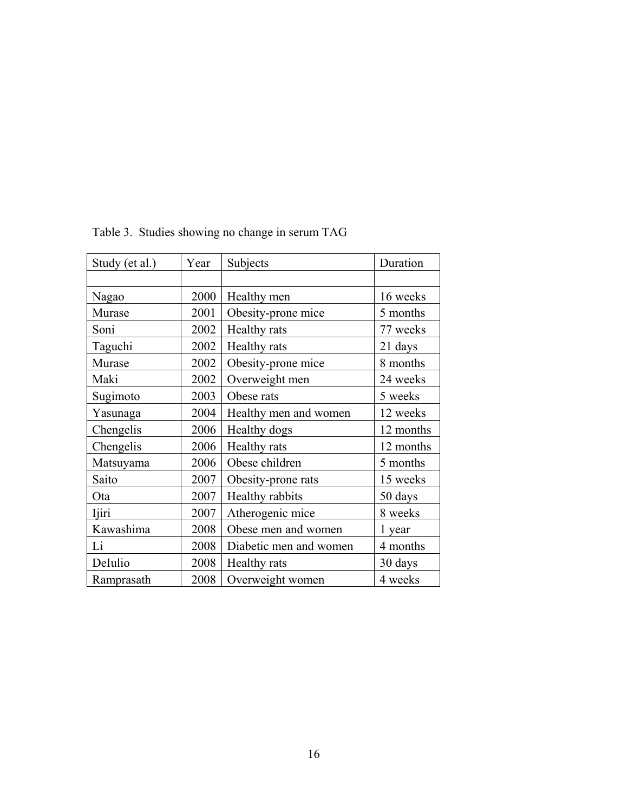| Study (et al.) | Year | Subjects               | Duration  |
|----------------|------|------------------------|-----------|
|                |      |                        |           |
| Nagao          | 2000 | Healthy men            | 16 weeks  |
| Murase         | 2001 | Obesity-prone mice     | 5 months  |
| Soni           | 2002 | Healthy rats           | 77 weeks  |
| Taguchi        | 2002 | Healthy rats           | 21 days   |
| Murase         | 2002 | Obesity-prone mice     | 8 months  |
| Maki           | 2002 | Overweight men         | 24 weeks  |
| Sugimoto       | 2003 | Obese rats             | 5 weeks   |
| Yasunaga       | 2004 | Healthy men and women  | 12 weeks  |
| Chengelis      | 2006 | Healthy dogs           | 12 months |
| Chengelis      | 2006 | Healthy rats           | 12 months |
| Matsuyama      | 2006 | Obese children         | 5 months  |
| Saito          | 2007 | Obesity-prone rats     | 15 weeks  |
| Ota            | 2007 | Healthy rabbits        | 50 days   |
| Ijiri          | 2007 | Atherogenic mice       | 8 weeks   |
| Kawashima      | 2008 | Obese men and women    | 1 year    |
| Li             | 2008 | Diabetic men and women | 4 months  |
| DeIulio        | 2008 | Healthy rats           | 30 days   |
| Ramprasath     | 2008 | Overweight women       | 4 weeks   |

Table 3. Studies showing no change in serum TAG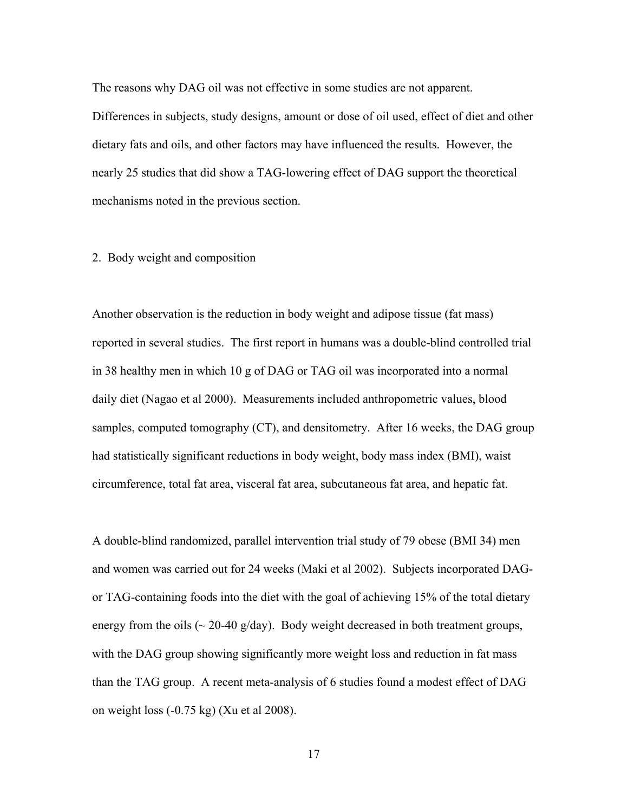The reasons why DAG oil was not effective in some studies are not apparent. Differences in subjects, study designs, amount or dose of oil used, effect of diet and other dietary fats and oils, and other factors may have influenced the results. However, the nearly 25 studies that did show a TAG-lowering effect of DAG support the theoretical mechanisms noted in the previous section.

### 2. Body weight and composition

Another observation is the reduction in body weight and adipose tissue (fat mass) reported in several studies. The first report in humans was a double-blind controlled trial in 38 healthy men in which 10 g of DAG or TAG oil was incorporated into a normal daily diet (Nagao et al 2000). Measurements included anthropometric values, blood samples, computed tomography (CT), and densitometry. After 16 weeks, the DAG group had statistically significant reductions in body weight, body mass index (BMI), waist circumference, total fat area, visceral fat area, subcutaneous fat area, and hepatic fat.

A double-blind randomized, parallel intervention trial study of 79 obese (BMI 34) men and women was carried out for 24 weeks (Maki et al 2002). Subjects incorporated DAGor TAG-containing foods into the diet with the goal of achieving 15% of the total dietary energy from the oils ( $\sim$  20-40 g/day). Body weight decreased in both treatment groups, with the DAG group showing significantly more weight loss and reduction in fat mass than the TAG group. A recent meta-analysis of 6 studies found a modest effect of DAG on weight loss (-0.75 kg) (Xu et al 2008).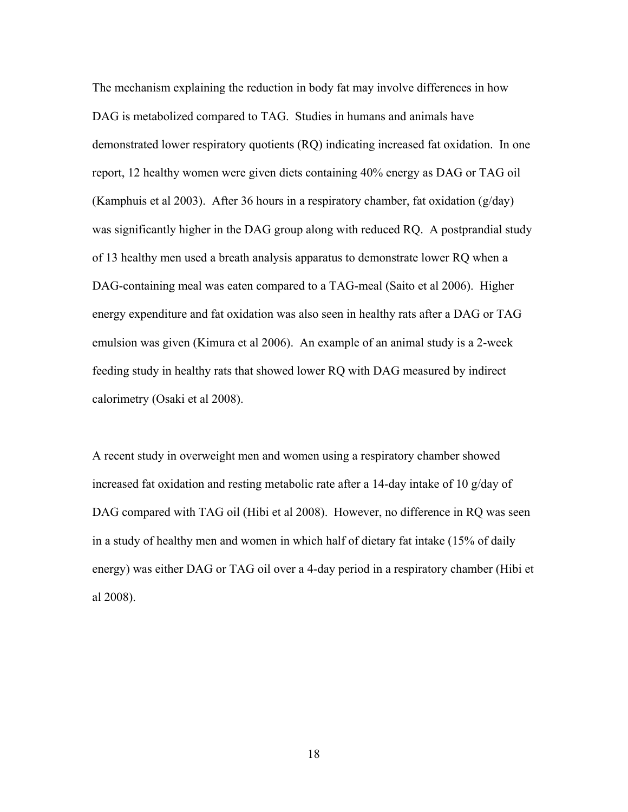The mechanism explaining the reduction in body fat may involve differences in how DAG is metabolized compared to TAG. Studies in humans and animals have demonstrated lower respiratory quotients (RQ) indicating increased fat oxidation. In one report, 12 healthy women were given diets containing 40% energy as DAG or TAG oil (Kamphuis et al 2003). After 36 hours in a respiratory chamber, fat oxidation  $(g/day)$ was significantly higher in the DAG group along with reduced RQ. A postprandial study of 13 healthy men used a breath analysis apparatus to demonstrate lower RQ when a DAG-containing meal was eaten compared to a TAG-meal (Saito et al 2006). Higher energy expenditure and fat oxidation was also seen in healthy rats after a DAG or TAG emulsion was given (Kimura et al 2006). An example of an animal study is a 2-week feeding study in healthy rats that showed lower RQ with DAG measured by indirect calorimetry (Osaki et al 2008).

A recent study in overweight men and women using a respiratory chamber showed increased fat oxidation and resting metabolic rate after a 14-day intake of 10 g/day of DAG compared with TAG oil (Hibi et al 2008). However, no difference in RQ was seen in a study of healthy men and women in which half of dietary fat intake (15% of daily energy) was either DAG or TAG oil over a 4-day period in a respiratory chamber (Hibi et al 2008).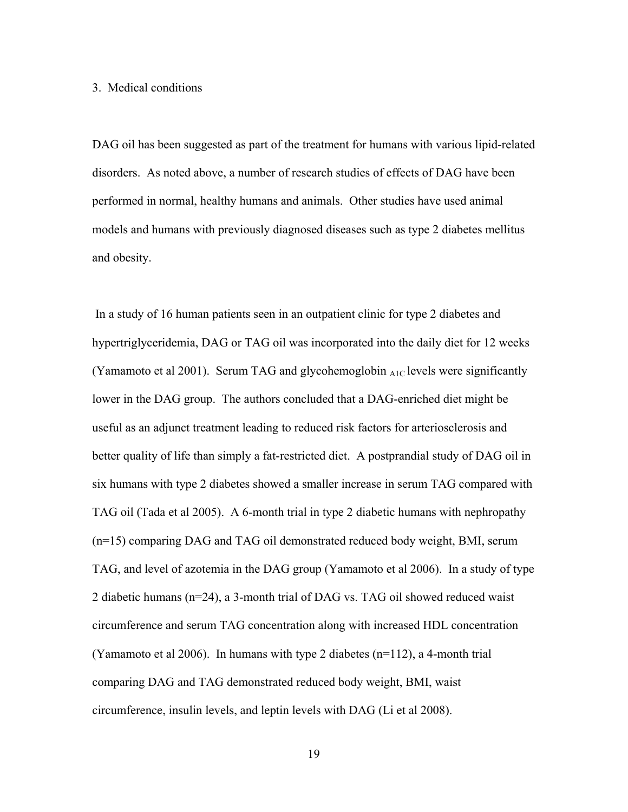#### 3. Medical conditions

DAG oil has been suggested as part of the treatment for humans with various lipid-related disorders. As noted above, a number of research studies of effects of DAG have been performed in normal, healthy humans and animals. Other studies have used animal models and humans with previously diagnosed diseases such as type 2 diabetes mellitus and obesity.

 In a study of 16 human patients seen in an outpatient clinic for type 2 diabetes and hypertriglyceridemia, DAG or TAG oil was incorporated into the daily diet for 12 weeks (Yamamoto et al 2001). Serum TAG and glycohemoglobin  $_{AIC}$  levels were significantly lower in the DAG group. The authors concluded that a DAG-enriched diet might be useful as an adjunct treatment leading to reduced risk factors for arteriosclerosis and better quality of life than simply a fat-restricted diet. A postprandial study of DAG oil in six humans with type 2 diabetes showed a smaller increase in serum TAG compared with TAG oil (Tada et al 2005). A 6-month trial in type 2 diabetic humans with nephropathy (n=15) comparing DAG and TAG oil demonstrated reduced body weight, BMI, serum TAG, and level of azotemia in the DAG group (Yamamoto et al 2006). In a study of type 2 diabetic humans (n=24), a 3-month trial of DAG vs. TAG oil showed reduced waist circumference and serum TAG concentration along with increased HDL concentration (Yamamoto et al 2006). In humans with type 2 diabetes (n=112), a 4-month trial comparing DAG and TAG demonstrated reduced body weight, BMI, waist circumference, insulin levels, and leptin levels with DAG (Li et al 2008).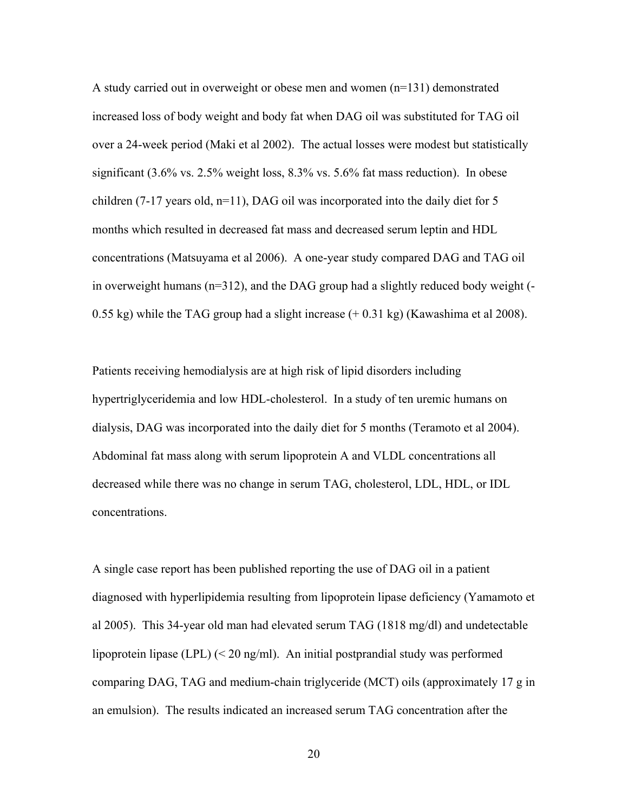A study carried out in overweight or obese men and women (n=131) demonstrated increased loss of body weight and body fat when DAG oil was substituted for TAG oil over a 24-week period (Maki et al 2002). The actual losses were modest but statistically significant (3.6% vs. 2.5% weight loss, 8.3% vs. 5.6% fat mass reduction). In obese children (7-17 years old, n=11), DAG oil was incorporated into the daily diet for 5 months which resulted in decreased fat mass and decreased serum leptin and HDL concentrations (Matsuyama et al 2006). A one-year study compared DAG and TAG oil in overweight humans (n=312), and the DAG group had a slightly reduced body weight (- 0.55 kg) while the TAG group had a slight increase (+ 0.31 kg) (Kawashima et al 2008).

Patients receiving hemodialysis are at high risk of lipid disorders including hypertriglyceridemia and low HDL-cholesterol. In a study of ten uremic humans on dialysis, DAG was incorporated into the daily diet for 5 months (Teramoto et al 2004). Abdominal fat mass along with serum lipoprotein A and VLDL concentrations all decreased while there was no change in serum TAG, cholesterol, LDL, HDL, or IDL concentrations.

A single case report has been published reporting the use of DAG oil in a patient diagnosed with hyperlipidemia resulting from lipoprotein lipase deficiency (Yamamoto et al 2005). This 34-year old man had elevated serum TAG (1818 mg/dl) and undetectable lipoprotein lipase (LPL) (< 20 ng/ml). An initial postprandial study was performed comparing DAG, TAG and medium-chain triglyceride (MCT) oils (approximately 17 g in an emulsion). The results indicated an increased serum TAG concentration after the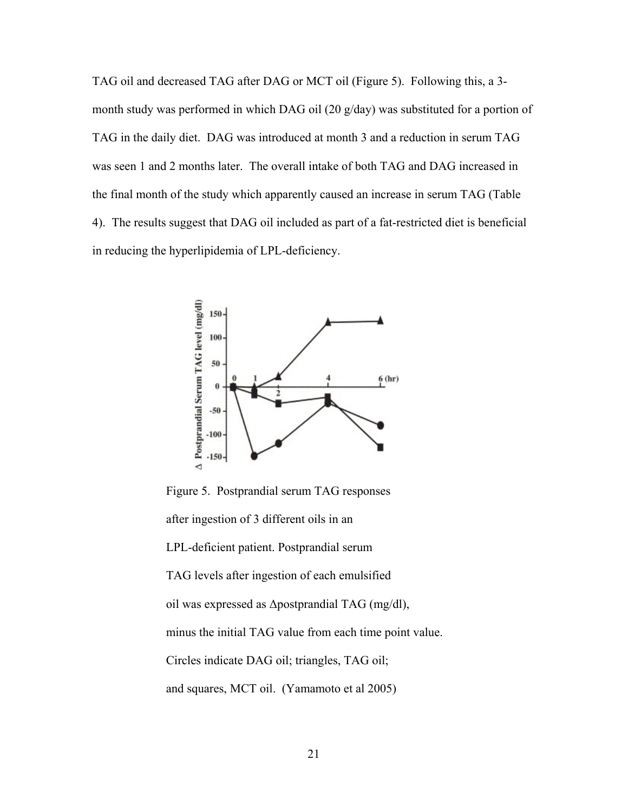TAG oil and decreased TAG after DAG or MCT oil (Figure 5). Following this, a 3 month study was performed in which DAG oil (20 g/day) was substituted for a portion of TAG in the daily diet. DAG was introduced at month 3 and a reduction in serum TAG was seen 1 and 2 months later. The overall intake of both TAG and DAG increased in the final month of the study which apparently caused an increase in serum TAG (Table 4). The results suggest that DAG oil included as part of a fat-restricted diet is beneficial in reducing the hyperlipidemia of LPL-deficiency.



 Figure 5. Postprandial serum TAG responses after ingestion of 3 different oils in an LPL-deficient patient. Postprandial serum TAG levels after ingestion of each emulsified oil was expressed as Δpostprandial TAG (mg/dl), minus the initial TAG value from each time point value. Circles indicate DAG oil; triangles, TAG oil; and squares, MCT oil. (Yamamoto et al 2005)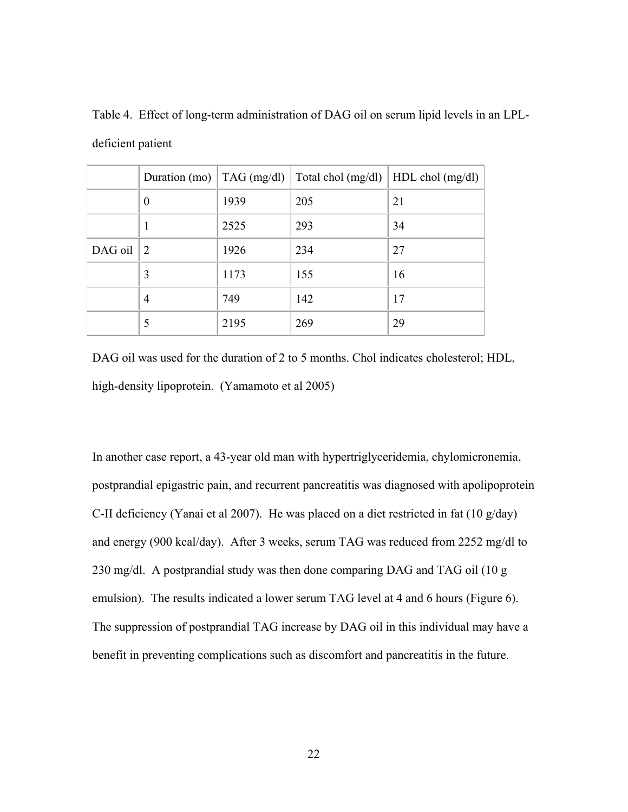|           | Duration (mo) $\vert$ TAG (mg/dl) |      | Total chol (mg/dl)   HDL chol (mg/dl) |    |
|-----------|-----------------------------------|------|---------------------------------------|----|
|           | $\theta$                          | 1939 | 205                                   | 21 |
|           | ı                                 | 2525 | 293                                   | 34 |
| $DAG$ oil | 2                                 | 1926 | 234                                   | 27 |
|           | 3                                 | 1173 | 155                                   | 16 |
|           | $\overline{4}$                    | 749  | 142                                   | 17 |
|           | 5                                 | 2195 | 269                                   | 29 |

Table 4. Effect of long-term administration of DAG oil on serum lipid levels in an LPLdeficient patient

DAG oil was used for the duration of 2 to 5 months. Chol indicates cholesterol; HDL, high-density lipoprotein. (Yamamoto et al 2005)

In another case report, a 43-year old man with hypertriglyceridemia, chylomicronemia, postprandial epigastric pain, and recurrent pancreatitis was diagnosed with apolipoprotein C-II deficiency (Yanai et al 2007). He was placed on a diet restricted in fat (10 g/day) and energy (900 kcal/day). After 3 weeks, serum TAG was reduced from 2252 mg/dl to 230 mg/dl. A postprandial study was then done comparing DAG and TAG oil (10 g emulsion). The results indicated a lower serum TAG level at 4 and 6 hours (Figure 6). The suppression of postprandial TAG increase by DAG oil in this individual may have a benefit in preventing complications such as discomfort and pancreatitis in the future.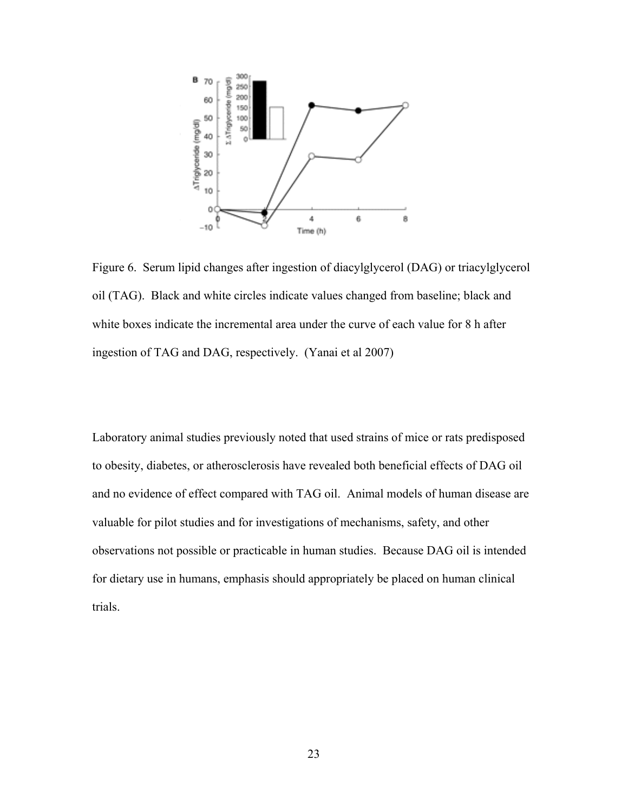

Figure 6. Serum lipid changes after ingestion of diacylglycerol (DAG) or triacylglycerol oil (TAG). Black and white circles indicate values changed from baseline; black and white boxes indicate the incremental area under the curve of each value for 8 h after ingestion of TAG and DAG, respectively. (Yanai et al 2007)

Laboratory animal studies previously noted that used strains of mice or rats predisposed to obesity, diabetes, or atherosclerosis have revealed both beneficial effects of DAG oil and no evidence of effect compared with TAG oil. Animal models of human disease are valuable for pilot studies and for investigations of mechanisms, safety, and other observations not possible or practicable in human studies. Because DAG oil is intended for dietary use in humans, emphasis should appropriately be placed on human clinical trials.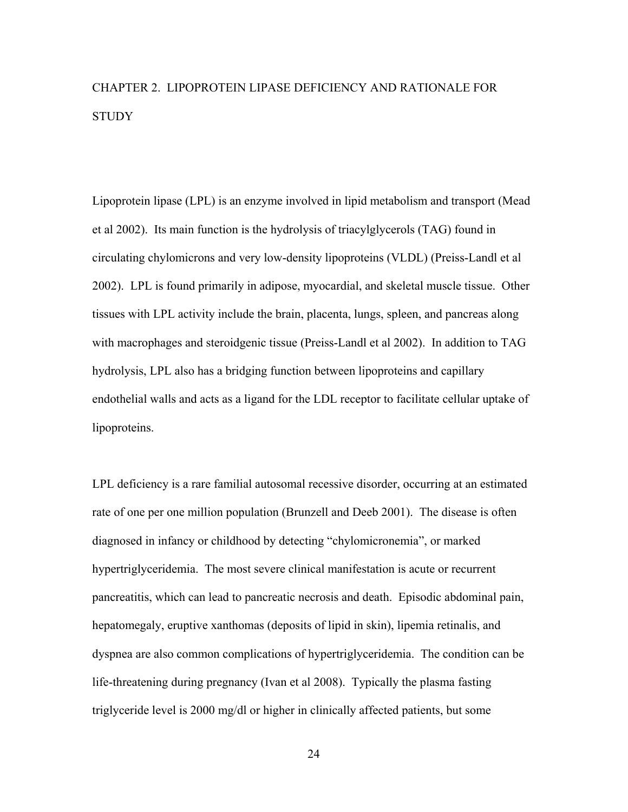# CHAPTER 2. LIPOPROTEIN LIPASE DEFICIENCY AND RATIONALE FOR **STUDY**

Lipoprotein lipase (LPL) is an enzyme involved in lipid metabolism and transport (Mead et al 2002). Its main function is the hydrolysis of triacylglycerols (TAG) found in circulating chylomicrons and very low-density lipoproteins (VLDL) (Preiss-Landl et al 2002). LPL is found primarily in adipose, myocardial, and skeletal muscle tissue. Other tissues with LPL activity include the brain, placenta, lungs, spleen, and pancreas along with macrophages and steroidgenic tissue (Preiss-Landl et al 2002). In addition to TAG hydrolysis, LPL also has a bridging function between lipoproteins and capillary endothelial walls and acts as a ligand for the LDL receptor to facilitate cellular uptake of lipoproteins.

LPL deficiency is a rare familial autosomal recessive disorder, occurring at an estimated rate of one per one million population (Brunzell and Deeb 2001). The disease is often diagnosed in infancy or childhood by detecting "chylomicronemia", or marked hypertriglyceridemia. The most severe clinical manifestation is acute or recurrent pancreatitis, which can lead to pancreatic necrosis and death. Episodic abdominal pain, hepatomegaly, eruptive xanthomas (deposits of lipid in skin), lipemia retinalis, and dyspnea are also common complications of hypertriglyceridemia. The condition can be life-threatening during pregnancy (Ivan et al 2008). Typically the plasma fasting triglyceride level is 2000 mg/dl or higher in clinically affected patients, but some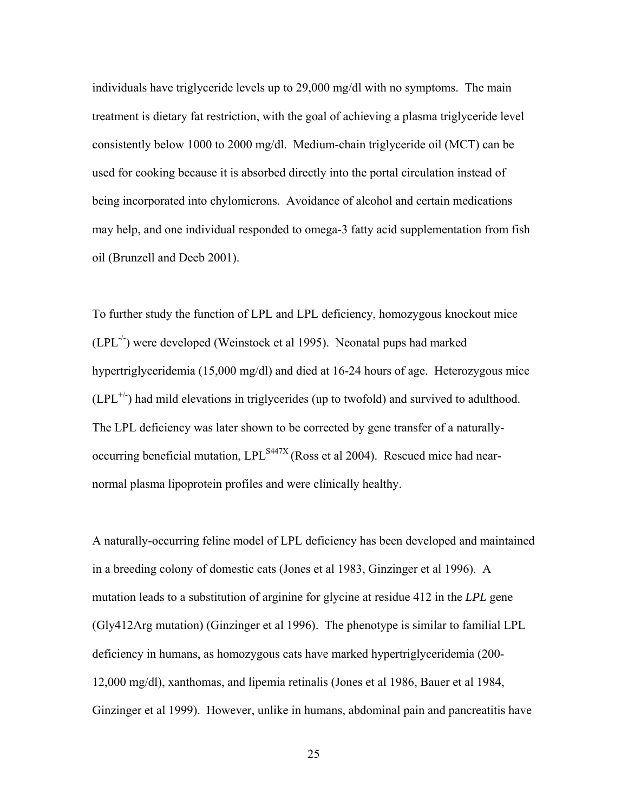individuals have triglyceride levels up to 29,000 mg/dl with no symptoms. The main treatment is dietary fat restriction, with the goal of achieving a plasma triglyceride level consistently below 1000 to 2000 mg/dl. Medium-chain triglyceride oil (MCT) can be used for cooking because it is absorbed directly into the portal circulation instead of being incorporated into chylomicrons. Avoidance of alcohol and certain medications may help, and one individual responded to omega-3 fatty acid supplementation from fish oil (Brunzell and Deeb 2001).

To further study the function of LPL and LPL deficiency, homozygous knockout mice  $(LPL^{-1})$  were developed (Weinstock et al 1995). Neonatal pups had marked hypertriglyceridemia (15,000 mg/dl) and died at 16-24 hours of age. Heterozygous mice  $(LPL<sup>+/-</sup>)$  had mild elevations in triglycerides (up to twofold) and survived to adulthood. The LPL deficiency was later shown to be corrected by gene transfer of a naturallyoccurring beneficial mutation,  $LPL^{S447X}$  (Ross et al 2004). Rescued mice had nearnormal plasma lipoprotein profiles and were clinically healthy.

A naturally-occurring feline model of LPL deficiency has been developed and maintained in a breeding colony of domestic cats (Jones et al 1983, Ginzinger et al 1996). A mutation leads to a substitution of arginine for glycine at residue 412 in the *LPL* gene (Gly412Arg mutation) (Ginzinger et al 1996). The phenotype is similar to familial LPL deficiency in humans, as homozygous cats have marked hypertriglyceridemia (200- 12,000 mg/dl), xanthomas, and lipemia retinalis (Jones et al 1986, Bauer et al 1984, Ginzinger et al 1999). However, unlike in humans, abdominal pain and pancreatitis have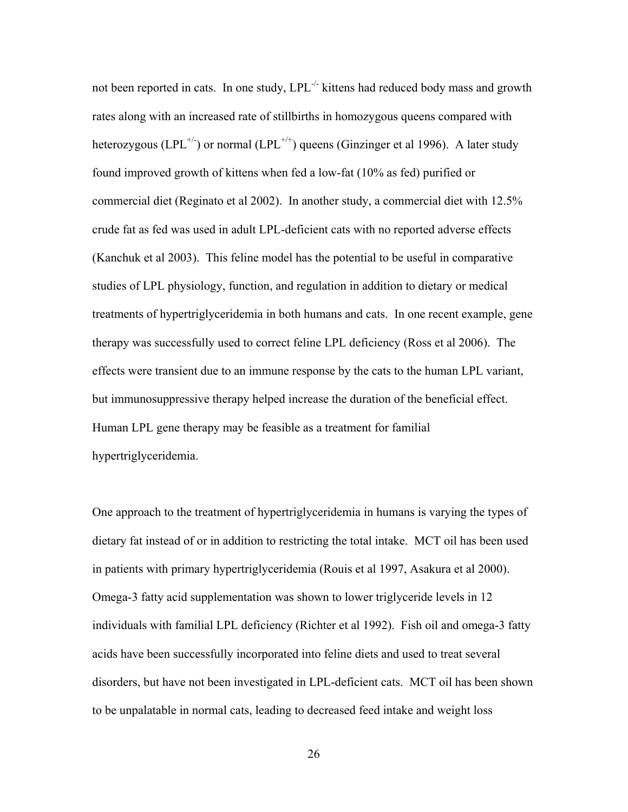not been reported in cats. In one study, LPL<sup>-/-</sup> kittens had reduced body mass and growth rates along with an increased rate of stillbirths in homozygous queens compared with heterozygous (LPL<sup>+/-</sup>) or normal (LPL<sup>+/+</sup>) queens (Ginzinger et al 1996). A later study found improved growth of kittens when fed a low-fat (10% as fed) purified or commercial diet (Reginato et al 2002). In another study, a commercial diet with 12.5% crude fat as fed was used in adult LPL-deficient cats with no reported adverse effects (Kanchuk et al 2003). This feline model has the potential to be useful in comparative studies of LPL physiology, function, and regulation in addition to dietary or medical treatments of hypertriglyceridemia in both humans and cats. In one recent example, gene therapy was successfully used to correct feline LPL deficiency (Ross et al 2006). The effects were transient due to an immune response by the cats to the human LPL variant, but immunosuppressive therapy helped increase the duration of the beneficial effect. Human LPL gene therapy may be feasible as a treatment for familial hypertriglyceridemia.

One approach to the treatment of hypertriglyceridemia in humans is varying the types of dietary fat instead of or in addition to restricting the total intake. MCT oil has been used in patients with primary hypertriglyceridemia (Rouis et al 1997, Asakura et al 2000). Omega-3 fatty acid supplementation was shown to lower triglyceride levels in 12 individuals with familial LPL deficiency (Richter et al 1992). Fish oil and omega-3 fatty acids have been successfully incorporated into feline diets and used to treat several disorders, but have not been investigated in LPL-deficient cats. MCT oil has been shown to be unpalatable in normal cats, leading to decreased feed intake and weight loss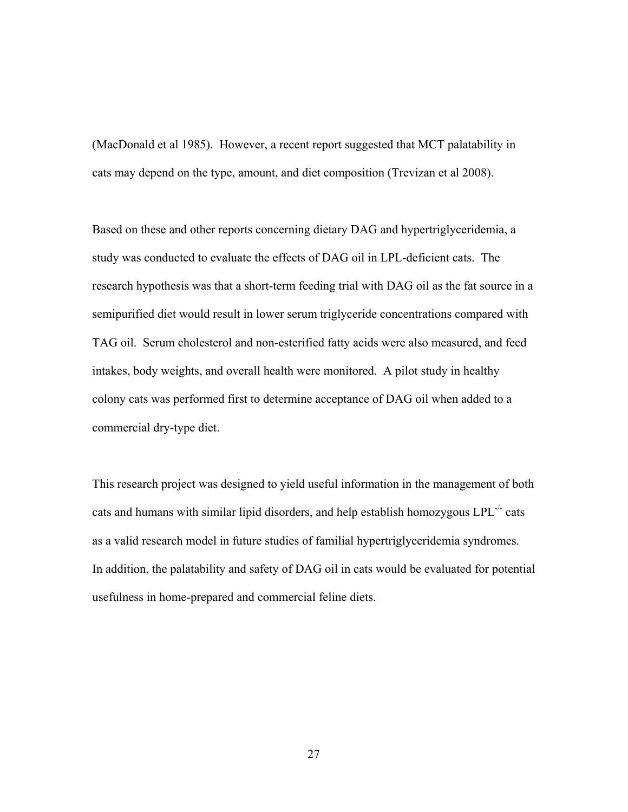(MacDonald et al 1985). However, a recent report suggested that MCT palatability in cats may depend on the type, amount, and diet composition (Trevizan et al 2008).

Based on these and other reports concerning dietary DAG and hypertriglyceridemia, a study was conducted to evaluate the effects of DAG oil in LPL-deficient cats. The research hypothesis was that a short-term feeding trial with DAG oil as the fat source in a semipurified diet would result in lower serum triglyceride concentrations compared with TAG oil. Serum cholesterol and non-esterified fatty acids were also measured, and feed intakes, body weights, and overall health were monitored. A pilot study in healthy colony cats was performed first to determine acceptance of DAG oil when added to a commercial dry-type diet.

This research project was designed to yield useful information in the management of both cats and humans with similar lipid disorders, and help establish homozygous LPL-/- cats as a valid research model in future studies of familial hypertriglyceridemia syndromes. In addition, the palatability and safety of DAG oil in cats would be evaluated for potential usefulness in home-prepared and commercial feline diets.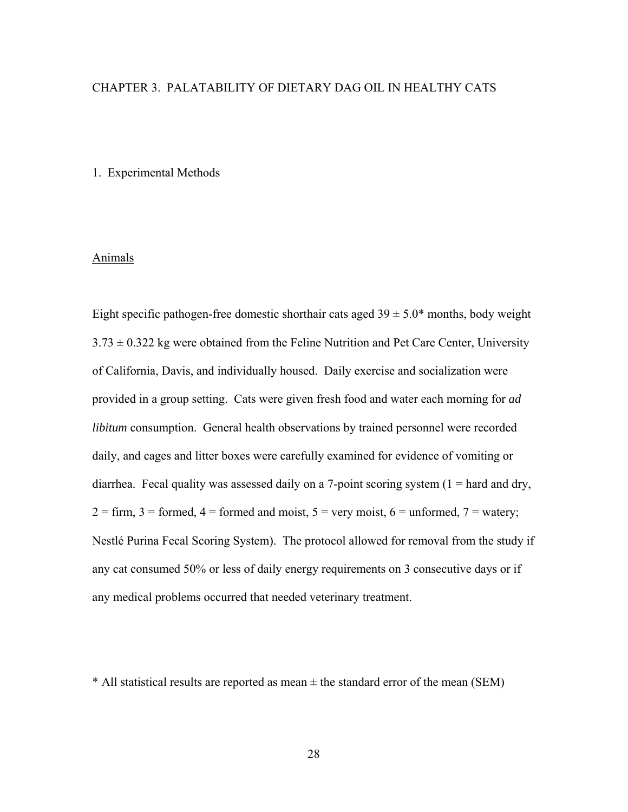## CHAPTER 3. PALATABILITY OF DIETARY DAG OIL IN HEALTHY CATS

## 1. Experimental Methods

### Animals

Eight specific pathogen-free domestic shorthair cats aged  $39 \pm 5.0^*$  months, body weight  $3.73 \pm 0.322$  kg were obtained from the Feline Nutrition and Pet Care Center, University of California, Davis, and individually housed. Daily exercise and socialization were provided in a group setting. Cats were given fresh food and water each morning for *ad libitum* consumption. General health observations by trained personnel were recorded daily, and cages and litter boxes were carefully examined for evidence of vomiting or diarrhea. Fecal quality was assessed daily on a 7-point scoring system  $(1 = \text{hard} \text{ and } \text{dry})$ ,  $2 =$  firm,  $3 =$  formed,  $4 =$  formed and moist,  $5 =$  very moist,  $6 =$  unformed,  $7 =$  watery; Nestlé Purina Fecal Scoring System). The protocol allowed for removal from the study if any cat consumed 50% or less of daily energy requirements on 3 consecutive days or if any medical problems occurred that needed veterinary treatment.

 $*$  All statistical results are reported as mean  $\pm$  the standard error of the mean (SEM)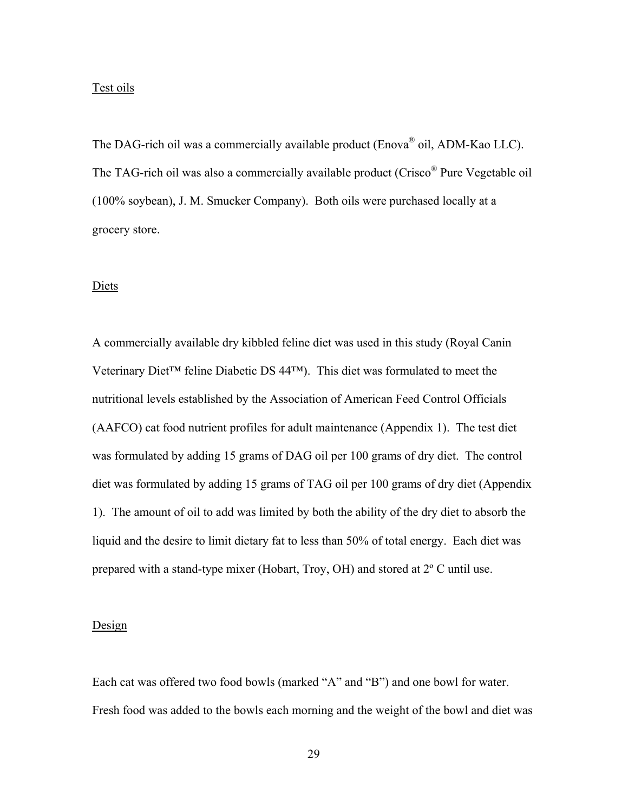#### Test oils

The DAG-rich oil was a commercially available product (Enova<sup>®</sup> oil, ADM-Kao LLC). The TAG-rich oil was also a commercially available product (Crisco<sup>®</sup> Pure Vegetable oil (100% soybean), J. M. Smucker Company). Both oils were purchased locally at a grocery store.

#### Diets

A commercially available dry kibbled feline diet was used in this study (Royal Canin Veterinary Diet™ feline Diabetic DS 44™). This diet was formulated to meet the nutritional levels established by the Association of American Feed Control Officials (AAFCO) cat food nutrient profiles for adult maintenance (Appendix 1). The test diet was formulated by adding 15 grams of DAG oil per 100 grams of dry diet. The control diet was formulated by adding 15 grams of TAG oil per 100 grams of dry diet (Appendix 1). The amount of oil to add was limited by both the ability of the dry diet to absorb the liquid and the desire to limit dietary fat to less than 50% of total energy. Each diet was prepared with a stand-type mixer (Hobart, Troy, OH) and stored at 2º C until use.

#### **Design**

Each cat was offered two food bowls (marked "A" and "B") and one bowl for water. Fresh food was added to the bowls each morning and the weight of the bowl and diet was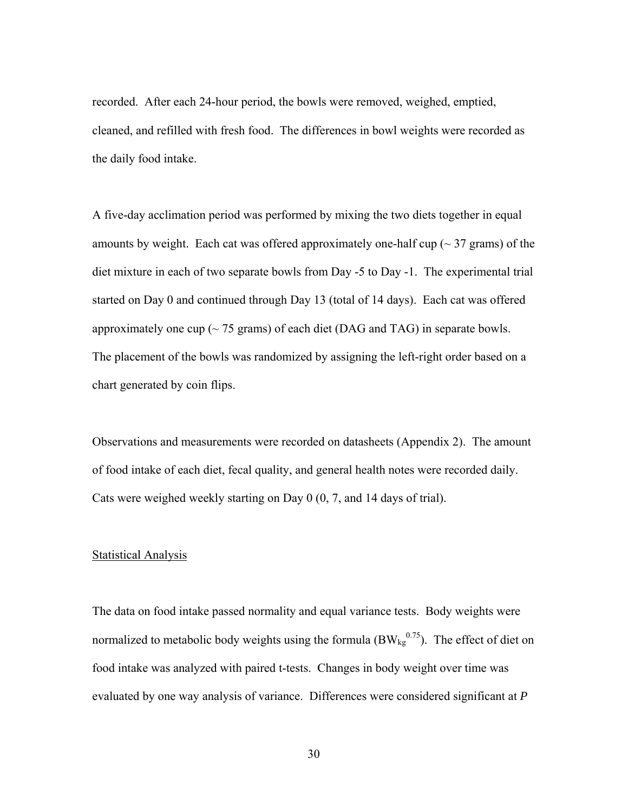recorded. After each 24-hour period, the bowls were removed, weighed, emptied, cleaned, and refilled with fresh food. The differences in bowl weights were recorded as the daily food intake.

A five-day acclimation period was performed by mixing the two diets together in equal amounts by weight. Each cat was offered approximately one-half cup ( $\sim$  37 grams) of the diet mixture in each of two separate bowls from Day -5 to Day -1. The experimental trial started on Day 0 and continued through Day 13 (total of 14 days). Each cat was offered approximately one cup ( $\sim$  75 grams) of each diet (DAG and TAG) in separate bowls. The placement of the bowls was randomized by assigning the left-right order based on a chart generated by coin flips.

Observations and measurements were recorded on datasheets (Appendix 2). The amount of food intake of each diet, fecal quality, and general health notes were recorded daily. Cats were weighed weekly starting on Day 0 (0, 7, and 14 days of trial).

#### Statistical Analysis

The data on food intake passed normality and equal variance tests. Body weights were normalized to metabolic body weights using the formula  $(BW_{kg}^{0.75})$ . The effect of diet on food intake was analyzed with paired t-tests. Changes in body weight over time was evaluated by one way analysis of variance. Differences were considered significant at *P*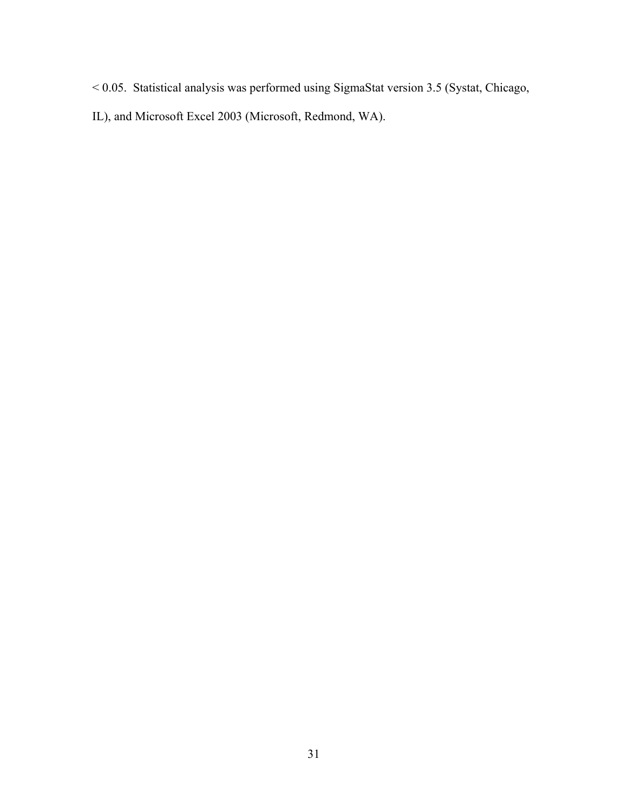- < 0.05. Statistical analysis was performed using SigmaStat version 3.5 (Systat, Chicago,
- IL), and Microsoft Excel 2003 (Microsoft, Redmond, WA).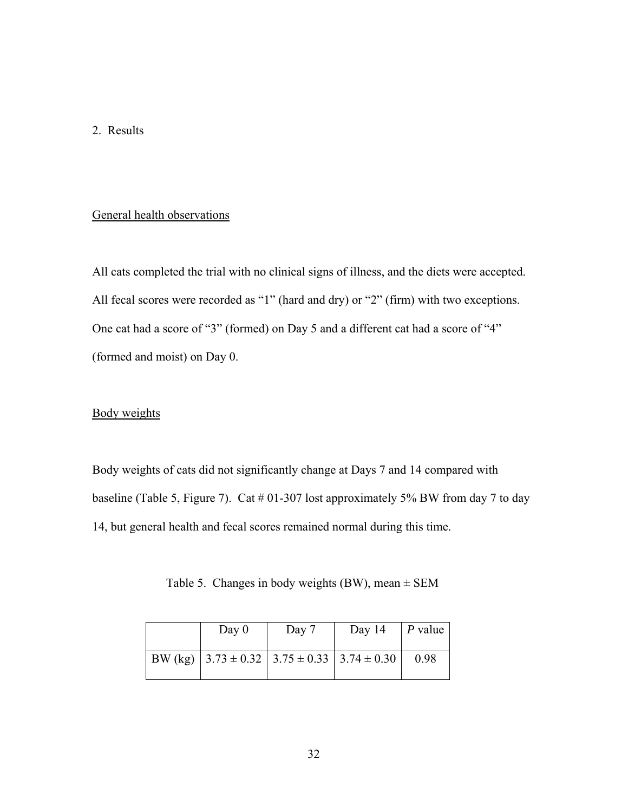## 2. Results

## General health observations

All cats completed the trial with no clinical signs of illness, and the diets were accepted. All fecal scores were recorded as "1" (hard and dry) or "2" (firm) with two exceptions. One cat had a score of "3" (formed) on Day 5 and a different cat had a score of "4" (formed and moist) on Day 0.

## Body weights

Body weights of cats did not significantly change at Days 7 and 14 compared with baseline (Table 5, Figure 7). Cat  $#01-307$  lost approximately 5% BW from day 7 to day 14, but general health and fecal scores remained normal during this time.

Table 5. Changes in body weights (BW), mean  $\pm$  SEM

| Day $0$ | Day 7                                                   | Day 14 | $\mid$ P value |
|---------|---------------------------------------------------------|--------|----------------|
|         | BW (kg) $3.73 \pm 0.32$ $3.75 \pm 0.33$ $3.74 \pm 0.30$ |        | 0.98           |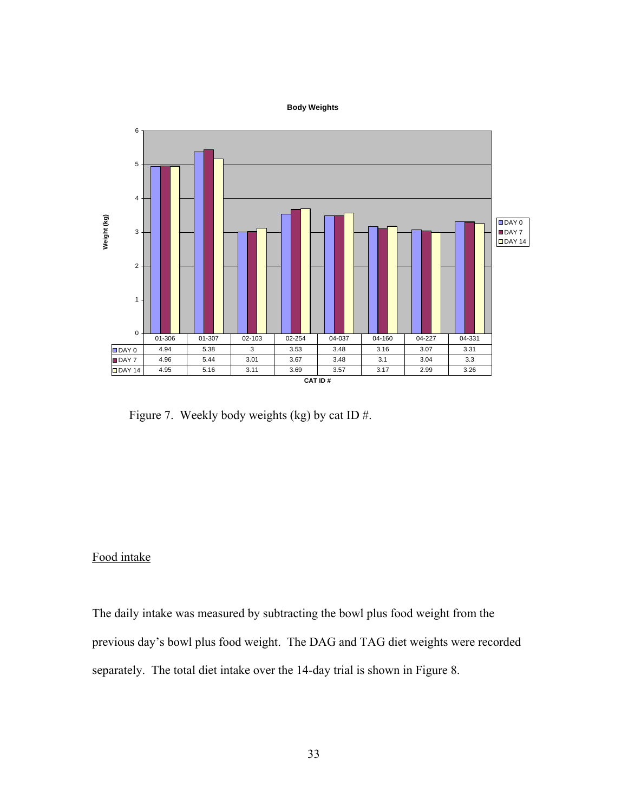#### **Body Weights**



Figure 7. Weekly body weights (kg) by cat ID #.

## Food intake

The daily intake was measured by subtracting the bowl plus food weight from the previous day's bowl plus food weight. The DAG and TAG diet weights were recorded separately. The total diet intake over the 14-day trial is shown in Figure 8.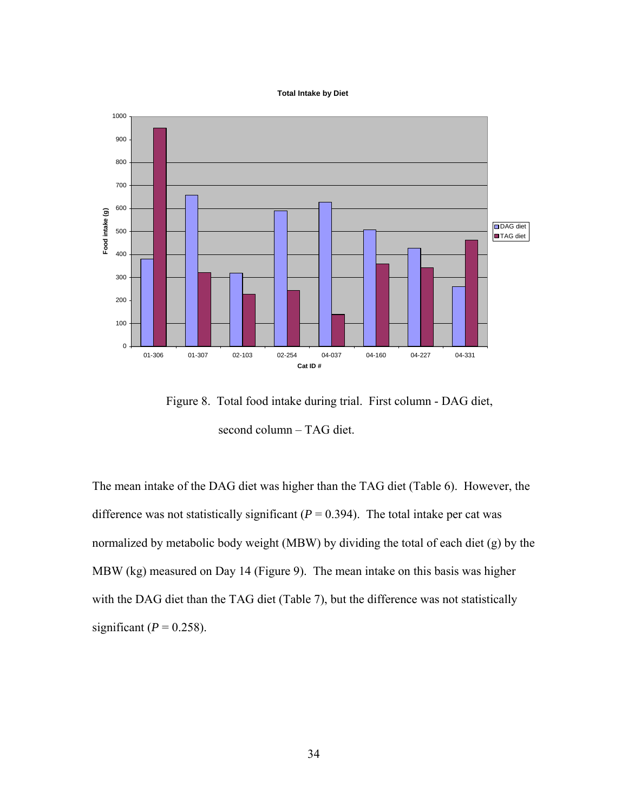#### **Total Intake by Diet**



 Figure 8. Total food intake during trial. First column - DAG diet, second column – TAG diet.

The mean intake of the DAG diet was higher than the TAG diet (Table 6). However, the difference was not statistically significant  $(P = 0.394)$ . The total intake per cat was normalized by metabolic body weight (MBW) by dividing the total of each diet (g) by the MBW (kg) measured on Day 14 (Figure 9). The mean intake on this basis was higher with the DAG diet than the TAG diet (Table 7), but the difference was not statistically significant ( $P = 0.258$ ).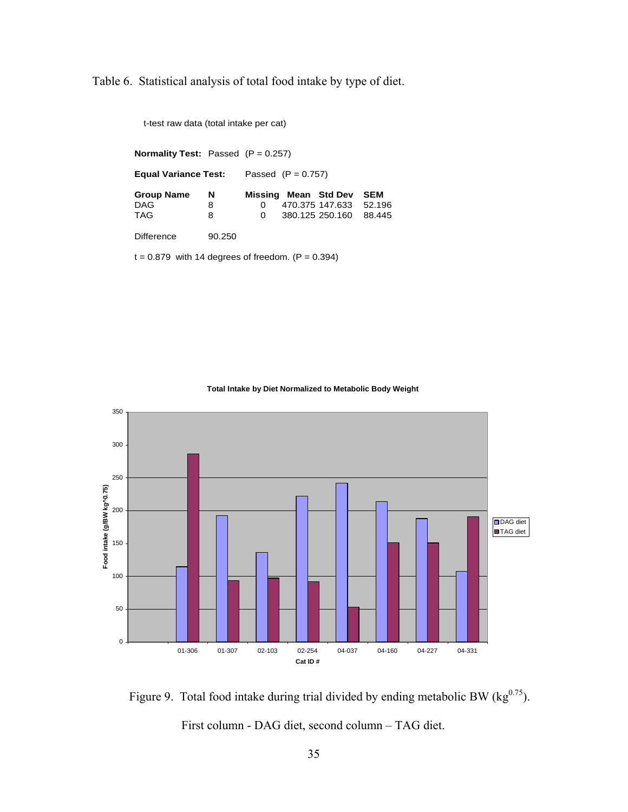Table 6. Statistical analysis of total food intake by type of diet.

| t-test raw data (total intake per cat)              |        |   |                      |                      |            |
|-----------------------------------------------------|--------|---|----------------------|----------------------|------------|
| <b>Normality Test:</b> Passed $(P = 0.257)$         |        |   |                      |                      |            |
| Equal Variance Test:                                |        |   | Passed $(P = 0.757)$ |                      |            |
| <b>Group Name</b>                                   | N      |   |                      | Missing Mean Std Dev | <b>SEM</b> |
| <b>DAG</b>                                          | 8      | 0 |                      | 470.375 147.633      | 52.196     |
| <b>TAG</b>                                          | 8      | 0 |                      | 380.125 250.160      | 88.445     |
| Difference                                          | 90.250 |   |                      |                      |            |
| $t = 0.879$ with 14 degrees of freedom. (P = 0.394) |        |   |                      |                      |            |





Figure 9. Total food intake during trial divided by ending metabolic BW ( $kg^{0.75}$ ). First column - DAG diet, second column – TAG diet.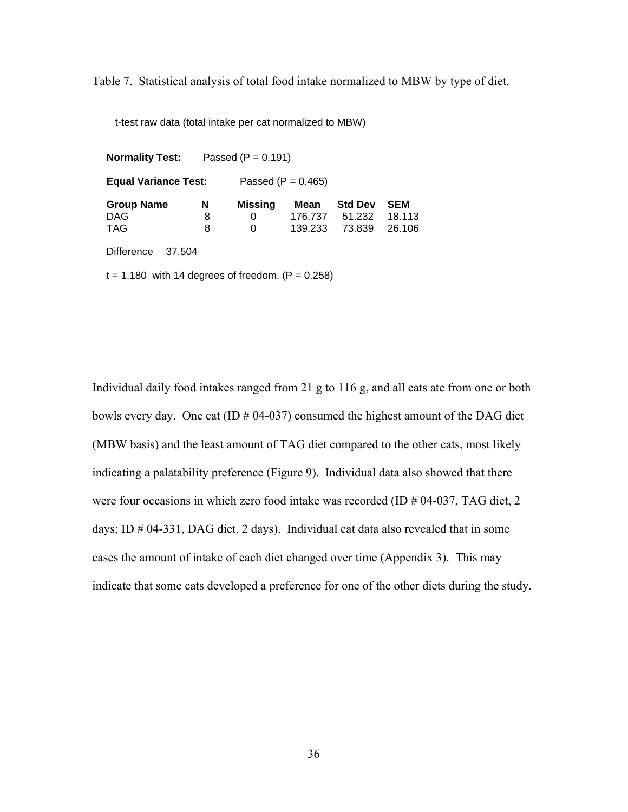Table 7. Statistical analysis of total food intake normalized to MBW by type of diet.

t-test raw data (total intake per cat normalized to MBW)

**Normality Test:** Passed (P = 0.191) **Equal Variance Test:** Passed (P = 0.465)  **Group Name N Missing Mean Std Dev SEM**  DAG 8 0 176.737 51.232 18.113 TAG 8 0 139.233 73.839 26.106 Difference 37.504  $t = 1.180$  with 14 degrees of freedom.  $(P = 0.258)$ 

Individual daily food intakes ranged from 21 g to 116 g, and all cats ate from one or both bowls every day. One cat (ID  $\#$  04-037) consumed the highest amount of the DAG diet (MBW basis) and the least amount of TAG diet compared to the other cats, most likely indicating a palatability preference (Figure 9). Individual data also showed that there were four occasions in which zero food intake was recorded (ID # 04-037, TAG diet, 2 days; ID # 04-331, DAG diet, 2 days). Individual cat data also revealed that in some cases the amount of intake of each diet changed over time (Appendix 3). This may indicate that some cats developed a preference for one of the other diets during the study.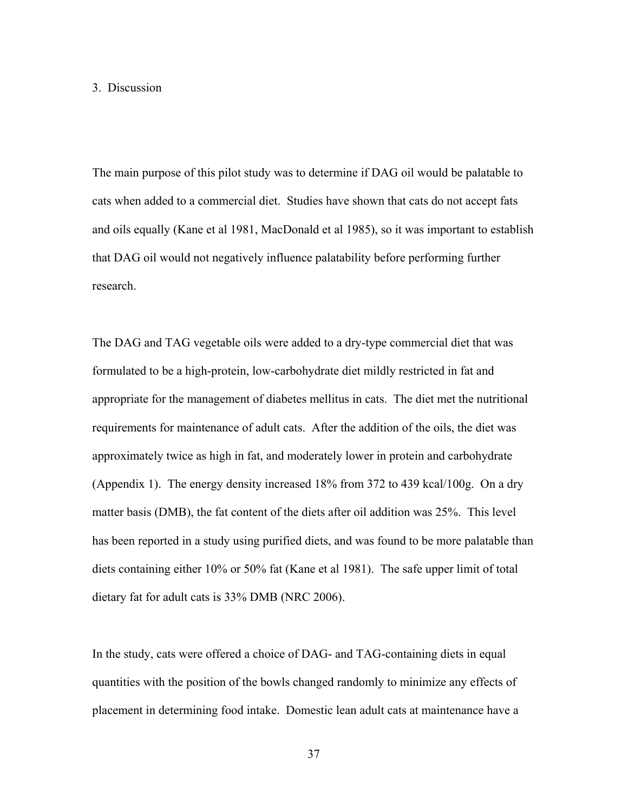#### 3. Discussion

The main purpose of this pilot study was to determine if DAG oil would be palatable to cats when added to a commercial diet. Studies have shown that cats do not accept fats and oils equally (Kane et al 1981, MacDonald et al 1985), so it was important to establish that DAG oil would not negatively influence palatability before performing further research.

The DAG and TAG vegetable oils were added to a dry-type commercial diet that was formulated to be a high-protein, low-carbohydrate diet mildly restricted in fat and appropriate for the management of diabetes mellitus in cats. The diet met the nutritional requirements for maintenance of adult cats. After the addition of the oils, the diet was approximately twice as high in fat, and moderately lower in protein and carbohydrate (Appendix 1). The energy density increased 18% from 372 to 439 kcal/100g. On a dry matter basis (DMB), the fat content of the diets after oil addition was 25%. This level has been reported in a study using purified diets, and was found to be more palatable than diets containing either 10% or 50% fat (Kane et al 1981). The safe upper limit of total dietary fat for adult cats is 33% DMB (NRC 2006).

In the study, cats were offered a choice of DAG- and TAG-containing diets in equal quantities with the position of the bowls changed randomly to minimize any effects of placement in determining food intake. Domestic lean adult cats at maintenance have a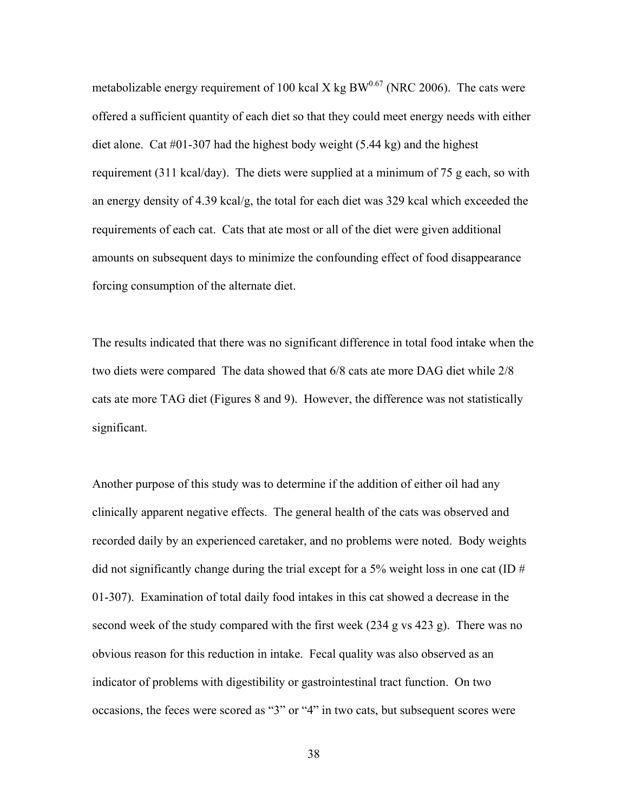metabolizable energy requirement of 100 kcal X kg BW $^{0.67}$  (NRC 2006). The cats were offered a sufficient quantity of each diet so that they could meet energy needs with either diet alone. Cat #01-307 had the highest body weight (5.44 kg) and the highest requirement (311 kcal/day). The diets were supplied at a minimum of 75 g each, so with an energy density of 4.39 kcal/g, the total for each diet was 329 kcal which exceeded the requirements of each cat. Cats that ate most or all of the diet were given additional amounts on subsequent days to minimize the confounding effect of food disappearance forcing consumption of the alternate diet.

The results indicated that there was no significant difference in total food intake when the two diets were compared The data showed that 6/8 cats ate more DAG diet while 2/8 cats ate more TAG diet (Figures 8 and 9). However, the difference was not statistically significant.

Another purpose of this study was to determine if the addition of either oil had any clinically apparent negative effects. The general health of the cats was observed and recorded daily by an experienced caretaker, and no problems were noted. Body weights did not significantly change during the trial except for a 5% weight loss in one cat (ID  $#$ 01-307). Examination of total daily food intakes in this cat showed a decrease in the second week of the study compared with the first week (234 g vs 423 g). There was no obvious reason for this reduction in intake. Fecal quality was also observed as an indicator of problems with digestibility or gastrointestinal tract function. On two occasions, the feces were scored as "3" or "4" in two cats, but subsequent scores were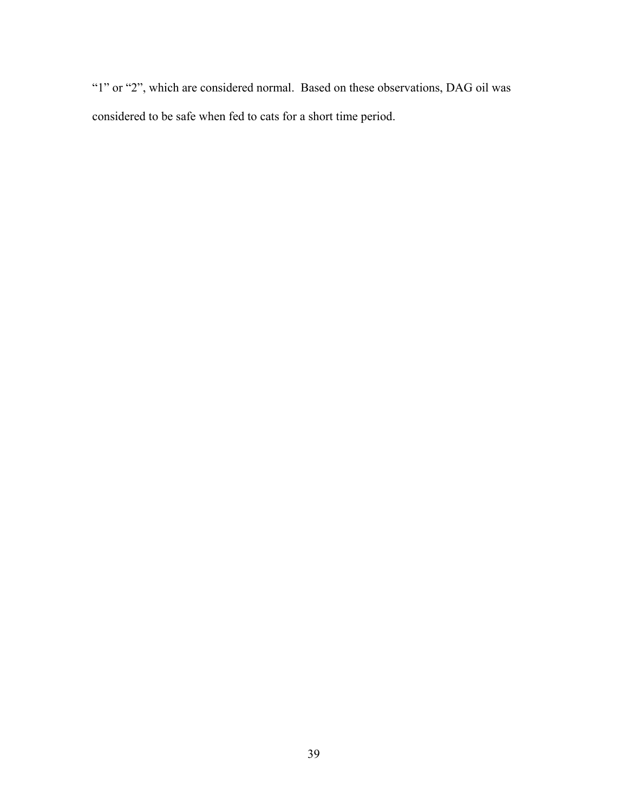"1" or "2", which are considered normal. Based on these observations, DAG oil was considered to be safe when fed to cats for a short time period.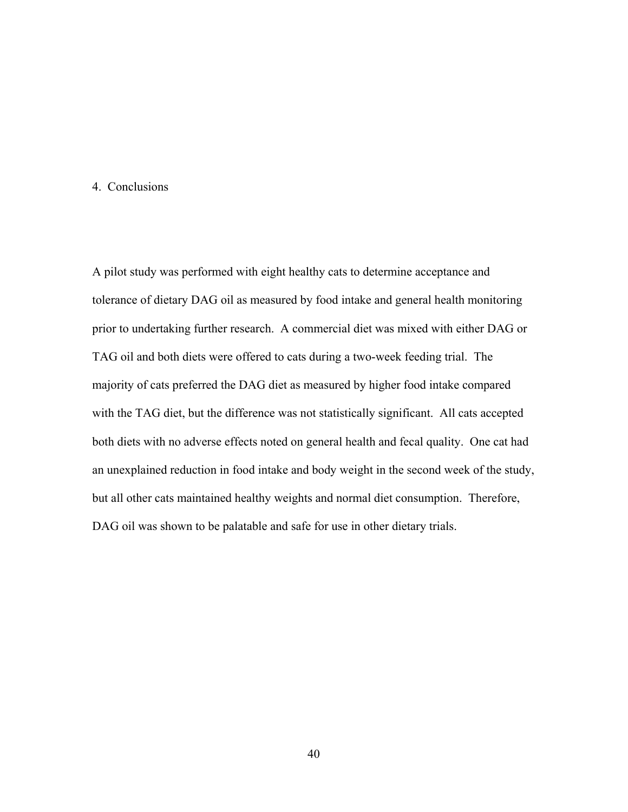## 4. Conclusions

A pilot study was performed with eight healthy cats to determine acceptance and tolerance of dietary DAG oil as measured by food intake and general health monitoring prior to undertaking further research. A commercial diet was mixed with either DAG or TAG oil and both diets were offered to cats during a two-week feeding trial. The majority of cats preferred the DAG diet as measured by higher food intake compared with the TAG diet, but the difference was not statistically significant. All cats accepted both diets with no adverse effects noted on general health and fecal quality. One cat had an unexplained reduction in food intake and body weight in the second week of the study, but all other cats maintained healthy weights and normal diet consumption. Therefore, DAG oil was shown to be palatable and safe for use in other dietary trials.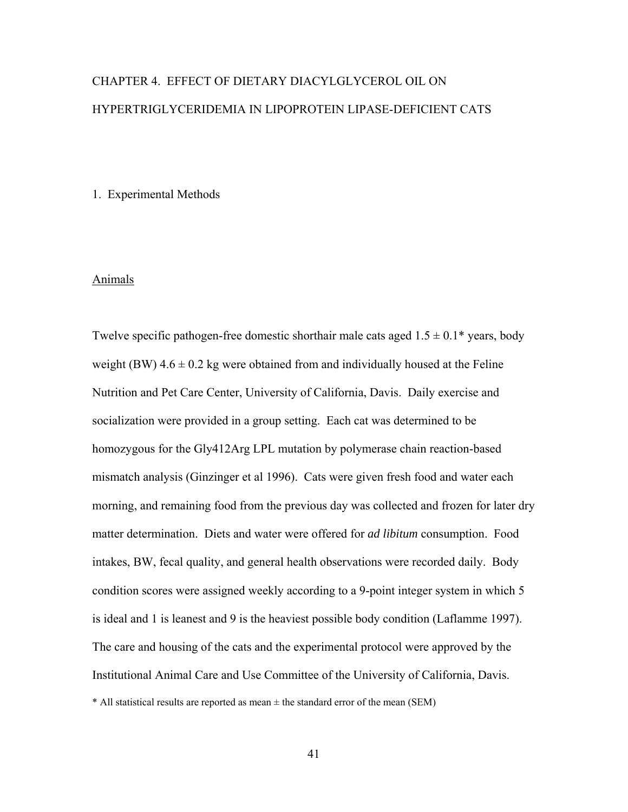# CHAPTER 4. EFFECT OF DIETARY DIACYLGLYCEROL OIL ON HYPERTRIGLYCERIDEMIA IN LIPOPROTEIN LIPASE-DEFICIENT CATS

#### 1. Experimental Methods

#### Animals

Twelve specific pathogen-free domestic shorthair male cats aged  $1.5 \pm 0.1^*$  years, body weight (BW)  $4.6 \pm 0.2$  kg were obtained from and individually housed at the Feline Nutrition and Pet Care Center, University of California, Davis. Daily exercise and socialization were provided in a group setting. Each cat was determined to be homozygous for the Gly412Arg LPL mutation by polymerase chain reaction-based mismatch analysis (Ginzinger et al 1996). Cats were given fresh food and water each morning, and remaining food from the previous day was collected and frozen for later dry matter determination. Diets and water were offered for *ad libitum* consumption. Food intakes, BW, fecal quality, and general health observations were recorded daily. Body condition scores were assigned weekly according to a 9-point integer system in which 5 is ideal and 1 is leanest and 9 is the heaviest possible body condition (Laflamme 1997). The care and housing of the cats and the experimental protocol were approved by the Institutional Animal Care and Use Committee of the University of California, Davis.  $*$  All statistical results are reported as mean  $\pm$  the standard error of the mean (SEM)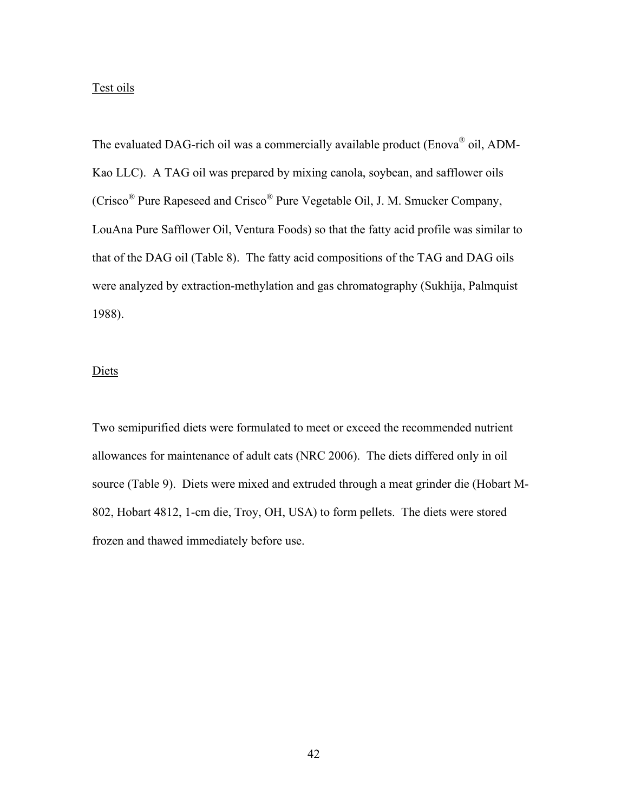## Test oils

The evaluated DAG-rich oil was a commercially available product (Enova<sup>®</sup> oil, ADM-Kao LLC). A TAG oil was prepared by mixing canola, soybean, and safflower oils (Crisco® Pure Rapeseed and Crisco® Pure Vegetable Oil, J. M. Smucker Company, LouAna Pure Safflower Oil, Ventura Foods) so that the fatty acid profile was similar to that of the DAG oil (Table 8). The fatty acid compositions of the TAG and DAG oils were analyzed by extraction-methylation and gas chromatography (Sukhija, Palmquist 1988).

## **Diets**

Two semipurified diets were formulated to meet or exceed the recommended nutrient allowances for maintenance of adult cats (NRC 2006). The diets differed only in oil source (Table 9). Diets were mixed and extruded through a meat grinder die (Hobart M-802, Hobart 4812, 1-cm die, Troy, OH, USA) to form pellets. The diets were stored frozen and thawed immediately before use.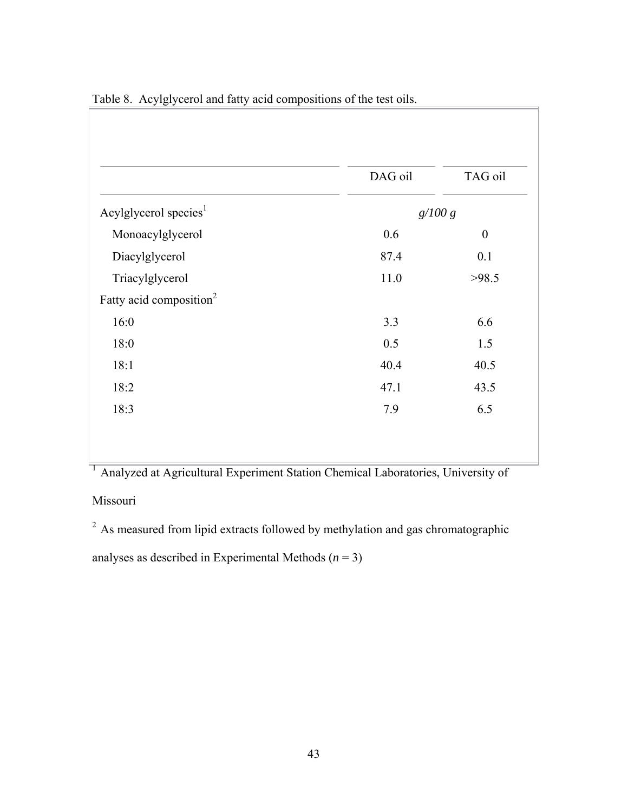|                                     | DAG oil | TAG oil          |
|-------------------------------------|---------|------------------|
| Acylglycerol species <sup>1</sup>   | g/100 g |                  |
| Monoacylglycerol                    | 0.6     | $\boldsymbol{0}$ |
| Diacylglycerol                      | 87.4    | 0.1              |
| Triacylglycerol                     | 11.0    | >98.5            |
| Fatty acid composition <sup>2</sup> |         |                  |
| 16:0                                | 3.3     | 6.6              |
| 18:0                                | 0.5     | 1.5              |
| 18:1                                | 40.4    | 40.5             |
| 18:2                                | 47.1    | 43.5             |
| 18:3                                | 7.9     | 6.5              |

Table 8. Acylglycerol and fatty acid compositions of the test oils.

<sup>1</sup> Analyzed at Agricultural Experiment Station Chemical Laboratories, University of Missouri

<sup>2</sup> As measured from lipid extracts followed by methylation and gas chromatographic analyses as described in Experimental Methods  $(n = 3)$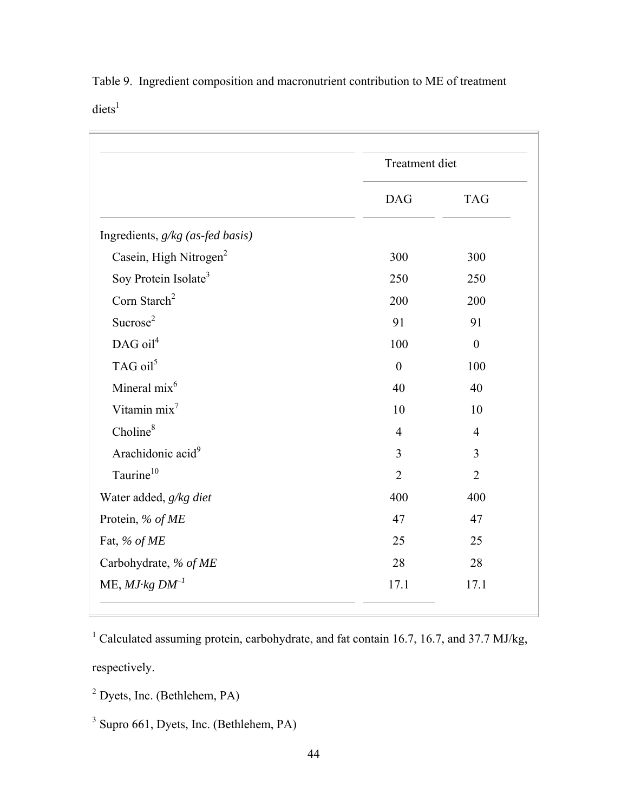|                                    | Treatment diet   |                |
|------------------------------------|------------------|----------------|
|                                    | <b>DAG</b>       | <b>TAG</b>     |
| Ingredients, g/kg (as-fed basis)   |                  |                |
| Casein, High Nitrogen <sup>2</sup> | 300              | 300            |
| Soy Protein Isolate <sup>3</sup>   | 250              | 250            |
| Corn Starch <sup>2</sup>           | 200              | 200            |
| Sucrose <sup>2</sup>               | 91               | 91             |
| DAG oil <sup>4</sup>               | 100              | $\overline{0}$ |
| TAG oil <sup>5</sup>               | $\boldsymbol{0}$ | 100            |
| Mineral mix <sup>6</sup>           | 40               | 40             |
| Vitamin mix <sup>7</sup>           | 10               | 10             |
| Choline <sup>8</sup>               | $\overline{4}$   | $\overline{4}$ |
| Arachidonic acid <sup>9</sup>      | 3                | 3              |
| Taurine <sup>10</sup>              | $\overline{2}$   | $\overline{2}$ |
| Water added, g/kg diet             | 400              | 400            |
| Protein, % of ME                   | 47               | 47             |
| Fat, % of ME                       | 25               | 25             |
| Carbohydrate, % of ME              | 28               | 28             |
| $ME, MJ·kg DM^{-1}$                | 17.1             | 17.1           |

Table 9. Ingredient composition and macronutrient contribution to ME of treatment  $diets<sup>1</sup>$ 

<sup>1</sup> Calculated assuming protein, carbohydrate, and fat contain 16.7, 16.7, and 37.7 MJ/kg, respectively.

 $<sup>2</sup>$  Dyets, Inc. (Bethlehem, PA)</sup>

<sup>3</sup> Supro 661, Dyets, Inc. (Bethlehem, PA)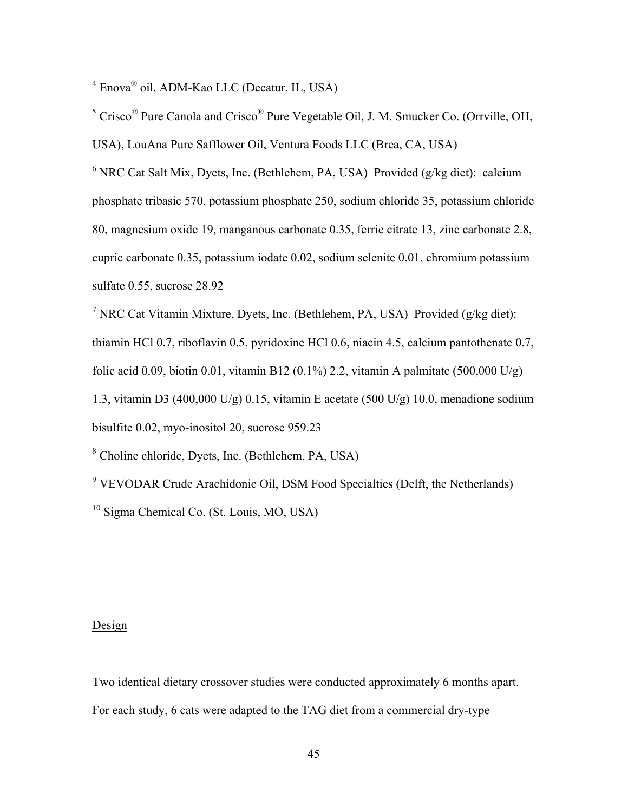<sup>4</sup> Enova<sup>®</sup> oil, ADM-Kao LLC (Decatur, IL, USA)

<sup>5</sup> Crisco<sup>®</sup> Pure Canola and Crisco<sup>®</sup> Pure Vegetable Oil, J. M. Smucker Co. (Orrville, OH,

USA), LouAna Pure Safflower Oil, Ventura Foods LLC (Brea, CA, USA)

 $6$  NRC Cat Salt Mix, Dyets, Inc. (Bethlehem, PA, USA) Provided (g/kg diet): calcium phosphate tribasic 570, potassium phosphate 250, sodium chloride 35, potassium chloride 80, magnesium oxide 19, manganous carbonate 0.35, ferric citrate 13, zinc carbonate 2.8, cupric carbonate 0.35, potassium iodate 0.02, sodium selenite 0.01, chromium potassium sulfate 0.55, sucrose 28.92

<sup>7</sup> NRC Cat Vitamin Mixture, Dyets, Inc. (Bethlehem, PA, USA) Provided (g/kg diet): thiamin HCl 0.7, riboflavin 0.5, pyridoxine HCl 0.6, niacin 4.5, calcium pantothenate 0.7, folic acid 0.09, biotin 0.01, vitamin B12 (0.1%) 2.2, vitamin A palmitate (500,000 U/g) 1.3, vitamin D3 (400,000 U/g) 0.15, vitamin E acetate (500 U/g) 10.0, menadione sodium bisulfite 0.02, myo-inositol 20, sucrose 959.23

8 Choline chloride, Dyets, Inc. (Bethlehem, PA, USA)

<sup>9</sup> VEVODAR Crude Arachidonic Oil, DSM Food Specialties (Delft, the Netherlands) <sup>10</sup> Sigma Chemical Co. (St. Louis, MO, USA)

## **Design**

Two identical dietary crossover studies were conducted approximately 6 months apart. For each study, 6 cats were adapted to the TAG diet from a commercial dry-type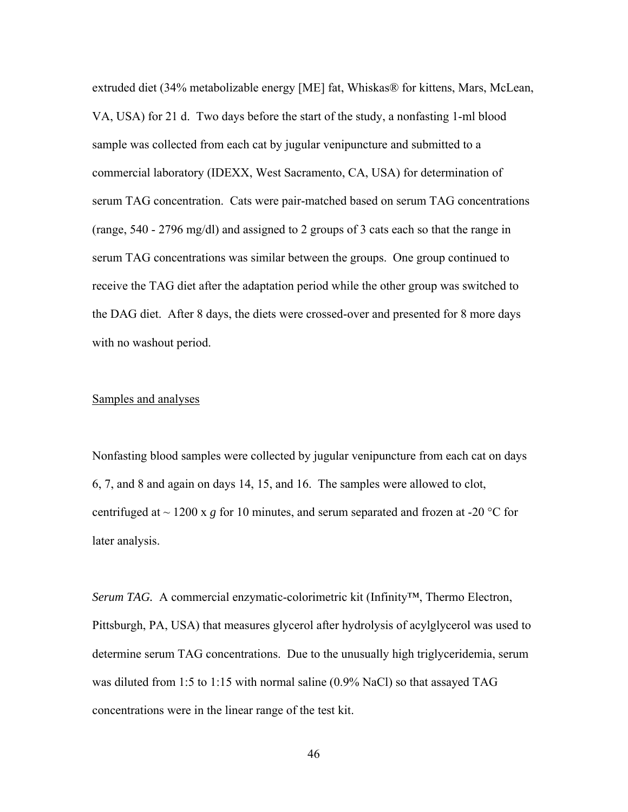extruded diet (34% metabolizable energy [ME] fat, Whiskas® for kittens, Mars, McLean, VA, USA) for 21 d.Two days before the start of the study, a nonfasting 1-ml blood sample was collected from each cat by jugular venipuncture and submitted to a commercial laboratory (IDEXX, West Sacramento, CA, USA) for determination of serum TAG concentration. Cats were pair-matched based on serum TAG concentrations (range, 540 - 2796 mg/dl) and assigned to 2 groups of 3 cats each so that the range in serum TAG concentrations was similar between the groups. One group continued to receive the TAG diet after the adaptation period while the other group was switched to the DAG diet. After 8 days, the diets were crossed-over and presented for 8 more days with no washout period.

## Samples and analyses

Nonfasting blood samples were collected by jugular venipuncture from each cat on days 6, 7, and 8 and again on days 14, 15, and 16. The samples were allowed to clot, centrifuged at  $\sim$  1200 x g for 10 minutes, and serum separated and frozen at -20 °C for later analysis.

*Serum TAG.* A commercial enzymatic-colorimetric kit (Infinity™, Thermo Electron, Pittsburgh, PA, USA) that measures glycerol after hydrolysis of acylglycerol was used to determine serum TAG concentrations. Due to the unusually high triglyceridemia, serum was diluted from 1:5 to 1:15 with normal saline (0.9% NaCl) so that assayed TAG concentrations were in the linear range of the test kit.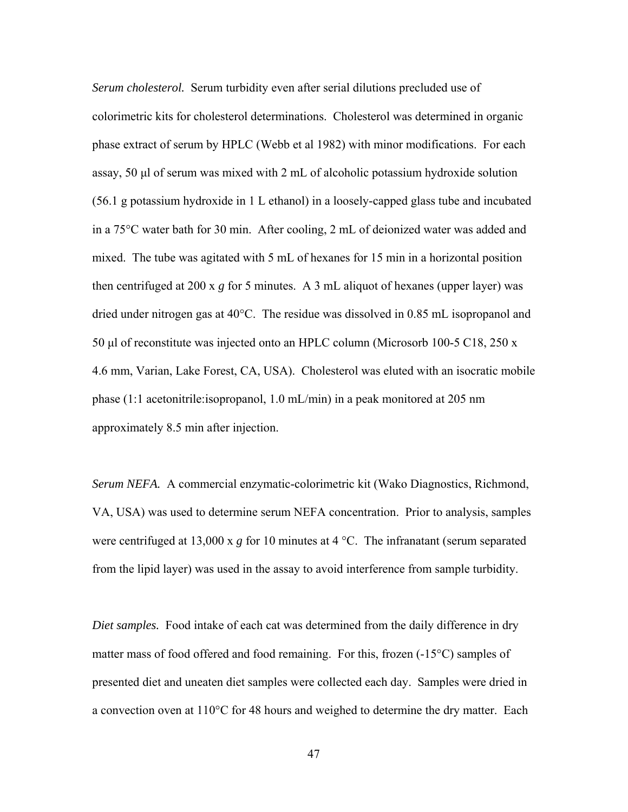*Serum cholesterol.* Serum turbidity even after serial dilutions precluded use of colorimetric kits for cholesterol determinations. Cholesterol was determined in organic phase extract of serum by HPLC (Webb et al 1982) with minor modifications. For each assay, 50 μl of serum was mixed with 2 mL of alcoholic potassium hydroxide solution (56.1 g potassium hydroxide in 1 L ethanol) in a loosely-capped glass tube and incubated in a 75°C water bath for 30 min. After cooling, 2 mL of deionized water was added and mixed. The tube was agitated with 5 mL of hexanes for 15 min in a horizontal position then centrifuged at 200 x *g* for 5 minutes. A 3 mL aliquot of hexanes (upper layer) was dried under nitrogen gas at 40°C. The residue was dissolved in 0.85 mL isopropanol and 50 μl of reconstitute was injected onto an HPLC column (Microsorb 100-5 C18, 250 x 4.6 mm, Varian, Lake Forest, CA, USA). Cholesterol was eluted with an isocratic mobile phase (1:1 acetonitrile:isopropanol, 1.0 mL/min) in a peak monitored at 205 nm approximately 8.5 min after injection.

*Serum NEFA.* A commercial enzymatic-colorimetric kit (Wako Diagnostics, Richmond, VA, USA) was used to determine serum NEFA concentration. Prior to analysis, samples were centrifuged at 13,000 x *g* for 10 minutes at 4 °C. The infranatant (serum separated from the lipid layer) was used in the assay to avoid interference from sample turbidity.

*Diet samples.* Food intake of each cat was determined from the daily difference in dry matter mass of food offered and food remaining. For this, frozen (-15°C) samples of presented diet and uneaten diet samples were collected each day. Samples were dried in a convection oven at 110°C for 48 hours and weighed to determine the dry matter. Each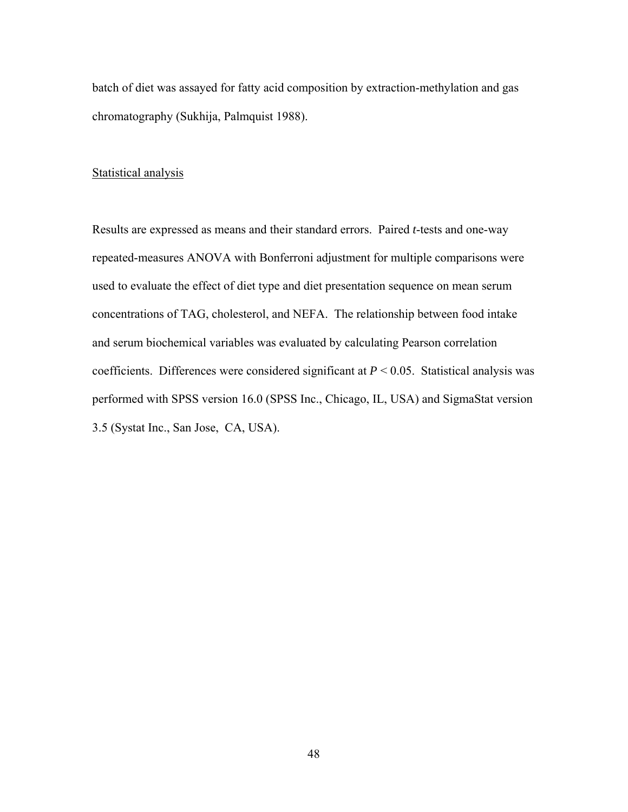batch of diet was assayed for fatty acid composition by extraction-methylation and gas chromatography (Sukhija, Palmquist 1988).

#### Statistical analysis

Results are expressed as means and their standard errors. Paired *t*-tests and one-way repeated-measures ANOVA with Bonferroni adjustment for multiple comparisons were used to evaluate the effect of diet type and diet presentation sequence on mean serum concentrations of TAG, cholesterol, and NEFA. The relationship between food intake and serum biochemical variables was evaluated by calculating Pearson correlation coefficients. Differences were considered significant at *P* < 0.05. Statistical analysis was performed with SPSS version 16.0 (SPSS Inc., Chicago, IL, USA) and SigmaStat version 3.5 (Systat Inc., San Jose, CA, USA).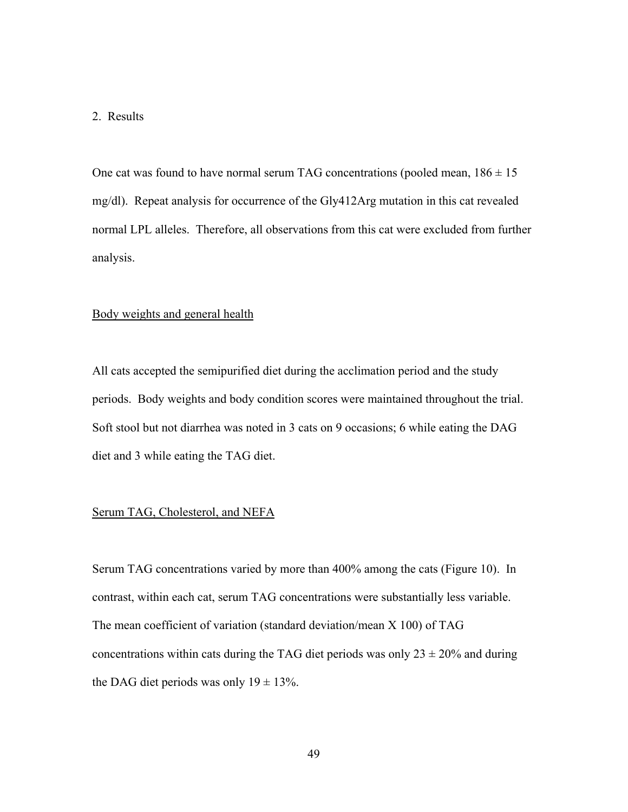#### 2. Results

One cat was found to have normal serum TAG concentrations (pooled mean,  $186 \pm 15$ ) mg/dl). Repeat analysis for occurrence of the Gly412Arg mutation in this cat revealed normal LPL alleles. Therefore, all observations from this cat were excluded from further analysis.

### Body weights and general health

All cats accepted the semipurified diet during the acclimation period and the study periods. Body weights and body condition scores were maintained throughout the trial. Soft stool but not diarrhea was noted in 3 cats on 9 occasions; 6 while eating the DAG diet and 3 while eating the TAG diet.

#### Serum TAG, Cholesterol, and NEFA

Serum TAG concentrations varied by more than 400% among the cats (Figure 10). In contrast, within each cat, serum TAG concentrations were substantially less variable. The mean coefficient of variation (standard deviation/mean X 100) of TAG concentrations within cats during the TAG diet periods was only  $23 \pm 20\%$  and during the DAG diet periods was only  $19 \pm 13\%$ .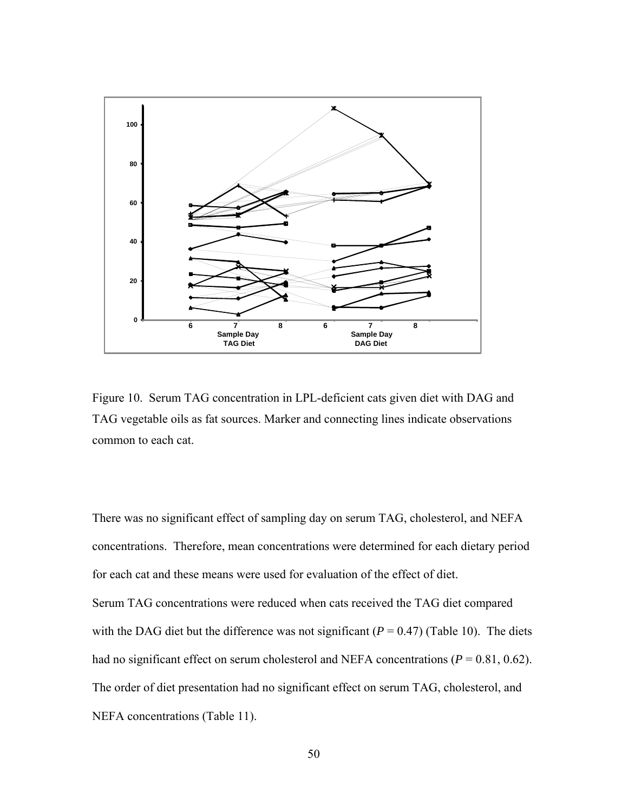

Figure 10. Serum TAG concentration in LPL-deficient cats given diet with DAG and TAG vegetable oils as fat sources. Marker and connecting lines indicate observations common to each cat.

There was no significant effect of sampling day on serum TAG, cholesterol, and NEFA concentrations. Therefore, mean concentrations were determined for each dietary period for each cat and these means were used for evaluation of the effect of diet. Serum TAG concentrations were reduced when cats received the TAG diet compared with the DAG diet but the difference was not significant  $(P = 0.47)$  (Table 10). The diets had no significant effect on serum cholesterol and NEFA concentrations ( $P = 0.81, 0.62$ ). The order of diet presentation had no significant effect on serum TAG, cholesterol, and NEFA concentrations (Table 11).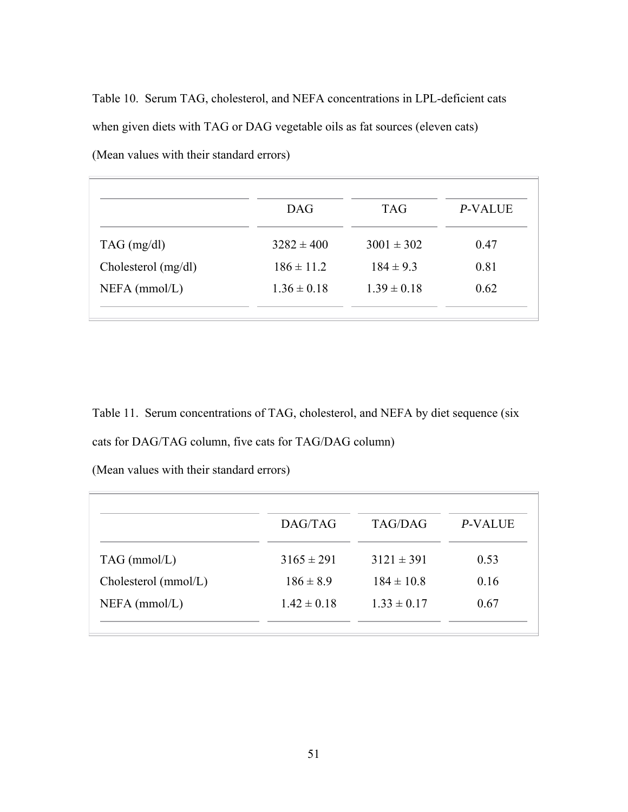Table 10. Serum TAG, cholesterol, and NEFA concentrations in LPL-deficient cats when given diets with TAG or DAG vegetable oils as fat sources (eleven cats) (Mean values with their standard errors)

|                     | <b>DAG</b>      | <b>TAG</b>      | P-VALUE |
|---------------------|-----------------|-----------------|---------|
| $TAG$ (mg/dl)       | $3282 \pm 400$  | $3001 \pm 302$  | 0.47    |
| Cholesterol (mg/dl) | $186 \pm 11.2$  | $184 \pm 9.3$   | 0.81    |
| $NEFA$ (mmol/L)     | $1.36 \pm 0.18$ | $1.39 \pm 0.18$ | 0.62    |

Table 11. Serum concentrations of TAG, cholesterol, and NEFA by diet sequence (six cats for DAG/TAG column, five cats for TAG/DAG column)

(Mean values with their standard errors)

|                        | DAG/TAG         | TAG/DAG         | P-VALUE |
|------------------------|-----------------|-----------------|---------|
| $TAG$ (mmol/L)         | $3165 \pm 291$  | $3121 \pm 391$  | 0.53    |
| Cholesterol $(mmol/L)$ | $186 \pm 8.9$   | $184 \pm 10.8$  | 0.16    |
| $NEFA$ (mmol/L)        | $1.42 \pm 0.18$ | $1.33 \pm 0.17$ | 0.67    |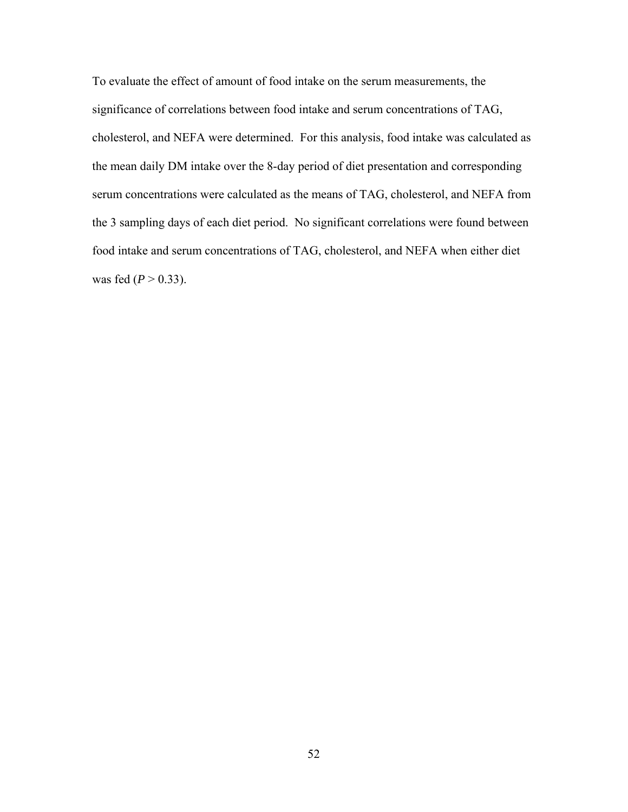To evaluate the effect of amount of food intake on the serum measurements, the significance of correlations between food intake and serum concentrations of TAG, cholesterol, and NEFA were determined. For this analysis, food intake was calculated as the mean daily DM intake over the 8-day period of diet presentation and corresponding serum concentrations were calculated as the means of TAG, cholesterol, and NEFA from the 3 sampling days of each diet period. No significant correlations were found between food intake and serum concentrations of TAG, cholesterol, and NEFA when either diet was fed ( $P > 0.33$ ).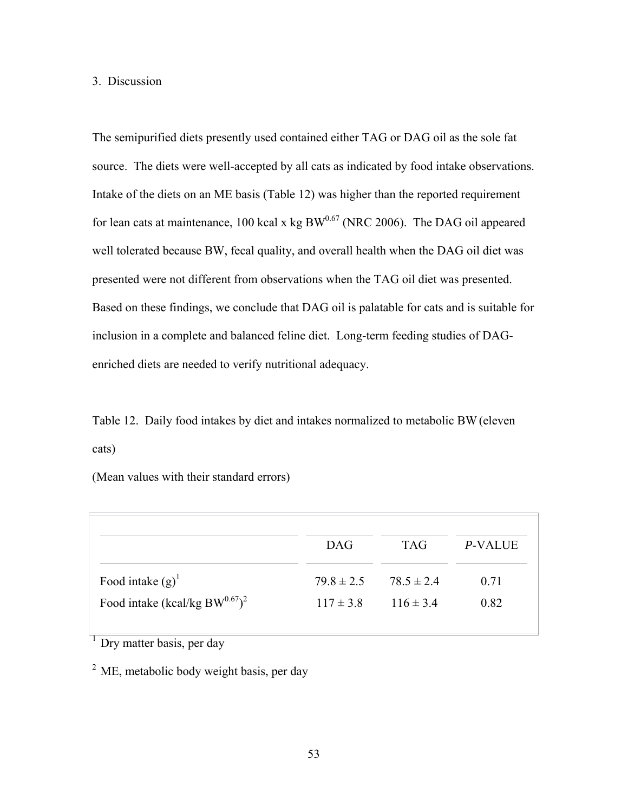## 3. Discussion

The semipurified diets presently used contained either TAG or DAG oil as the sole fat source. The diets were well-accepted by all cats as indicated by food intake observations. Intake of the diets on an ME basis (Table 12) was higher than the reported requirement for lean cats at maintenance, 100 kcal x kg  $BW^{0.67}$  (NRC 2006). The DAG oil appeared well tolerated because BW, fecal quality, and overall health when the DAG oil diet was presented were not different from observations when the TAG oil diet was presented. Based on these findings, we conclude that DAG oil is palatable for cats and is suitable for inclusion in a complete and balanced feline diet. Long-term feeding studies of DAGenriched diets are needed to verify nutritional adequacy.

Table 12. Daily food intakes by diet and intakes normalized to metabolic BW(eleven cats)

(Mean values with their standard errors)

| $79.8 \pm 2.5$ $78.5 \pm 2.4$ | 0.71<br>0.82  |
|-------------------------------|---------------|
|                               | $116 \pm 3.4$ |

 $\frac{1}{1}$  Dry matter basis, per day

<sup>2</sup> ME, metabolic body weight basis, per day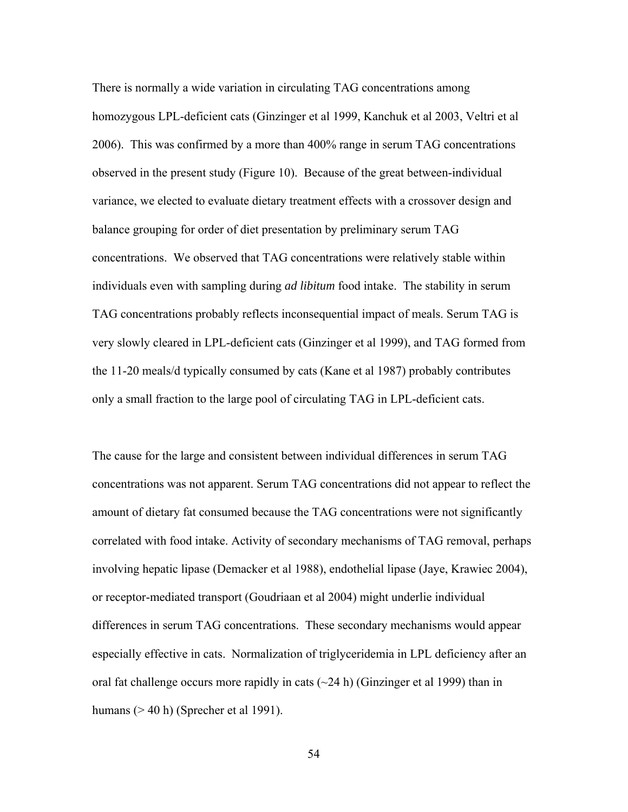There is normally a wide variation in circulating TAG concentrations among homozygous LPL-deficient cats (Ginzinger et al 1999, Kanchuk et al 2003, Veltri et al 2006). This was confirmed by a more than 400% range in serum TAG concentrations observed in the present study (Figure 10). Because of the great between-individual variance, we elected to evaluate dietary treatment effects with a crossover design and balance grouping for order of diet presentation by preliminary serum TAG concentrations. We observed that TAG concentrations were relatively stable within individuals even with sampling during *ad libitum* food intake. The stability in serum TAG concentrations probably reflects inconsequential impact of meals. Serum TAG is very slowly cleared in LPL-deficient cats (Ginzinger et al 1999), and TAG formed from the 11-20 meals/d typically consumed by cats (Kane et al 1987) probably contributes only a small fraction to the large pool of circulating TAG in LPL-deficient cats.

The cause for the large and consistent between individual differences in serum TAG concentrations was not apparent. Serum TAG concentrations did not appear to reflect the amount of dietary fat consumed because the TAG concentrations were not significantly correlated with food intake. Activity of secondary mechanisms of TAG removal, perhaps involving hepatic lipase (Demacker et al 1988), endothelial lipase (Jaye, Krawiec 2004), or receptor-mediated transport (Goudriaan et al 2004) might underlie individual differences in serum TAG concentrations. These secondary mechanisms would appear especially effective in cats. Normalization of triglyceridemia in LPL deficiency after an oral fat challenge occurs more rapidly in cats  $(\sim 24 \text{ h})$  (Ginzinger et al 1999) than in humans (> 40 h) (Sprecher et al 1991).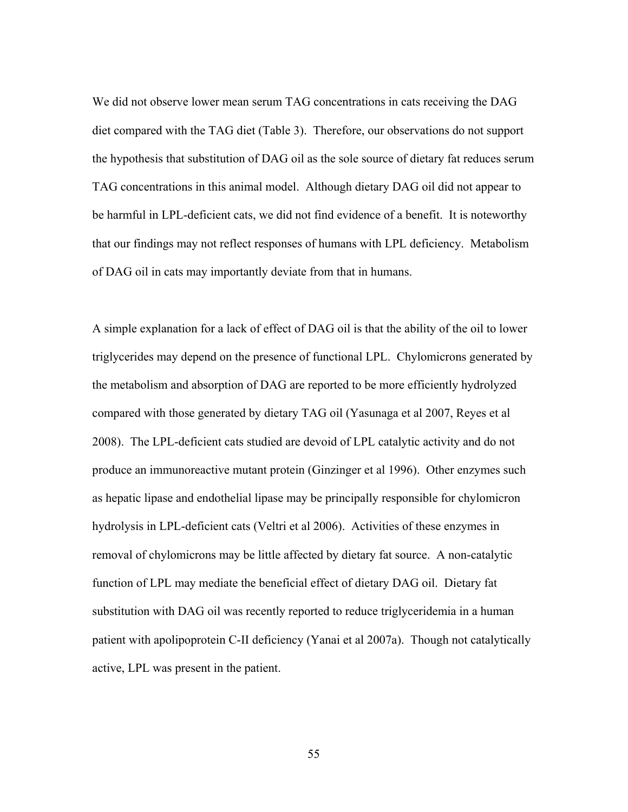We did not observe lower mean serum TAG concentrations in cats receiving the DAG diet compared with the TAG diet (Table 3). Therefore, our observations do not support the hypothesis that substitution of DAG oil as the sole source of dietary fat reduces serum TAG concentrations in this animal model. Although dietary DAG oil did not appear to be harmful in LPL-deficient cats, we did not find evidence of a benefit. It is noteworthy that our findings may not reflect responses of humans with LPL deficiency. Metabolism of DAG oil in cats may importantly deviate from that in humans.

A simple explanation for a lack of effect of DAG oil is that the ability of the oil to lower triglycerides may depend on the presence of functional LPL. Chylomicrons generated by the metabolism and absorption of DAG are reported to be more efficiently hydrolyzed compared with those generated by dietary TAG oil (Yasunaga et al 2007, Reyes et al 2008). The LPL-deficient cats studied are devoid of LPL catalytic activity and do not produce an immunoreactive mutant protein (Ginzinger et al 1996). Other enzymes such as hepatic lipase and endothelial lipase may be principally responsible for chylomicron hydrolysis in LPL-deficient cats (Veltri et al 2006). Activities of these enzymes in removal of chylomicrons may be little affected by dietary fat source. A non-catalytic function of LPL may mediate the beneficial effect of dietary DAG oil. Dietary fat substitution with DAG oil was recently reported to reduce triglyceridemia in a human patient with apolipoprotein C-II deficiency (Yanai et al 2007a). Though not catalytically active, LPL was present in the patient.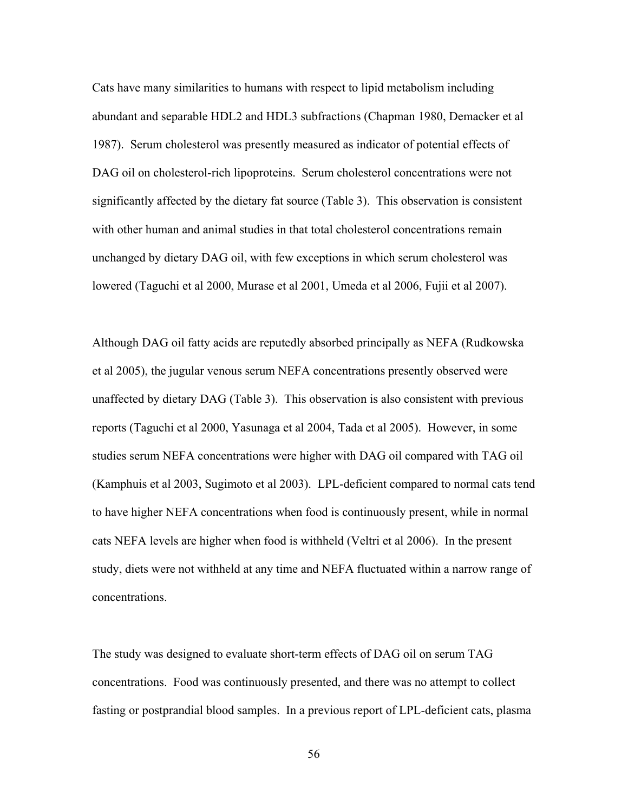Cats have many similarities to humans with respect to lipid metabolism including abundant and separable HDL2 and HDL3 subfractions (Chapman 1980, Demacker et al 1987). Serum cholesterol was presently measured as indicator of potential effects of DAG oil on cholesterol-rich lipoproteins. Serum cholesterol concentrations were not significantly affected by the dietary fat source (Table 3). This observation is consistent with other human and animal studies in that total cholesterol concentrations remain unchanged by dietary DAG oil, with few exceptions in which serum cholesterol was lowered (Taguchi et al 2000, Murase et al 2001, Umeda et al 2006, Fujii et al 2007).

Although DAG oil fatty acids are reputedly absorbed principally as NEFA (Rudkowska et al 2005), the jugular venous serum NEFA concentrations presently observed were unaffected by dietary DAG (Table 3). This observation is also consistent with previous reports (Taguchi et al 2000, Yasunaga et al 2004, Tada et al 2005). However, in some studies serum NEFA concentrations were higher with DAG oil compared with TAG oil (Kamphuis et al 2003, Sugimoto et al 2003). LPL-deficient compared to normal cats tend to have higher NEFA concentrations when food is continuously present, while in normal cats NEFA levels are higher when food is withheld (Veltri et al 2006). In the present study, diets were not withheld at any time and NEFA fluctuated within a narrow range of concentrations.

The study was designed to evaluate short-term effects of DAG oil on serum TAG concentrations. Food was continuously presented, and there was no attempt to collect fasting or postprandial blood samples. In a previous report of LPL-deficient cats, plasma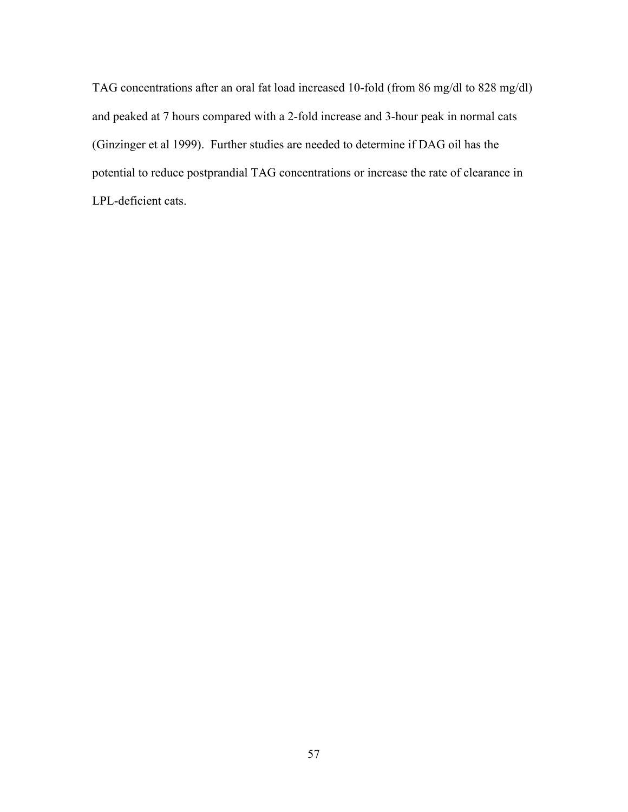TAG concentrations after an oral fat load increased 10-fold (from 86 mg/dl to 828 mg/dl) and peaked at 7 hours compared with a 2-fold increase and 3-hour peak in normal cats (Ginzinger et al 1999). Further studies are needed to determine if DAG oil has the potential to reduce postprandial TAG concentrations or increase the rate of clearance in LPL-deficient cats.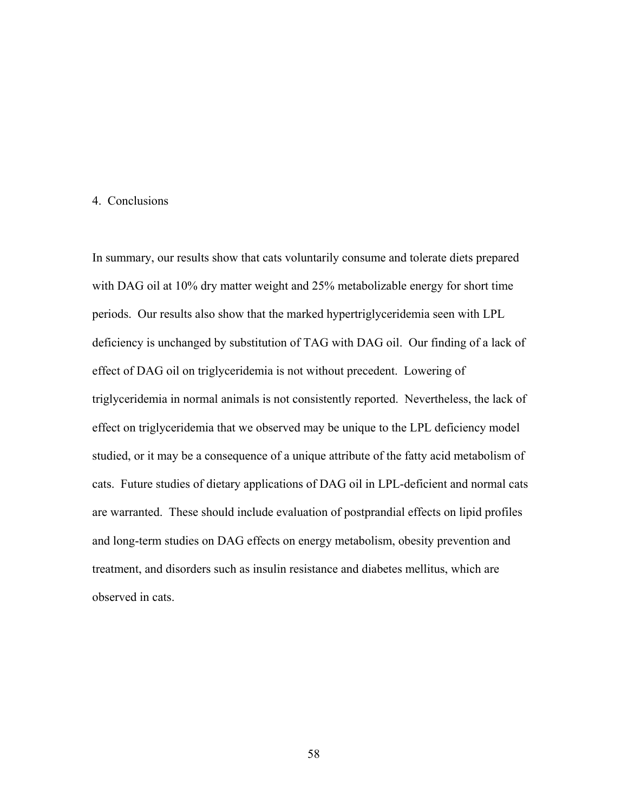#### 4. Conclusions

In summary, our results show that cats voluntarily consume and tolerate diets prepared with DAG oil at 10% dry matter weight and 25% metabolizable energy for short time periods. Our results also show that the marked hypertriglyceridemia seen with LPL deficiency is unchanged by substitution of TAG with DAG oil. Our finding of a lack of effect of DAG oil on triglyceridemia is not without precedent. Lowering of triglyceridemia in normal animals is not consistently reported. Nevertheless, the lack of effect on triglyceridemia that we observed may be unique to the LPL deficiency model studied, or it may be a consequence of a unique attribute of the fatty acid metabolism of cats. Future studies of dietary applications of DAG oil in LPL-deficient and normal cats are warranted. These should include evaluation of postprandial effects on lipid profiles and long-term studies on DAG effects on energy metabolism, obesity prevention and treatment, and disorders such as insulin resistance and diabetes mellitus, which are observed in cats.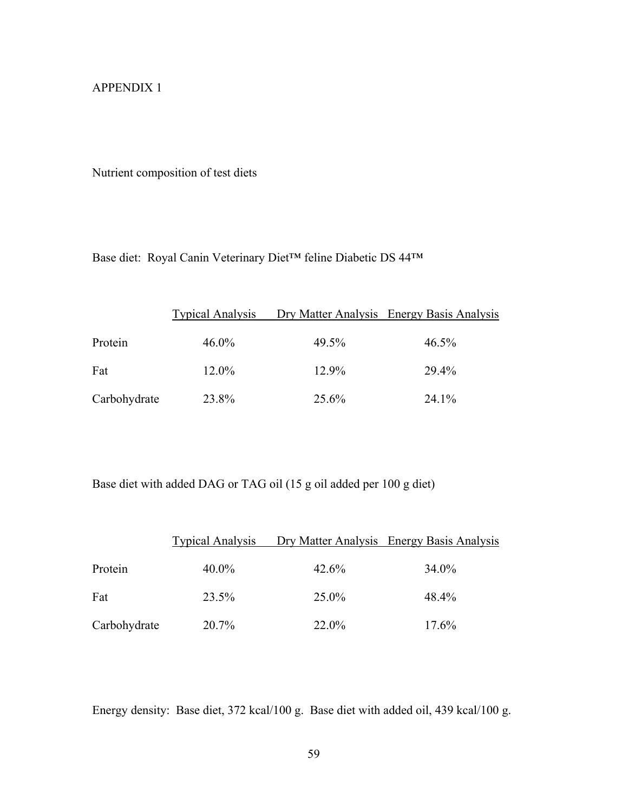## APPENDIX 1

Nutrient composition of test diets

Base diet: Royal Canin Veterinary Diet™ feline Diabetic DS 44™

|              | <b>Typical Analysis</b> |       | Dry Matter Analysis Energy Basis Analysis |
|--------------|-------------------------|-------|-------------------------------------------|
| Protein      | $46.0\%$                | 49.5% | $46.5\%$                                  |
| Fat          | 12.0%                   | 12.9% | 29.4%                                     |
| Carbohydrate | 23.8%                   | 25.6% | 24.1%                                     |

Base diet with added DAG or TAG oil (15 g oil added per 100 g diet)

|              | <b>Typical Analysis</b> |          | Dry Matter Analysis Energy Basis Analysis |
|--------------|-------------------------|----------|-------------------------------------------|
| Protein      | $40.0\%$                | 42.6%    | 34.0%                                     |
| Fat          | 23.5%                   | $25.0\%$ | 48.4%                                     |
| Carbohydrate | 20.7%                   | 22.0%    | 17.6%                                     |

Energy density: Base diet, 372 kcal/100 g. Base diet with added oil, 439 kcal/100 g.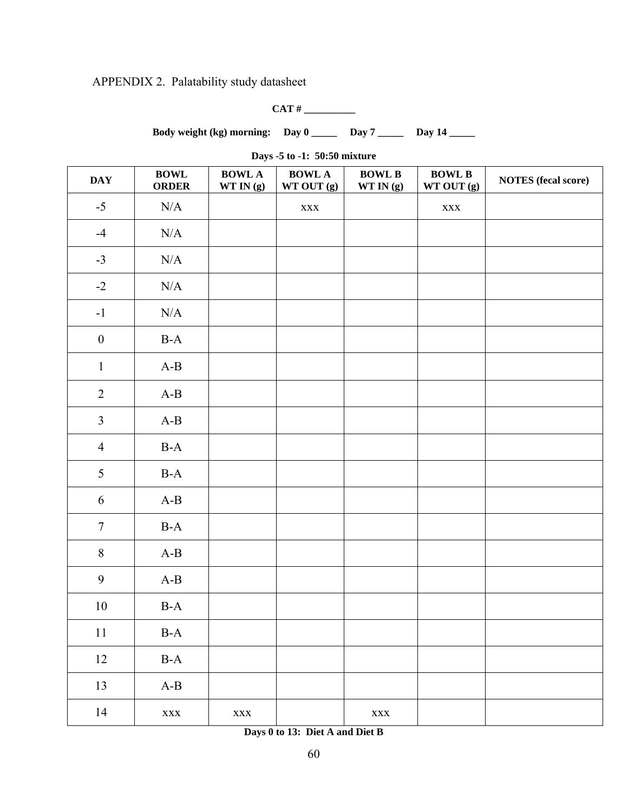APPENDIX 2. Palatability study datasheet

**CAT # \_\_\_\_\_\_\_\_\_\_** 

Body weight (kg) morning: Day 0 \_\_\_\_\_ Day 7 \_\_\_\_\_ Day 14 \_\_\_\_

**Days -5 to -1: 50:50 mixture** 

| <b>DAY</b>       | <b>BOWL</b><br><b>ORDER</b>    | <b>BOWL A</b><br>WTIN(g) | <b>BOWL A</b><br>WT OUT (g) | <b>BOWL B</b><br>$WT$ IN $(\mathbf{g})$ | <b>BOWL B</b><br>WT OUT (g) | <b>NOTES</b> (fecal score) |
|------------------|--------------------------------|--------------------------|-----------------------------|-----------------------------------------|-----------------------------|----------------------------|
| $-5$             | $\rm N/A$                      |                          | $\mathbf{XXX}$              |                                         | $\mathbf{XXX}$              |                            |
| $-4$             | N/A                            |                          |                             |                                         |                             |                            |
| $-3$             | N/A                            |                          |                             |                                         |                             |                            |
| $-2$             | N/A                            |                          |                             |                                         |                             |                            |
| $-1$             | N/A                            |                          |                             |                                         |                             |                            |
| $\boldsymbol{0}$ | $B-A$                          |                          |                             |                                         |                             |                            |
| $\mathbf{1}$     | $A-B$                          |                          |                             |                                         |                             |                            |
| $\overline{2}$   | $A-B$                          |                          |                             |                                         |                             |                            |
| $\mathfrak{Z}$   | $A-B$                          |                          |                             |                                         |                             |                            |
| $\overline{4}$   | $B-A$                          |                          |                             |                                         |                             |                            |
| 5                | $B-A$                          |                          |                             |                                         |                             |                            |
| 6                | $A-B$                          |                          |                             |                                         |                             |                            |
| $7\phantom{.0}$  | $B-A$                          |                          |                             |                                         |                             |                            |
| $\,8\,$          | $A-B$                          |                          |                             |                                         |                             |                            |
| 9                | $A-B$                          |                          |                             |                                         |                             |                            |
| $10\,$           | $B-A$                          |                          |                             |                                         |                             |                            |
| $11\,$           | $\mathbf{B}\text{-}\mathbf{A}$ |                          |                             |                                         |                             |                            |
| 12               | $\operatorname{B-A}$           |                          |                             |                                         |                             |                            |
| 13               | $A-B$                          |                          |                             |                                         |                             |                            |
| 14               | $\mathbf{XXX}$                 | $\mathbf{XXX}$           |                             | $\mathbf{XXX}$                          |                             |                            |

**Days 0 to 13: Diet A and Diet B**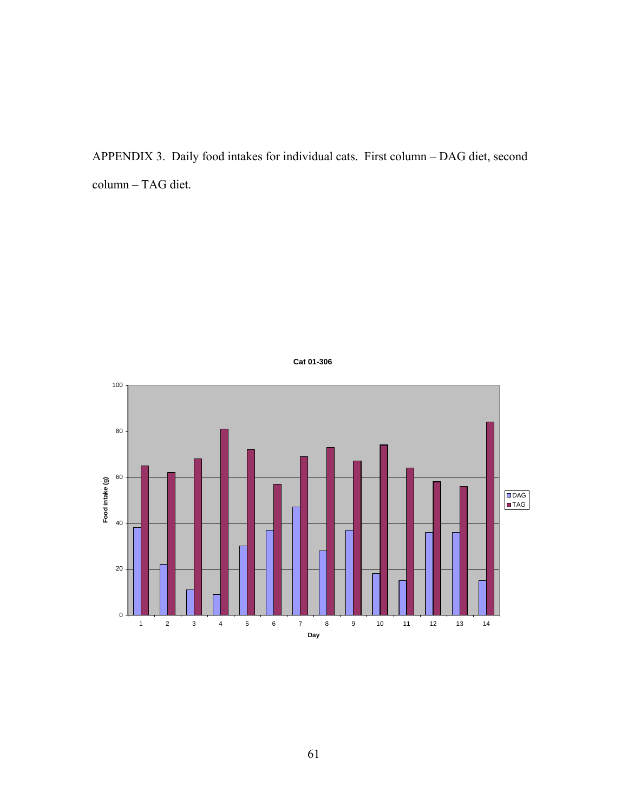APPENDIX 3. Daily food intakes for individual cats. First column – DAG diet, second column – TAG diet.



**Cat 01-306**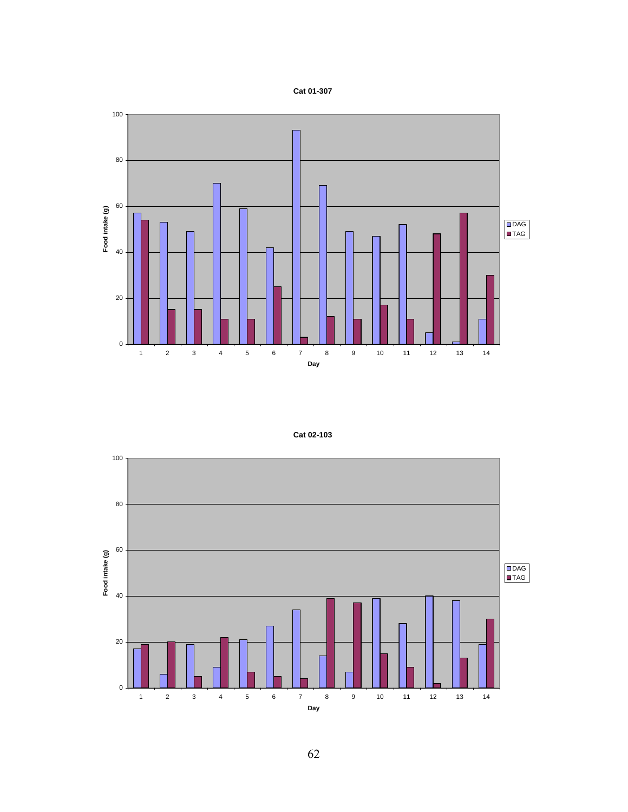





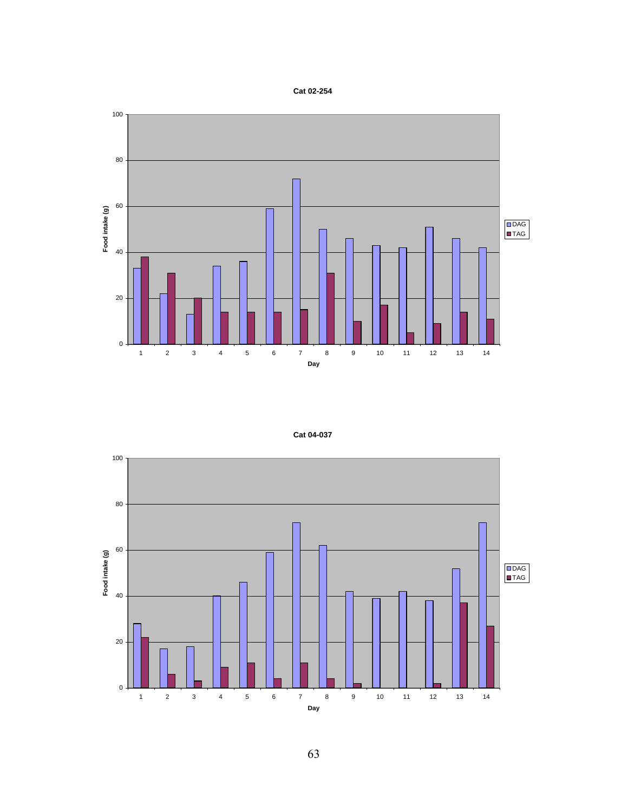



|  | Cat 04-037 |
|--|------------|
|--|------------|

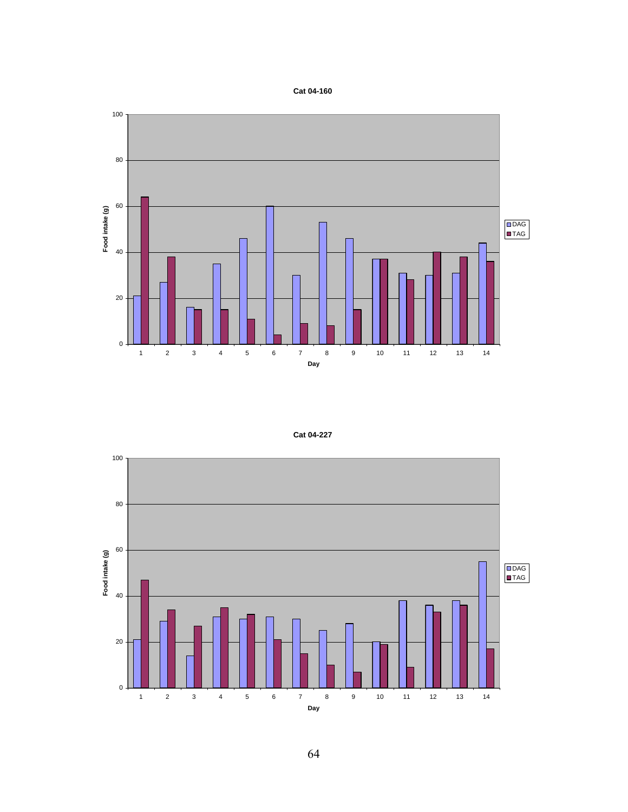#### **Cat 04-160**



### **Cat 04-227**

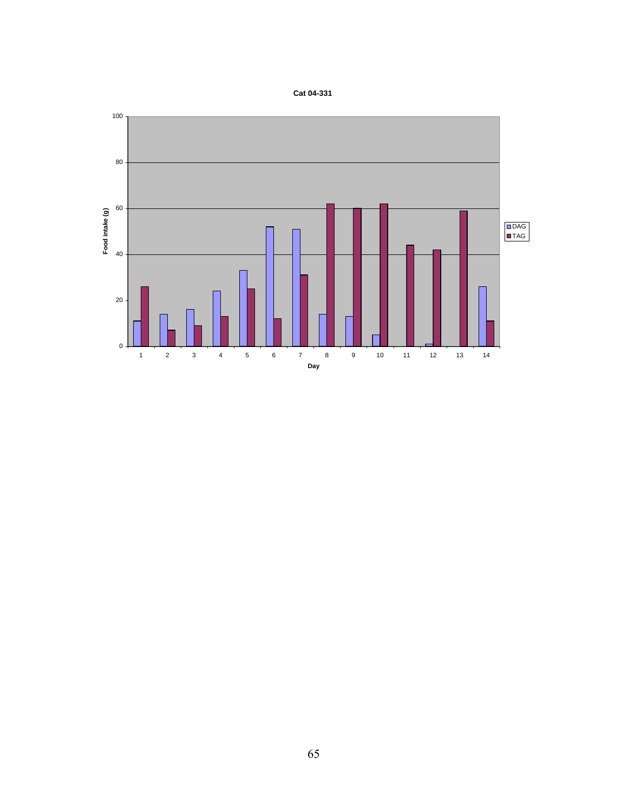

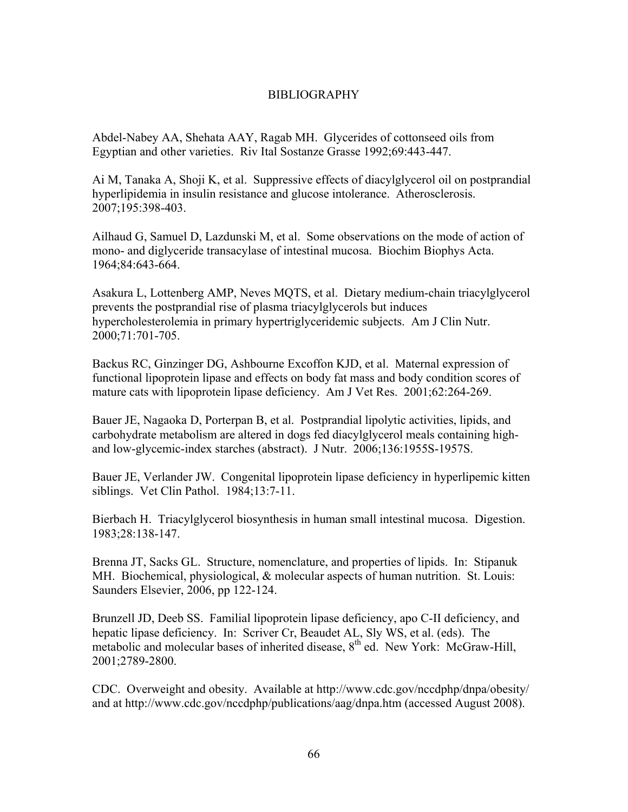## BIBLIOGRAPHY

Abdel-Nabey AA, Shehata AAY, Ragab MH. Glycerides of cottonseed oils from Egyptian and other varieties. Riv Ital Sostanze Grasse 1992;69:443-447.

Ai M, Tanaka A, Shoji K, et al. Suppressive effects of diacylglycerol oil on postprandial hyperlipidemia in insulin resistance and glucose intolerance. Atherosclerosis. 2007;195:398-403.

Ailhaud G, Samuel D, Lazdunski M, et al. Some observations on the mode of action of mono- and diglyceride transacylase of intestinal mucosa. Biochim Biophys Acta. 1964;84:643-664.

Asakura L, Lottenberg AMP, Neves MQTS, et al. Dietary medium-chain triacylglycerol prevents the postprandial rise of plasma triacylglycerols but induces hypercholesterolemia in primary hypertriglyceridemic subjects. Am J Clin Nutr. 2000;71:701-705.

Backus RC, Ginzinger DG, Ashbourne Excoffon KJD, et al. Maternal expression of functional lipoprotein lipase and effects on body fat mass and body condition scores of mature cats with lipoprotein lipase deficiency. Am J Vet Res. 2001;62:264-269.

Bauer JE, Nagaoka D, Porterpan B, et al. Postprandial lipolytic activities, lipids, and carbohydrate metabolism are altered in dogs fed diacylglycerol meals containing highand low-glycemic-index starches (abstract). J Nutr. 2006;136:1955S-1957S.

Bauer JE, Verlander JW. Congenital lipoprotein lipase deficiency in hyperlipemic kitten siblings. Vet Clin Pathol. 1984;13:7-11.

Bierbach H. Triacylglycerol biosynthesis in human small intestinal mucosa. Digestion. 1983;28:138-147.

Brenna JT, Sacks GL. Structure, nomenclature, and properties of lipids. In: Stipanuk MH. Biochemical, physiological, & molecular aspects of human nutrition. St. Louis: Saunders Elsevier, 2006, pp 122-124.

Brunzell JD, Deeb SS. Familial lipoprotein lipase deficiency, apo C-II deficiency, and hepatic lipase deficiency. In: Scriver Cr, Beaudet AL, Sly WS, et al. (eds). The metabolic and molecular bases of inherited disease,  $8<sup>th</sup>$  ed. New York: McGraw-Hill, 2001;2789-2800.

CDC. Overweight and obesity. Available at http://www.cdc.gov/nccdphp/dnpa/obesity/ and at http://www.cdc.gov/nccdphp/publications/aag/dnpa.htm (accessed August 2008).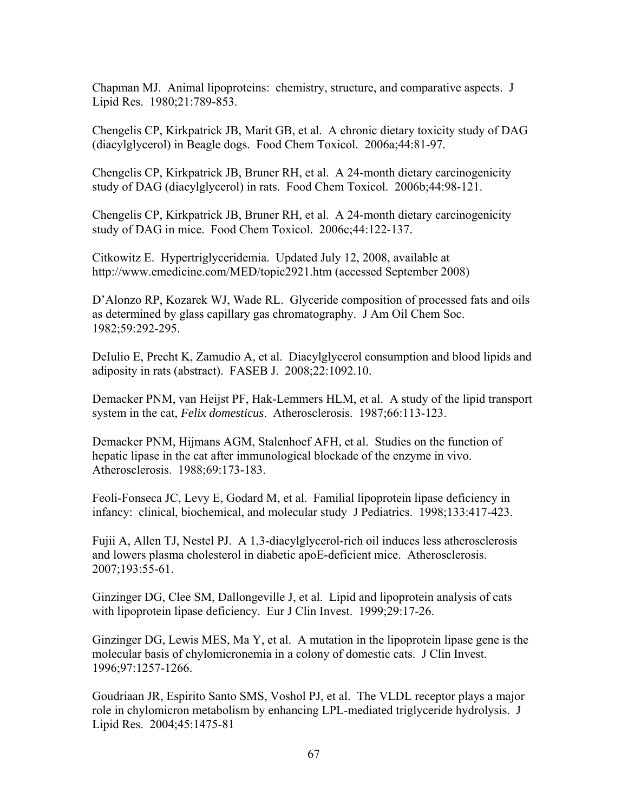Chapman MJ. Animal lipoproteins: chemistry, structure, and comparative aspects. J Lipid Res. 1980;21:789-853.

Chengelis CP, Kirkpatrick JB, Marit GB, et al. A chronic dietary toxicity study of DAG (diacylglycerol) in Beagle dogs. Food Chem Toxicol. 2006a;44:81-97.

Chengelis CP, Kirkpatrick JB, Bruner RH, et al. A 24-month dietary carcinogenicity study of DAG (diacylglycerol) in rats. Food Chem Toxicol. 2006b;44:98-121.

Chengelis CP, Kirkpatrick JB, Bruner RH, et al. A 24-month dietary carcinogenicity study of DAG in mice. Food Chem Toxicol. 2006c;44:122-137.

Citkowitz E. Hypertriglyceridemia. Updated July 12, 2008, available at http://www.emedicine.com/MED/topic2921.htm (accessed September 2008)

D'Alonzo RP, Kozarek WJ, Wade RL. Glyceride composition of processed fats and oils as determined by glass capillary gas chromatography. J Am Oil Chem Soc. 1982;59:292-295.

DeIulio E, Precht K, Zamudio A, et al. Diacylglycerol consumption and blood lipids and adiposity in rats (abstract). FASEB J. 2008;22:1092.10.

Demacker PNM, van Heijst PF, Hak-Lemmers HLM, et al. A study of the lipid transport system in the cat, *Felix domesticus*. Atherosclerosis. 1987;66:113-123.

Demacker PNM, Hijmans AGM, Stalenhoef AFH, et al. Studies on the function of hepatic lipase in the cat after immunological blockade of the enzyme in vivo. Atherosclerosis. 1988;69:173-183.

Feoli-Fonseca JC, Levy E, Godard M, et al. Familial lipoprotein lipase deficiency in infancy: clinical, biochemical, and molecular study J Pediatrics. 1998;133:417-423.

Fujii A, Allen TJ, Nestel PJ. A 1,3-diacylglycerol-rich oil induces less atherosclerosis and lowers plasma cholesterol in diabetic apoE-deficient mice. Atherosclerosis. 2007;193:55-61.

Ginzinger DG, Clee SM, Dallongeville J, et al. Lipid and lipoprotein analysis of cats with lipoprotein lipase deficiency. Eur J Clin Invest. 1999;29:17-26.

Ginzinger DG, Lewis MES, Ma Y, et al. A mutation in the lipoprotein lipase gene is the molecular basis of chylomicronemia in a colony of domestic cats. J Clin Invest. 1996;97:1257-1266.

Goudriaan JR, Espirito Santo SMS, Voshol PJ, et al. The VLDL receptor plays a major role in chylomicron metabolism by enhancing LPL-mediated triglyceride hydrolysis. J Lipid Res. 2004;45:1475-81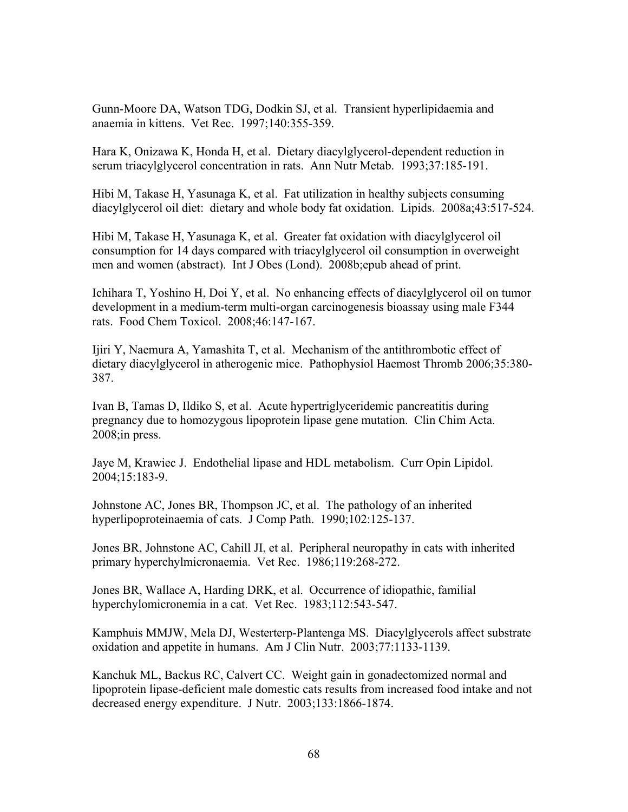Gunn-Moore DA, Watson TDG, Dodkin SJ, et al. Transient hyperlipidaemia and anaemia in kittens. Vet Rec. 1997;140:355-359.

Hara K, Onizawa K, Honda H, et al. Dietary diacylglycerol-dependent reduction in serum triacylglycerol concentration in rats. Ann Nutr Metab. 1993;37:185-191.

Hibi M, Takase H, Yasunaga K, et al. Fat utilization in healthy subjects consuming diacylglycerol oil diet: dietary and whole body fat oxidation. Lipids. 2008a;43:517-524.

Hibi M, Takase H, Yasunaga K, et al. Greater fat oxidation with diacylglycerol oil consumption for 14 days compared with triacylglycerol oil consumption in overweight men and women (abstract). Int J Obes (Lond). 2008b;epub ahead of print.

Ichihara T, Yoshino H, Doi Y, et al. No enhancing effects of diacylglycerol oil on tumor development in a medium-term multi-organ carcinogenesis bioassay using male F344 rats. Food Chem Toxicol. 2008;46:147-167.

Ijiri Y, Naemura A, Yamashita T, et al. Mechanism of the antithrombotic effect of dietary diacylglycerol in atherogenic mice. Pathophysiol Haemost Thromb 2006;35:380- 387.

Ivan B, Tamas D, Ildiko S, et al. Acute hypertriglyceridemic pancreatitis during pregnancy due to homozygous lipoprotein lipase gene mutation. Clin Chim Acta. 2008;in press.

Jaye M, Krawiec J. Endothelial lipase and HDL metabolism. Curr Opin Lipidol. 2004;15:183-9.

Johnstone AC, Jones BR, Thompson JC, et al. The pathology of an inherited hyperlipoproteinaemia of cats. J Comp Path. 1990;102:125-137.

Jones BR, Johnstone AC, Cahill JI, et al. Peripheral neuropathy in cats with inherited primary hyperchylmicronaemia. Vet Rec. 1986;119:268-272.

Jones BR, Wallace A, Harding DRK, et al. Occurrence of idiopathic, familial hyperchylomicronemia in a cat. Vet Rec. 1983;112:543-547.

Kamphuis MMJW, Mela DJ, Westerterp-Plantenga MS. Diacylglycerols affect substrate oxidation and appetite in humans. Am J Clin Nutr. 2003;77:1133-1139.

Kanchuk ML, Backus RC, Calvert CC. Weight gain in gonadectomized normal and lipoprotein lipase-deficient male domestic cats results from increased food intake and not decreased energy expenditure. J Nutr. 2003;133:1866-1874.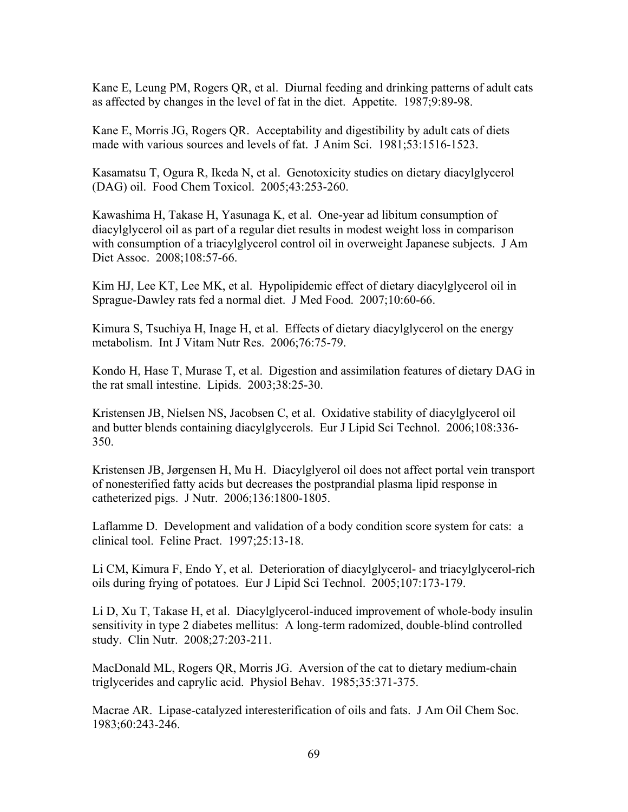Kane E, Leung PM, Rogers QR, et al. Diurnal feeding and drinking patterns of adult cats as affected by changes in the level of fat in the diet. Appetite. 1987;9:89-98.

Kane E, Morris JG, Rogers QR. Acceptability and digestibility by adult cats of diets made with various sources and levels of fat. J Anim Sci. 1981;53:1516-1523.

Kasamatsu T, Ogura R, Ikeda N, et al. Genotoxicity studies on dietary diacylglycerol (DAG) oil. Food Chem Toxicol. 2005;43:253-260.

Kawashima H, Takase H, Yasunaga K, et al. One-year ad libitum consumption of diacylglycerol oil as part of a regular diet results in modest weight loss in comparison with consumption of a triacylglycerol control oil in overweight Japanese subjects. J Am Diet Assoc. 2008;108:57-66.

Kim HJ, Lee KT, Lee MK, et al. Hypolipidemic effect of dietary diacylglycerol oil in Sprague-Dawley rats fed a normal diet. J Med Food. 2007;10:60-66.

Kimura S, Tsuchiya H, Inage H, et al. Effects of dietary diacylglycerol on the energy metabolism. Int J Vitam Nutr Res. 2006;76:75-79.

Kondo H, Hase T, Murase T, et al. Digestion and assimilation features of dietary DAG in the rat small intestine. Lipids. 2003;38:25-30.

Kristensen JB, Nielsen NS, Jacobsen C, et al. Oxidative stability of diacylglycerol oil and butter blends containing diacylglycerols. Eur J Lipid Sci Technol. 2006;108:336- 350.

Kristensen JB, Jørgensen H, Mu H. Diacylglyerol oil does not affect portal vein transport of nonesterified fatty acids but decreases the postprandial plasma lipid response in catheterized pigs. J Nutr. 2006;136:1800-1805.

Laflamme D. Development and validation of a body condition score system for cats: a clinical tool. Feline Pract. 1997;25:13-18.

Li CM, Kimura F, Endo Y, et al. Deterioration of diacylglycerol- and triacylglycerol-rich oils during frying of potatoes. Eur J Lipid Sci Technol. 2005;107:173-179.

Li D, Xu T, Takase H, et al. Diacylglycerol-induced improvement of whole-body insulin sensitivity in type 2 diabetes mellitus: A long-term radomized, double-blind controlled study. Clin Nutr. 2008;27:203-211.

MacDonald ML, Rogers QR, Morris JG. Aversion of the cat to dietary medium-chain triglycerides and caprylic acid. Physiol Behav. 1985;35:371-375.

Macrae AR. Lipase-catalyzed interesterification of oils and fats. J Am Oil Chem Soc. 1983;60:243-246.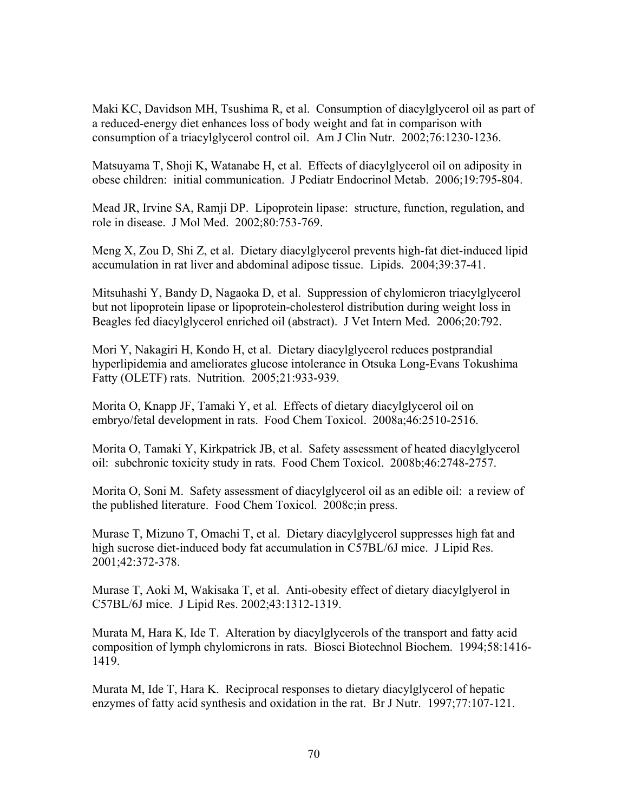Maki KC, Davidson MH, Tsushima R, et al. Consumption of diacylglycerol oil as part of a reduced-energy diet enhances loss of body weight and fat in comparison with consumption of a triacylglycerol control oil. Am J Clin Nutr. 2002;76:1230-1236.

Matsuyama T, Shoji K, Watanabe H, et al. Effects of diacylglycerol oil on adiposity in obese children: initial communication. J Pediatr Endocrinol Metab. 2006;19:795-804.

Mead JR, Irvine SA, Ramji DP. Lipoprotein lipase: structure, function, regulation, and role in disease. J Mol Med. 2002;80:753-769.

Meng X, Zou D, Shi Z, et al. Dietary diacylglycerol prevents high-fat diet-induced lipid accumulation in rat liver and abdominal adipose tissue. Lipids. 2004;39:37-41.

Mitsuhashi Y, Bandy D, Nagaoka D, et al. Suppression of chylomicron triacylglycerol but not lipoprotein lipase or lipoprotein-cholesterol distribution during weight loss in Beagles fed diacylglycerol enriched oil (abstract). J Vet Intern Med. 2006;20:792.

Mori Y, Nakagiri H, Kondo H, et al. Dietary diacylglycerol reduces postprandial hyperlipidemia and ameliorates glucose intolerance in Otsuka Long-Evans Tokushima Fatty (OLETF) rats. Nutrition. 2005;21:933-939.

Morita O, Knapp JF, Tamaki Y, et al. Effects of dietary diacylglycerol oil on embryo/fetal development in rats. Food Chem Toxicol. 2008a;46:2510-2516.

Morita O, Tamaki Y, Kirkpatrick JB, et al. Safety assessment of heated diacylglycerol oil: subchronic toxicity study in rats. Food Chem Toxicol. 2008b;46:2748-2757.

Morita O, Soni M. Safety assessment of diacylglycerol oil as an edible oil: a review of the published literature. Food Chem Toxicol. 2008c;in press.

Murase T, Mizuno T, Omachi T, et al. Dietary diacylglycerol suppresses high fat and high sucrose diet-induced body fat accumulation in C57BL/6J mice. J Lipid Res. 2001;42:372-378.

Murase T, Aoki M, Wakisaka T, et al. Anti-obesity effect of dietary diacylglyerol in C57BL/6J mice. J Lipid Res. 2002;43:1312-1319.

Murata M, Hara K, Ide T. Alteration by diacylglycerols of the transport and fatty acid composition of lymph chylomicrons in rats. Biosci Biotechnol Biochem. 1994;58:1416- 1419.

Murata M, Ide T, Hara K. Reciprocal responses to dietary diacylglycerol of hepatic enzymes of fatty acid synthesis and oxidation in the rat. Br J Nutr. 1997;77:107-121.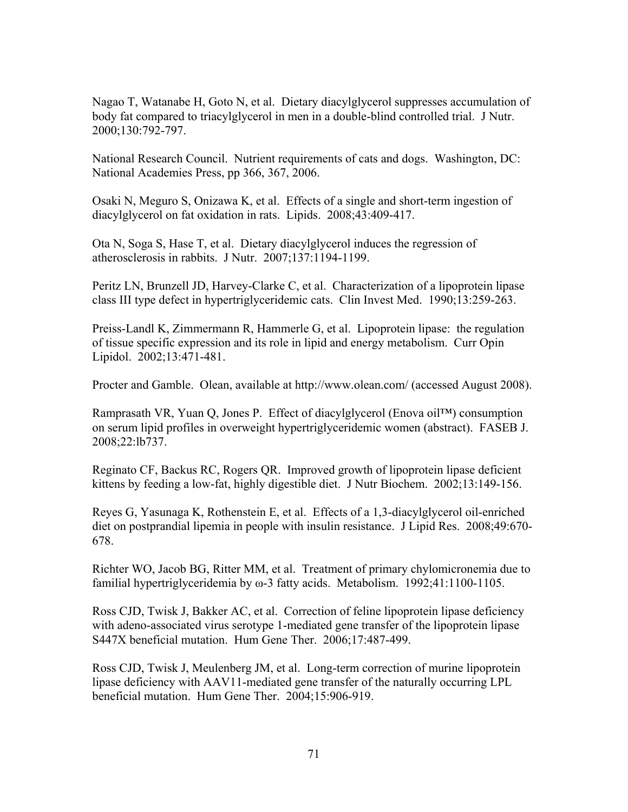Nagao T, Watanabe H, Goto N, et al. Dietary diacylglycerol suppresses accumulation of body fat compared to triacylglycerol in men in a double-blind controlled trial. J Nutr. 2000;130:792-797.

National Research Council. Nutrient requirements of cats and dogs. Washington, DC: National Academies Press, pp 366, 367, 2006.

Osaki N, Meguro S, Onizawa K, et al. Effects of a single and short-term ingestion of diacylglycerol on fat oxidation in rats. Lipids. 2008;43:409-417.

Ota N, Soga S, Hase T, et al. Dietary diacylglycerol induces the regression of atherosclerosis in rabbits. J Nutr. 2007;137:1194-1199.

Peritz LN, Brunzell JD, Harvey-Clarke C, et al. Characterization of a lipoprotein lipase class III type defect in hypertriglyceridemic cats. Clin Invest Med. 1990;13:259-263.

Preiss-Landl K, Zimmermann R, Hammerle G, et al. Lipoprotein lipase: the regulation of tissue specific expression and its role in lipid and energy metabolism. Curr Opin Lipidol. 2002;13:471-481.

Procter and Gamble. Olean, available at http://www.olean.com/ (accessed August 2008).

Ramprasath VR, Yuan Q, Jones P. Effect of diacylglycerol (Enova oil™) consumption on serum lipid profiles in overweight hypertriglyceridemic women (abstract). FASEB J. 2008;22:lb737.

Reginato CF, Backus RC, Rogers QR. Improved growth of lipoprotein lipase deficient kittens by feeding a low-fat, highly digestible diet. J Nutr Biochem. 2002;13:149-156.

Reyes G, Yasunaga K, Rothenstein E, et al. Effects of a 1,3-diacylglycerol oil-enriched diet on postprandial lipemia in people with insulin resistance. J Lipid Res. 2008;49:670- 678.

Richter WO, Jacob BG, Ritter MM, et al. Treatment of primary chylomicronemia due to familial hypertriglyceridemia by ω-3 fatty acids. Metabolism. 1992;41:1100-1105.

Ross CJD, Twisk J, Bakker AC, et al. Correction of feline lipoprotein lipase deficiency with adeno-associated virus serotype 1-mediated gene transfer of the lipoprotein lipase S447X beneficial mutation. Hum Gene Ther. 2006;17:487-499.

Ross CJD, Twisk J, Meulenberg JM, et al. Long-term correction of murine lipoprotein lipase deficiency with AAV11-mediated gene transfer of the naturally occurring LPL beneficial mutation. Hum Gene Ther. 2004;15:906-919.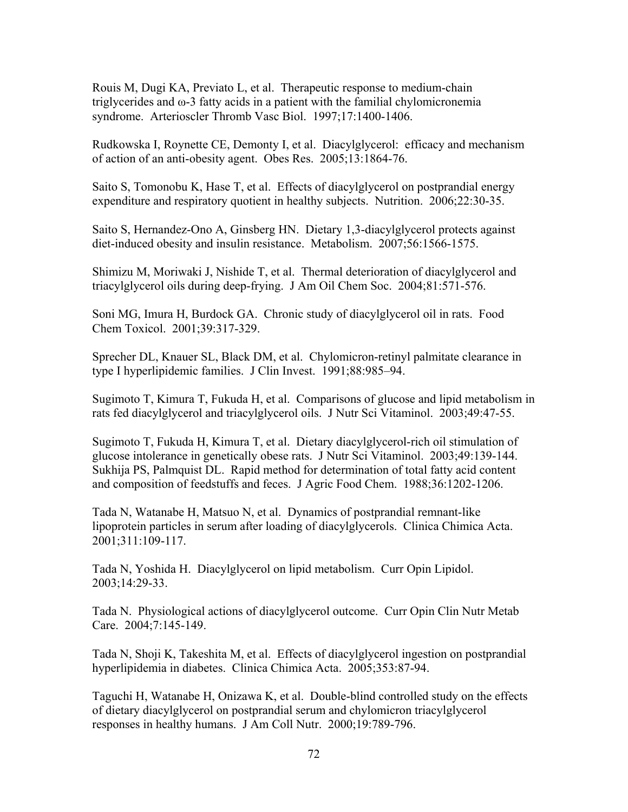Rouis M, Dugi KA, Previato L, et al. Therapeutic response to medium-chain triglycerides and ω-3 fatty acids in a patient with the familial chylomicronemia syndrome. Arterioscler Thromb Vasc Biol. 1997;17:1400-1406.

Rudkowska I, Roynette CE, Demonty I, et al. Diacylglycerol: efficacy and mechanism of action of an anti-obesity agent. Obes Res. 2005;13:1864-76.

Saito S, Tomonobu K, Hase T, et al. Effects of diacylglycerol on postprandial energy expenditure and respiratory quotient in healthy subjects. Nutrition. 2006;22:30-35.

Saito S, Hernandez-Ono A, Ginsberg HN. Dietary 1,3-diacylglycerol protects against diet-induced obesity and insulin resistance. Metabolism. 2007;56:1566-1575.

Shimizu M, Moriwaki J, Nishide T, et al. Thermal deterioration of diacylglycerol and triacylglycerol oils during deep-frying. J Am Oil Chem Soc. 2004;81:571-576.

Soni MG, Imura H, Burdock GA. Chronic study of diacylglycerol oil in rats. Food Chem Toxicol. 2001;39:317-329.

Sprecher DL, Knauer SL, Black DM, et al. Chylomicron-retinyl palmitate clearance in type I hyperlipidemic families. J Clin Invest. 1991;88:985–94.

Sugimoto T, Kimura T, Fukuda H, et al. Comparisons of glucose and lipid metabolism in rats fed diacylglycerol and triacylglycerol oils. J Nutr Sci Vitaminol. 2003;49:47-55.

Sugimoto T, Fukuda H, Kimura T, et al. Dietary diacylglycerol-rich oil stimulation of glucose intolerance in genetically obese rats. J Nutr Sci Vitaminol. 2003;49:139-144. Sukhija PS, Palmquist DL. Rapid method for determination of total fatty acid content and composition of feedstuffs and feces. J Agric Food Chem. 1988;36:1202-1206.

Tada N, Watanabe H, Matsuo N, et al. Dynamics of postprandial remnant-like lipoprotein particles in serum after loading of diacylglycerols. Clinica Chimica Acta. 2001;311:109-117.

Tada N, Yoshida H. Diacylglycerol on lipid metabolism. Curr Opin Lipidol. 2003;14:29-33.

Tada N. Physiological actions of diacylglycerol outcome. Curr Opin Clin Nutr Metab Care. 2004;7:145-149.

Tada N, Shoji K, Takeshita M, et al. Effects of diacylglycerol ingestion on postprandial hyperlipidemia in diabetes. Clinica Chimica Acta. 2005;353:87-94.

Taguchi H, Watanabe H, Onizawa K, et al. Double-blind controlled study on the effects of dietary diacylglycerol on postprandial serum and chylomicron triacylglycerol responses in healthy humans. J Am Coll Nutr. 2000;19:789-796.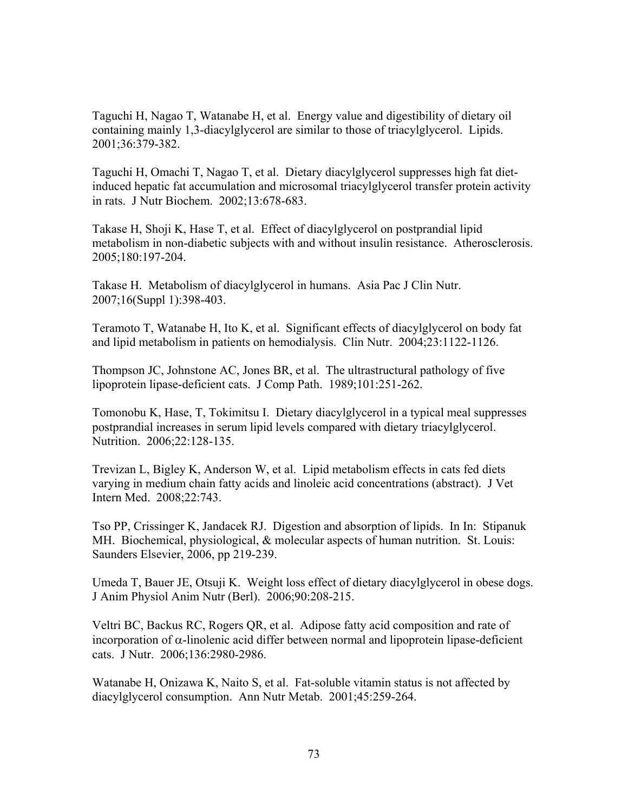Taguchi H, Nagao T, Watanabe H, et al. Energy value and digestibility of dietary oil containing mainly 1,3-diacylglycerol are similar to those of triacylglycerol. Lipids. 2001;36:379-382.

Taguchi H, Omachi T, Nagao T, et al. Dietary diacylglycerol suppresses high fat dietinduced hepatic fat accumulation and microsomal triacylglycerol transfer protein activity in rats. J Nutr Biochem. 2002;13:678-683.

Takase H, Shoji K, Hase T, et al. Effect of diacylglycerol on postprandial lipid metabolism in non-diabetic subjects with and without insulin resistance. Atherosclerosis. 2005;180:197-204.

Takase H. Metabolism of diacylglycerol in humans. Asia Pac J Clin Nutr. 2007;16(Suppl 1):398-403.

Teramoto T, Watanabe H, Ito K, et al. Significant effects of diacylglycerol on body fat and lipid metabolism in patients on hemodialysis. Clin Nutr. 2004;23:1122-1126.

Thompson JC, Johnstone AC, Jones BR, et al. The ultrastructural pathology of five lipoprotein lipase-deficient cats. J Comp Path. 1989;101:251-262.

Tomonobu K, Hase, T, Tokimitsu I. Dietary diacylglycerol in a typical meal suppresses postprandial increases in serum lipid levels compared with dietary triacylglycerol. Nutrition. 2006;22:128-135.

Trevizan L, Bigley K, Anderson W, et al. Lipid metabolism effects in cats fed diets varying in medium chain fatty acids and linoleic acid concentrations (abstract). J Vet Intern Med. 2008;22:743.

Tso PP, Crissinger K, Jandacek RJ. Digestion and absorption of lipids. In In: Stipanuk MH. Biochemical, physiological, & molecular aspects of human nutrition. St. Louis: Saunders Elsevier, 2006, pp 219-239.

Umeda T, Bauer JE, Otsuji K. Weight loss effect of dietary diacylglycerol in obese dogs. J Anim Physiol Anim Nutr (Berl). 2006;90:208-215.

Veltri BC, Backus RC, Rogers QR, et al. Adipose fatty acid composition and rate of incorporation of α-linolenic acid differ between normal and lipoprotein lipase-deficient cats. J Nutr. 2006;136:2980-2986.

Watanabe H, Onizawa K, Naito S, et al. Fat-soluble vitamin status is not affected by diacylglycerol consumption. Ann Nutr Metab. 2001;45:259-264.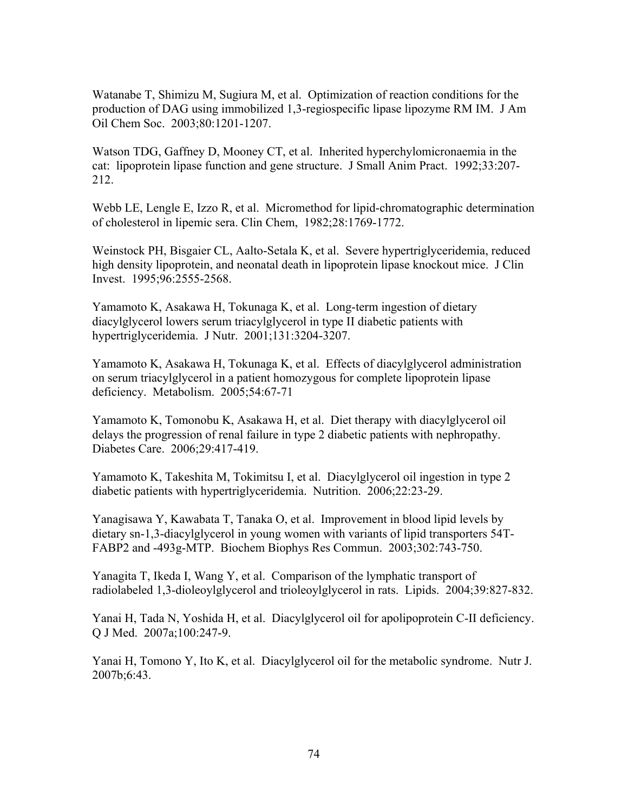Watanabe T, Shimizu M, Sugiura M, et al. Optimization of reaction conditions for the production of DAG using immobilized 1,3-regiospecific lipase lipozyme RM IM. J Am Oil Chem Soc. 2003;80:1201-1207.

Watson TDG, Gaffney D, Mooney CT, et al. Inherited hyperchylomicronaemia in the cat: lipoprotein lipase function and gene structure. J Small Anim Pract. 1992;33:207- 212.

Webb LE, Lengle E, Izzo R, et al. Micromethod for lipid-chromatographic determination of cholesterol in lipemic sera. Clin Chem, 1982;28:1769-1772.

Weinstock PH, Bisgaier CL, Aalto-Setala K, et al. Severe hypertriglyceridemia, reduced high density lipoprotein, and neonatal death in lipoprotein lipase knockout mice. J Clin Invest. 1995;96:2555-2568.

Yamamoto K, Asakawa H, Tokunaga K, et al. Long-term ingestion of dietary diacylglycerol lowers serum triacylglycerol in type II diabetic patients with hypertriglyceridemia. J Nutr. 2001;131:3204-3207.

Yamamoto K, Asakawa H, Tokunaga K, et al. Effects of diacylglycerol administration on serum triacylglycerol in a patient homozygous for complete lipoprotein lipase deficiency. Metabolism. 2005;54:67-71

Yamamoto K, Tomonobu K, Asakawa H, et al. Diet therapy with diacylglycerol oil delays the progression of renal failure in type 2 diabetic patients with nephropathy. Diabetes Care. 2006;29:417-419.

Yamamoto K, Takeshita M, Tokimitsu I, et al. Diacylglycerol oil ingestion in type 2 diabetic patients with hypertriglyceridemia. Nutrition. 2006;22:23-29.

Yanagisawa Y, Kawabata T, Tanaka O, et al. Improvement in blood lipid levels by dietary sn-1,3-diacylglycerol in young women with variants of lipid transporters 54T-FABP2 and -493g-MTP. Biochem Biophys Res Commun. 2003;302:743-750.

Yanagita T, Ikeda I, Wang Y, et al. Comparison of the lymphatic transport of radiolabeled 1,3-dioleoylglycerol and trioleoylglycerol in rats. Lipids. 2004;39:827-832.

Yanai H, Tada N, Yoshida H, et al. Diacylglycerol oil for apolipoprotein C-II deficiency. Q J Med. 2007a;100:247-9.

Yanai H, Tomono Y, Ito K, et al. Diacylglycerol oil for the metabolic syndrome. Nutr J. 2007b;6:43.